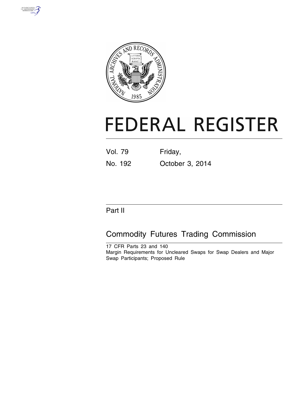



# **FEDERAL REGISTER**

| Vol. 79 | Friday, |
|---------|---------|
|         |         |

No. 192 October 3, 2014

# Part II

# Commodity Futures Trading Commission

17 CFR Parts 23 and 140 Margin Requirements for Uncleared Swaps for Swap Dealers and Major Swap Participants; Proposed Rule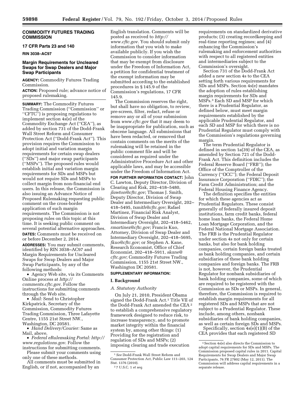# **COMMODITY FUTURES TRADING COMMISSION**

# **17 CFR Parts 23 and 140**

**RIN 3038–AC97** 

# **Margin Requirements for Uncleared Swaps for Swap Dealers and Major Swap Participants**

**AGENCY:** Commodity Futures Trading Commission.

**ACTION:** Proposed rule; advance notice of proposed rulemaking.

**SUMMARY:** The Commodity Futures Trading Commission (''Commission'' or "CFTC") is proposing regulations to implement section 4s(e) of the Commodity Exchange Act (''CEA''), as added by section 731 of the Dodd-Frank Wall Street Reform and Consumer Protection Act (''Dodd-Frank Act''). This provision requires the Commission to adopt initial and variation margin requirements for certain swap dealers (''SDs'') and major swap participants (''MSPs''). The proposed rules would establish initial and variation margin requirements for SDs and MSPs but would not require SDs and MSPs to collect margin from non-financial end users. In this release, the Commission is also issuing an Advance Notice of Proposed Rulemaking requesting public comment on the cross-border application of such margin requirements. The Commission is not proposing rules on this topic at this time. It is seeking public comment on several potential alternative approaches. **DATES:** Comments must be received on

or before December 2, 2014.

**ADDRESSES:** You may submit comments, identified by RIN 3038–AC97 and Margin Requirements for Uncleared Swaps for Swap Dealers and Major Swap Participants, by any of the following methods:

• Agency Web site, via its Comments Online process at *[http://](http://comments.cftc.gov) [comments.cftc.gov](http://comments.cftc.gov)*. Follow the instructions for submitting comments through the Web site.

• *Mail:* Send to Christopher Kirkpatrick, Secretary of the Commission, Commodity Futures Trading Commission, Three Lafayette Centre, 1155 21st Street NW., Washington, DC 20581.

• *Hand Delivery/Courier:* Same as Mail, above.

• *Federal eRulemaking Portal: [http://](http://www.regulations.gov)  [www.regulations.gov](http://www.regulations.gov)*. Follow the instructions for submitting comments.

Please submit your comments using only one of these methods.

All comments must be submitted in English, or if not, accompanied by an

English translation. Comments will be posted as received to *[http://](http://www.cftc.gov) [www.cftc.gov](http://www.cftc.gov)*. You should submit only information that you wish to make available publicly. If you wish the Commission to consider information that may be exempt from disclosure under the Freedom of Information Act, a petition for confidential treatment of the exempt information may be submitted according to the established procedures in § 145.9 of the Commission's regulations, 17 CFR 145.9.

The Commission reserves the right, but shall have no obligation, to review, pre-screen, filter, redact, refuse or remove any or all of your submission from *[www.cftc.gov](http://www.cftc.gov)* that it may deem to be inappropriate for publication, such as obscene language. All submissions that have been redacted, or removed that contain comments on the merits of the rulemaking will be retained in the public comment file and will be considered as required under the Administrative Procedure Act and other applicable laws, and may be accessible under the Freedom of Information Act.

**FOR FURTHER INFORMATION CONTACT:** John C. Lawton, Deputy Director, Division of Clearing and Risk, 202–418–5480, *[jlawton@cftc.gov](mailto:jlawton@cftc.gov)*; Thomas J. Smith, Deputy Director, Division of Swap Dealer and Intermediary Oversight, 202– 418–5495, *[tsmith@cftc.gov](mailto:tsmith@cftc.gov)*; Rafael Martinez, Financial Risk Analyst, Division of Swap Dealer and Intermediary Oversight, 202–418–5462, *[rmartinez@cftc.gov](mailto:rmartinez@cftc.gov)*; Francis Kuo, Attorney, Division of Swap Dealer and Intermediary Oversight, 202–418–5695, *[fkuo@cftc.gov](mailto:fkuo@cftc.gov)*; or Stephen A. Kane, Research Economist, Office of Chief Economist, 202–418–5911, *[skane@](mailto:skane@cftc.gov) [cftc.gov](mailto:skane@cftc.gov)*; Commodity Futures Trading Commission, 1155 21st Street NW., Washington DC 20581.

# **SUPPLEMENTARY INFORMATION:**

### **I. Background**

# *A. Statutory Authority*

On July 21, 2010, President Obama signed the Dodd-Frank Act.1 Title VII of the Dodd-Frank Act amended the CEA 2 to establish a comprehensive regulatory framework designed to reduce risk, to increase transparency, and to promote market integrity within the financial system by, among other things: (1) Providing for the registration and regulation of SDs and MSPs; (2) imposing clearing and trade execution

2 7 U.S.C. 1 *et seq.* 

requirements on standardized derivative products; (3) creating recordkeeping and real-time reporting regimes; and (4) enhancing the Commission's rulemaking and enforcement authorities with respect to all registered entities and intermediaries subject to the Commission's oversight.

Section 731 of the Dodd-Frank Act added a new section 4s to the CEA setting forth various requirements for SDs and MSPs. Section 4s(e) mandates the adoption of rules establishing margin requirements for SDs and MSPs.3 Each SD and MSP for which there is a Prudential Regulator, as defined below, must meet margin requirements established by the applicable Prudential Regulator, and each SD and MSP for which there is no Prudential Regulator must comply with the Commission's regulations governing margin.

The term Prudential Regulator is defined in section 1a(39) of the CEA, as amended by Section 721 of the Dodd-Frank Act. This definition includes the Federal Reserve Board (''FRB''); the Office of the Comptroller of the Currency (''OCC''); the Federal Deposit Insurance Corporation (''FDIC''); the Farm Credit Administration; and the Federal Housing Finance Agency.

The definition specifies the entities for which these agencies act as Prudential Regulators. These consist generally of federally insured deposit institutions, farm credit banks, federal home loan banks, the Federal Home Loan Mortgage Corporation, and the Federal National Mortgage Association. The FRB is the Prudential Regulator under section 4s not only for certain banks, but also for bank holding companies, certain foreign banks treated as bank holding companies, and certain subsidiaries of these bank holding companies and foreign banks. The FRB is not, however, the Prudential Regulator for nonbank subsidiaries of bank holding companies, some of which are required to be registered with the Commission as SDs or MSPs. In general, therefore, the Commission is required to establish margin requirements for all registered SDs and MSPs that are not subject to a Prudential Regulator. These include, among others, nonbank subsidiaries of bank holding companies, as well as certain foreign SDs and MSPs. Specifically, section 4s(e)(1)(B) of the

CEA provides that each registered SD

<sup>1</sup>*See* Dodd-Frank Wall Street Reform and Consumer Protection Act, Public Law 111–203, 124 Stat. 1376 (2010).

<sup>3</sup>Section 4s(e) also directs the Commission to adopt capital requirements for SDs and MSPs. The Commission proposed capital rules in 2011. Capital Requirements for Swap Dealers and Major Swap Participants, 76 FR 27802 (May 12, 2011). The Commission will address capital requirements in a separate release.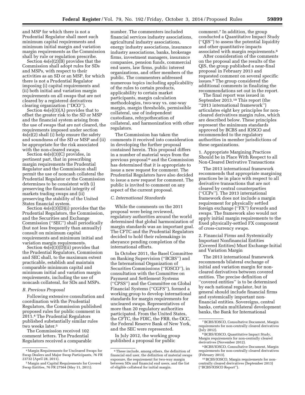and MSP for which there is not a Prudential Regulator shall meet such minimum capital requirements and minimum initial margin and variation margin requirements as the Commission shall by rule or regulation prescribe.

Section 4s(e)(2)(B) provides that the Commission shall adopt rules for SDs and MSPs, with respect to their activities as an SD or an MSP, for which there is not a Prudential Regulator imposing (i) capital requirements and (ii) both initial and variation margin requirements on all swaps that are not cleared by a registered derivatives clearing organization (''DCO'').

Section 4s(e)(3)(A) provides that to offset the greater risk to the SD or MSP and the financial system arising from the use of swaps that are not cleared, the requirements imposed under section 4s(e)(2) shall (i) help ensure the safety and soundness of the SD or MSP and (ii) be appropriate for the risk associated with the non-cleared swaps.

Section 4s(e)(3)(C) provides, in pertinent part, that in prescribing margin requirements the Prudential Regulator and the Commission shall permit the use of noncash collateral the Prudential Regulator or the Commission determines to be consistent with (i) preserving the financial integrity of markets trading swaps and (ii) preserving the stability of the United States financial system.

Section 4s(e)(3)(D)(i) provides that the Prudential Regulators, the Commission, and the Securities and Exchange Commission (''SEC'') shall periodically (but not less frequently than annually) consult on minimum capital requirements and minimum initial and variation margin requirements.

Section  $4s(e)(3)(D)(ii)$  provides that the Prudential Regulators, Commission and SEC shall, to the maximum extent practicable, establish and maintain comparable minimum capital and minimum initial and variation margin requirements, including the use of noncash collateral, for SDs and MSPs.

# *B. Previous Proposal*

Following extensive consultation and coordination with the Prudential Regulators, the Commission published proposed rules for public comment in 2011.4 The Prudential Regulators published substantially similar rules two weeks later.5

The Commission received 102 comment letters. The Prudential Regulators received a comparable

number. The commenters included financial services industry associations, agricultural industry associations, energy industry associations, insurance industry associations, banks, brokerage firms, investment managers, insurance companies, pension funds, commercial end users, law firms, public interest organizations, and other members of the public. The commenters addressed numerous topics including applicability of the rules to certain products, applicability to certain market participants, margin calculation methodologies, two-way vs. one-way margin, margin thresholds, permissible collateral, use of independent custodians, rehypothecation of collateral, and harmonization with other regulators.

The Commission has taken the comments it received into consideration in developing the further proposal contained herein. This proposal differs in a number of material ways from the previous proposal 6 and the Commission has determined that it is appropriate to issue a new request for comment. The Prudential Regulators have also decided to issue a new request for comment. The public is invited to comment on any aspect of the current proposal.

# *C. International Standards*

While the comments on the 2011 proposal were being reviewed, regulatory authorities around the world determined that global harmonization of margin standards was an important goal. The CFTC and the Prudential Regulators decided to hold their rulemakings in abeyance pending completion of the international efforts.

In October 2011, the Basel Committee on Banking Supervision (''BCBS'') and the International Organization of Securities Commissions (''IOSCO''), in consultation with the Committee on Payment and Settlement Systems (''CPSS'') and the Committee on Global Financial Systems (''CGFS''), formed a working group to develop international standards for margin requirements for uncleared swaps. Representatives of more than 20 regulatory authorities participated. From the United States, the CFTC, the FDIC, the FRB, the OCC, the Federal Reserve Bank of New York, and the SEC were represented.

In July 2012, the working group published a proposal for public

comment.7 In addition, the group conducted a Quantitative Impact Study (''QIS'') to assess the potential liquidity and other quantitative impacts associated with margin requirements.8

After consideration of the comments on the proposal and the results of the QIS, the group published a near-final proposal in February 2013 and requested comment on several specific issues.9 The group considered the additional comments in finalizing the recommendations set out in the report.

The final report was issued in September 2013.10 This report (the ''2013 international framework'') articulates eight key principles for noncleared derivatives margin rules, which are described below. These principles represent the minimum standards approved by BCBS and IOSCO and recommended to the regulatory authorities in member jurisdictions of these organizations.

1. Appropriate Margining Practices Should be in Place With Respect to all Non-Cleared Derivative Transactions

The 2013 international framework recommends that appropriate margining practices be in place with respect to all derivative transactions that are not cleared by central counterparties (''CCPs''). The 2013 international framework does not include a margin requirement for physically settled foreign exchange (''FX'') forwards and swaps. The framework also would not apply initial margin requirements to the fixed physically-settled FX component of cross-currency swaps.

2. Financial Firms and Systemically Important Nonfinancial Entities (Covered Entities) Must Exchange Initial and Variation Margin

The 2013 international framework recommends bilateral exchange of initial and variation margin for noncleared derivatives between covered entities. The precise definition of ''covered entities'' is to be determined by each national regulator, but in general should include financial firms and systemically important nonfinancial entities. Sovereigns, central banks, certain multilateral development banks, the Bank for International

<sup>4</sup>Margin Requirements for Uncleared Swaps for Swap Dealers and Major Swap Participants, 76 FR 23732 (April 28, 2011).

<sup>5</sup>Margin and Capital Requirements for Covered Swap Entities, 76 FR 27564 (May 11, 2011).

<sup>6</sup>These include, among others, the definition of financial end user, the definition of material swaps exposure, the requirement for two-way margin between SDs and financial end users, and the list of eligible collateral for initial margin.

<sup>7</sup>BCBS/IOSCO, Consultative Document, Margin requirements for non-centrally cleared derivatives (July 2012).

<sup>8</sup>BCBS/IOSCO, Quantitative Impact Study, Margin requirements for non-centrally cleared derivatives (November 2012).

<sup>9</sup>BCBS/IOSCO, Consultative Document, Margin requirements for non-centrally cleared derivatives (February 2013).

<sup>10</sup>BCBS/IOSCO, Margin requirements for noncentrally cleared derivatives (September 2013) (''BCBS/IOSCO Report'').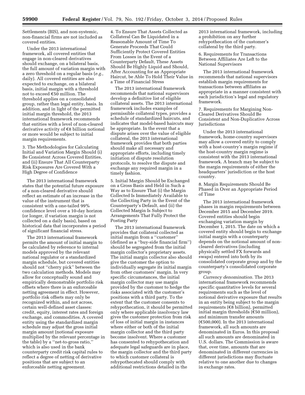Settlements (BIS), and non-systemic, non-financial firms are not included as covered entities.

Under the 2013 international framework, all covered entities that engage in non-cleared derivatives should exchange, on a bilateral basis, the full amount of variation margin with a zero threshold on a regular basis (*e.g.,*  daily). All covered entities are also expected to exchange, on a bilateral basis, initial margin with a threshold not to exceed  $$50$  million. The threshold applies on a consolidated group, rather than legal entity, basis. In addition, and in light of the permitted initial margin threshold, the 2013 international framework recommends that entities with a level of non-cleared derivative activity of  $\epsilon$ 8 billion notional or more would be subject to initial margin requirements.

3. The Methodologies for Calculating Initial and Variation Margin Should (i) Be Consistent Across Covered Entities, and (ii) Ensure That All Counterparty Risk Exposures Are Covered With a High Degree of Confidence

The 2013 international framework states that the potential future exposure of a non-cleared derivative should reflect an estimate of an increase in the value of the instrument that is consistent with a one-tailed 99% confidence level over a 10-day horizon (or longer, if variation margin is not collected on a daily basis), based on historical data that incorporates a period of significant financial stress.

The 2013 international framework permits the amount of initial margin to be calculated by reference to internal models approved by the relevant national regulator or a standardized margin schedule, but covered entities should not ''cherry pick'' between the two calculation methods. Models may allow for conceptually sound and empirically demonstrable portfolio risk offsets where there is an enforceable netting agreement in effect. However, portfolio risk offsets may only be recognized within, and not across, certain well-defined asset classes: credit, equity, interest rates and foreign exchange, and commodities. A covered entity using the standardized margin schedule may adjust the gross initial margin amount (notional exposure multiplied by the relevant percentage in the table) by a ''net-to-gross ratio,'' which is also used in the bank counterparty credit risk capital rules to reflect a degree of netting of derivative positions that are subject to an enforceable netting agreement.

4. To Ensure That Assets Collected as Collateral Can Be Liquidated in a Reasonable Amount of Time To Generate Proceeds That Could Sufficiently Protect Covered Entities From Losses in the Event of a Counterparty Default, These Assets Should Be Highly Liquid and Should, After Accounting for an Appropriate Haircut, be Able To Hold Their Value in a Time of Financial Stress

The 2013 international framework recommends that national supervisors develop a definitive list of eligible collateral assets. The 2013 international framework includes examples of permissible collateral types, provides a schedule of standardized haircuts, and indicates that model-based haircuts may be appropriate. In the event that a dispute arises over the value of eligible collateral, the 2013 international framework provides that both parties should make all necessary and appropriate efforts, including timely initiation of dispute resolution protocols, to resolve the dispute and exchange any required margin in a timely fashion.

5. Initial Margin Should be Exchanged on a Gross Basis and Held in Such a Way as to Ensure That (i) the Margin Collected Is Immediately Available to the Collecting Party in the Event of the Counterparty's Default, and (ii) the Collected Margin Is Subject to Arrangements That Fully Protect the Posting Party

The 2013 international framework provides that collateral collected as initial margin from a ''customer'' (defined as a ''buy-side financial firm'') should be segregated from the initial margin collector's proprietary assets. The initial margin collector also should give the customer the option to individually segregate its initial margin from other customers' margin. In very specific circumstances, the initial margin collector may use margin provided by the customer to hedge the risks associated with the customer's positions with a third party. To the extent that the customer consents to rehypothecation, it should be permitted only where applicable insolvency law gives the customer protection from risk of loss of initial margin in instances where either or both of the initial margin collector and the third party become insolvent. Where a customer has consented to rehypothecation and adequate legal safeguards are in place, the margin collector and the third party to which customer collateral is rehypothecated should comply with additional restrictions detailed in the

2013 international framework, including a prohibition on any further rehypothecation of the customer's collateral by the third party.

6. Requirements for Transactions Between Affiliates Are Left to the National Supervisors

The 2013 international framework recommends that national supervisors establish margin requirements for transactions between affiliates as appropriate in a manner consistent with each jurisdiction's legal and regulatory framework.

7. Requirements for Margining Non-Cleared Derivatives Should Be Consistent and Non-Duplicative Across Jurisdictions

Under the 2013 international framework, home-country supervisors may allow a covered entity to comply with a host-country's margin regime if the host-country margin regime is consistent with the 2013 international framework. A branch may be subject to the margin requirements of either the headquarters' jurisdiction or the host country.

8. Margin Requirements Should Be Phased in Over an Appropriate Period of Time

The 2013 international framework phases in margin requirements between December 2015 and December 2019. Covered entities should begin exchanging variation margin by December 1, 2015. The date on which a covered entity should begin to exchange initial margin with a counterparty depends on the notional amount of noncleared derivatives (including physically settled FX forwards and swaps) entered into both by its consolidated corporate group and by the counterparty's consolidated corporate group.

*Currency denomination.* The 2013 international framework recommends specific quantitative levels for several requirements such as the level of notional derivative exposure that results in an entity being subject to the margin requirements ( $\epsilon$ 8 billion), permitted initial margin thresholds  $(\epsilon 50$  million), and minimum transfer amounts  $(\text{\textsterling}500,000)$ . In the 2013 international framework, all such amounts are denominated in Euros. In this proposal all such amounts are denominated in U.S. dollars. The Commission is aware that, over time, amounts that are denominated in different currencies in different jurisdictions may fluctuate relative to one another due to changes in exchange rates.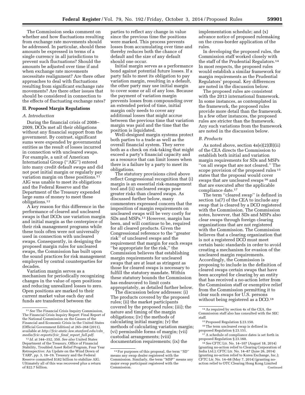The Commission seeks comment on whether and how fluctuations resulting from exchange rate movements should be addressed. In particular, should these amounts be expressed in terms of a single currency in all jurisdictions to prevent such fluctuations? Should the amounts be adjusted over time if and when exchange rate movements necessitate realignment? Are there other approaches to deal with fluctuations resulting from significant exchange rate movements? Are there other issues that should be considered in connection to the effects of fluctuating exchange rates?

#### **II. Proposed Margin Regulations**

# *A. Introduction*

During the financial crisis of 2008– 2009, DCOs met all their obligations without any financial support from the government. By contrast, significant sums were expended by governmental entities as the result of losses incurred in connection with uncleared swaps. For example, a unit of American International Group (''AIG'') entered into many credit default swaps and did not post initial margin or regularly pay variation margin on these positions.<sup>11</sup> AIG was unable to meet its obligations and the Federal Reserve and the Department of the Treasury expended large sums of money to meet these obligations.12

A key reason for this difference in the performance of cleared and uncleared swaps is that DCOs use variation margin and initial margin as the centerpiece of their risk management programs while these tools often were not universally used in connection with uncleared swaps. Consequently, in designing the proposed margin rules for uncleared swaps, the Commission has built upon the sound practices for risk management employed by central counterparties for decades.

Variation margin serves as a mechanism for periodically recognizing changes in the value of open positions and reducing unrealized losses to zero. Open positions are marked to their current market value each day and funds are transferred between the

parties to reflect any change in value since the previous time the positions were marked. This process prevents losses from accumulating over time and thereby reduces both the chance of default and the size of any default should one occur.

Initial margin serves as a performance bond against potential future losses. If a party fails to meet its obligation to pay variation margin, resulting in a default, the other party may use initial margin to cover some or all of any loss. Because the payment of variation margin prevents losses from compounding over an extended period of time, initial margin only needs to cover any additional losses that might accrue between the previous time that variation margin was paid and the time that the position is liquidated.

Well-designed margin systems protect both parties to a trade as well as the overall financial system. They serve both as a check on risk-taking that might exceed a party's financial capacity and as a resource that can limit losses when there is a failure by a party to meet its obligations.

The statutory provisions cited above reflect Congressional recognition that (i) margin is an essential risk-management tool and (ii) uncleared swaps pose greater risks than cleared swaps. As discussed further below, many commenters expressed concern that the imposition of margin requirements on uncleared swaps will be very costly for SDs and MSPs.13 However, margin has been, and will continue to be, required for all cleared products. Given the Congressional reference to the ''greater risk'' of uncleared swaps and the requirement that margin for such swaps ''be appropriate for the risk,'' the Commission believes that establishing margin requirements for uncleared swaps that are at least as stringent as those for cleared swaps is necessary to fulfill the statutory mandate. Within these statutory bounds the Commission has endeavored to limit costs appropriately, as detailed further below.

The discussion below addresses: (i) The products covered by the proposed rules; (ii) the market participants covered by the proposed rules; (iii); the nature and timing of the margin obligations; (iv) the methods of calculating initial margin; (v) the methods of calculating variation margin; (vi) permissible forms of margin; (vii) custodial arrangements; (viii) documentation requirements; (ix) the

implementation schedule; and (x) advance notice of proposed rulemaking on the cross-border application of the rules.

In developing the proposed rules, the Commission staff worked closely with the staff of the Prudential Regulators.14 In most respects, the proposed rules would establish a similar framework for margin requirements as the Prudential Regulators' proposal. Key differences are noted in the discussion below.

The proposed rules are consistent with the 2013 international framework. In some instances, as contemplated in the framework, the proposed rules provide more detail than the framework. In a few other instances, the proposed rules are stricter than the framework. Any such variations from the framework are noted in the discussion below.

# *B. Products*

As noted above, section 4s(e)(2)(B)(ii) of the CEA directs the Commission to establish both initial and variation margin requirements for SDs and MSPs ''on all swaps that are not cleared.'' The scope provision of the proposed rules 15 states that the proposal would cover swaps that are uncleared swaps 16 and that are executed after the applicable compliance date.17

The term ''cleared swap'' is defined in section 1a(7) of the CEA to include any swap that is cleared by a DCO registered with the Commission. The Commission notes, however, that SDs and MSPs also clear swaps through foreign clearing organizations that are not registered with the Commission. The Commission believes that a clearing organization that is not a registered DCO must meet certain basic standards in order to avoid creating a mechanism for evasion of the uncleared margin requirements. Accordingly, the Commission is proposing to include in the definition of cleared swaps certain swaps that have been accepted for clearing by an entity that has received a no-action letter from the Commission staff or exemptive relief from the Commission permitting it to clear such swaps for U.S. persons without being registered as a DCO.<sup>18</sup>

14As required by section 4s of the CEA, the Commission staff also has consulted with the SEC staff.

16The term uncleared swap is defined in proposed Regulation § 23.151.

<sup>11</sup>*See* The Financial Crisis Inquiry Commission, The Financial Crisis Inquiry Report: Final Report of the National Commission on the Causes of the Financial and Economic Crisis in the United States (Official Government Edition) at 265–268 (2011), available at *[http://fcic-static.law.stanford.edu/cdn](http://fcic-static.law.stanford.edu/cdn_media/fcic-reports/fcic_final_report_full.pdf)*\_ *[media/fcic-reports/fcic](http://fcic-static.law.stanford.edu/cdn_media/fcic-reports/fcic_final_report_full.pdf)*\_*final*\_*report*\_*full.pdf*.

<sup>12</sup> *Id.* at 344–352, 350. *See also* United States Department of the Treasury, Office of Financial Stability, Troubled Asset Relief Program, Four Year Retrospective: An Update on the Wind Down of TARP, *pp.* 3, 18–19. Treasury and the Federal Reserve committed \$182 billion to stabilize AIG. Ultimately all of this was recovered plus a return of \$22.7 billion.

<sup>13</sup>For purposes of this proposal, the term ''SD'' means any swap dealer registered with the Commission. Similarly, the term ''MSP'' means any major swap participant registered with the Commission.

<sup>15</sup>Proposed Regulation § 23.150.

 $^{\rm 17}\mathrm{A}$  schedule of compliance dates is set forth in proposed Regulation § 23.160.

<sup>18</sup>*See* CFTC Ltr. No. 14–107 (August 18, 2014) (granting no-action relief to Clearing Corporation of India Ltd.); CFTC Ltr. No. 14–87 (June 26, 2014) (granting no-action relief to Korea Exchange, Inc.); CFTC Ltr. No. 14–68 (May 7, 2014) (granting noaction relief to OTC Clearing Hong Kong Limited Continued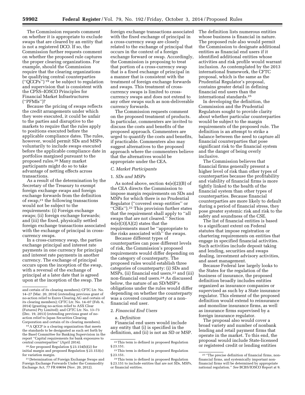The Commission requests comment on whether it is appropriate to exclude swaps that are cleared by an entity that is not a registered DCO. If so, the Commission further requests comment on whether the proposed rule captures the proper clearing organizations. For example, should the Commission require that the clearing organizations be qualifying central counterparties (''QCCPs'') 19 or be subject to regulation and supervision that is consistent with the CPSS–IOSCO Principles for Financial Market Infrastructures (''PFMIs'')?

Because the pricing of swaps reflects the credit arrangements under which they were executed, it could be unfair to the parties and disruptive to the markets to require that the rules apply to positions executed before the applicable compliance dates. The rules, however, would permit SDs and MSPs voluntarily to include swaps executed before the applicable compliance date in portfolios margined pursuant to the proposed rules.20 Many market participants might do so to take advantage of netting effects across transactions.

As a result of the determination by the Secretary of the Treasury to exempt foreign exchange swaps and foreign exchange forwards from the definition of swap,21 the following transactions would not be subject to the requirements: (i) Foreign exchange swaps; (ii) foreign exchange forwards; and (iii) the fixed, physically settled foreign exchange transactions associated with the exchange of principal in crosscurrency swaps.

In a cross-currency swap, the parties exchange principal and interest rate payments in one currency for principal and interest rate payments in another currency. The exchange of principal occurs upon the inception of the swap, with a reversal of the exchange of principal at a later date that is agreed upon at the inception of the swap. The

19A QCCP is a clearing organization that meets the standards to be designated as such set forth by the Basel Committee for Banking Supervision in the report ''Capital requirements for bank exposures to central counterparties'' (April 2014).

20*See* proposed Regulation § 23.154(b)(2) for initial margin and proposed Regulation § 23.153(c) for variation margin.

21 Determination of Foreign Exchange Swaps and Foreign Exchange Forwards Under the Commodity Exchange Act, 77 FR 69694 (Nov. 20, 2012).

foreign exchange transactions associated with the fixed exchange of principal in a cross-currency swap are closely related to the exchange of principal that occurs in the context of a foreign exchange forward or swap. Accordingly, the Commission is proposing to treat that portion of a cross-currency swap that is a fixed exchange of principal in a manner that is consistent with the treatment of foreign exchange forwards and swaps. This treatment of crosscurrency swaps is limited to crosscurrency swaps and does not extend to any other swaps such as non-deliverable currency forwards.

The Commission requests comment on the proposed treatment of products. In particular, commenters are invited to discuss the costs and benefits of the proposed approach. Commenters are urged to quantify the costs and benefits, if practicable. Commenters also may suggest alternatives to the proposed approach where the commenters believe that the alternatives would be appropriate under the CEA.

# *C. Market Participants*

#### 1. *SDs and MSPs*

As noted above, section 4s(e)(2)(B) of the CEA directs the Commission to impose margin requirements on SDs and MSPs for which there is no Prudential Regulator (''covered swap entities'' or ''CSEs'').22 This provision further states that the requirement shall apply to ''all swaps that are not cleared.'' Section  $4s(e)(3)(A)(2)$  states that the requirements must be ''appropriate to the risks associated with'' the swaps.

Because different types of counterparties can pose different levels of risk, the Commission's proposed requirements would differ depending on the category of counterparty. The proposed rules would establish three categories of counterparty: (i) SDs and MSPs, (ii) financial end users,<sup>23</sup> and (iii) non-financial end users.24 As discussed below, the nature of an SD/MSP's obligations under the rules would differ depending on whether the counterparty was a covered counterparty or a nonfinancial end user.

#### 2. *Financial End Users*

#### a. *Definition*

Financial end users would include any entity that (i) is specified in the definition, and (ii) is not an SD or MSP. The definition lists numerous entities whose business is financial in nature. The proposed rule also would permit the Commission to designate additional entities as financial end users if it identified additional entities whose activities and risk profile would warrant inclusion. As contemplated by the 2013 international framework, the CFTC proposal, which is the same as the Prudential Regulator's proposal, contains greater detail in defining financial end users than the international standards.25

In developing the definition, the Commission and the Prudential Regulators sought to provide clarity about whether particular counterparties would be subject to the margin requirements of the proposed rule. The definition is an attempt to strike a balance between the need to capture all financial counterparties that pose significant risk to the financial system and the danger of being overly inclusive.

The Commission believes that financial firms generally present a higher level of risk than other types of counterparties because the profitability and viability of financial firms is more tightly linked to the health of the financial system than other types of counterparties. Because financial counterparties are more likely to default during a period of financial stress, they pose greater systemic risk and risk to the safety and soundness of the CSE.

The list of financial entities is based to a significant extent on Federal statutes that impose registration or chartering requirements on entities that engage in specified financial activities. Such activities include deposit taking and lending, securities and swaps dealing, investment advisory activities, and asset management.

Because Federal law largely looks to the States for the regulation of the business of insurance, the proposed definition broadly includes entities organized as insurance companies or supervised as such by a State insurance regulator. This element of the proposed definition would extend to reinsurance and monoline insurance firms, as well as insurance firms supervised by a foreign insurance regulator.

The proposal also would cover a broad variety and number of nonbank lending and retail payment firms that operate in the market. To this end, the proposal would include State-licensed or registered credit or lending entities

and certain of its clearing members); CFTC Ltr. No. 14–27 (Mar. 20, 2014) (extending previous grant of no-action relief to Eurex Clearing AG and certain of its clearing members); CFTC Ltr. No. 14–07 (Feb. 6, 2014) (granting no-action relief to ASX Clear (Futures) Pty Limited); and CFTC Ltr. No. 13–73 (Dec. 19, 2013) (extending previous grant of noaction relief to Japan Securities Clearing Corporation and certain of its clearing members).

<sup>22</sup>This term is defined in proposed Regulation § 23.151.

<sup>23</sup>This term is defined in proposed Regulation § 23.151.

<sup>24</sup>This term is defined in proposed Regulation § 23.151 to include entities that are not SDs, MSPs, or financial entities.

<sup>25</sup> ''The precise definition of financial firms, nonfinancial firms, and systemically important nonfinancial firms will be determined by appropriate national regulation.'' *See* BCBS/IOSCO Report at 9.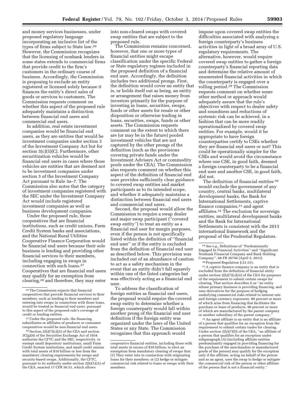and money services businesses, under proposed regulatory language incorporating an inclusive list of the types of firms subject to State law.26 However, the Commission recognizes that the licensing of nonbank lenders in some states extends to commercial firms that provide credit to the firm's customers in the ordinary course of business. Accordingly, the Commission is proposing to exclude an entity registered or licensed solely because it finances the entity's direct sales of goods or services to customers. The Commission requests comment on whether this aspect of the proposed rule adequately maintains a distinction between financial end users and commercial end users.

In addition, real estate investment companies would be financial end users, as they are entities that would be investment companies under section 3 of the Investment Company Act but for section 3(c)(5)(C). Furthermore, other securitization vehicles would be financial end users in cases where those vehicles are entities that are deemed not to be investment companies under section 3 of the Investment Company Act pursuant to Rule 3a–7. The Commission also notes that the category of investment companies registered with the SEC under the Investment Company Act would include registered investment companies as well as business development companies.

Under the proposed rule, those cooperatives that are financial institutions, such as credit unions, Farm Credit System banks and associations, and the National Rural Utilities Cooperative Finance Corporation would be financial end users because their sole business is lending and providing other financial services to their members, including engaging in swaps in connection with such loans.27 Cooperatives that are financial end users may qualify for an exemption from clearing,28 and therefore, they may enter

27Under the proposed rule, the financing subsidiaries or affiliates of producer or consumer cooperatives would be non-financial end users.

28Section 2(h)(7)(c)(ii) of the CEA and section 3C(g)(4) of the Securities Exchange Act of 1934 authorize the CFTC and the SEC, respectively, to exempt small depository institutions, small Farm Credit System institutions, and small credit unions with total assets of \$10 billion or less from the mandatory clearing requirements for swaps and security-based swaps. Additionally, the CFTC, pursuant to its authority under section 2(h)(1)(A) of the CEA, enacted 17 CFR 50.51, which allows

into non-cleared swaps with covered swap entities that are subject to the proposed rule.

The Commission remains concerned, however, that one or more types of financial entities might escape classification under the specific Federal or State regulatory regimes included in the proposed definition of a financial end user. Accordingly, the definition includes two additional prongs. First, the definition would cover an entity that is, or holds itself out as being, an entity or arrangement that raises money from investors primarily for the purpose of investing in loans, securities, swaps, funds or other assets for resale or other disposition or otherwise trading in loans, securities, swaps, funds or other assets. The Commission requests comment on the extent to which there are (or may be in the future) pooled investment vehicles that are not captured by the other prongs of the definition (such as the provisions covering private funds under the Investment Advisers Act or commodity pools under the CEA). The Commission also requests comment on whether this aspect of the definition of financial end user provides sufficiently clear guidance to covered swap entities and market participants as to its intended scope, and whether it adequately maintains a distinction between financial end users and commercial end users.

Second, the proposal would allow the Commission to require a swap dealer and major swap participant (''covered swap entity'') to treat an entity as a financial end user for margin purposes, even if the person is not specifically listed within the definition of ''financial end user'' or if the entity is excluded from the definition of financial end user as described below. This provision was included out of an abundance of caution to act as a safety mechanism in the event that an entity didn't fall squarely within one of the listed categories but was effectively acting as a financial end user.

To address the classification of foreign entities as financial end users, the proposal would require the covered swap entity to determine whether a foreign counterparty would fall within another prong of the financial end user definition if the foreign entity was organized under the laws of the United States or any State. The Commission recognizes that this approach would

impose upon covered swap entities the difficulties associated with analyzing a foreign counterparty's business activities in light of a broad array of U.S. regulatory requirements. The alternative, however, would require covered swap entities to gather a foreign counterparty's financial reporting data and determine the relative amount of enumerated financial activities in which the counterparty is engaged over a rolling period.29 The Commission requests comment on whether some other method or approach would adequately assure that the rule's objectives with respect to dealer safety and soundness and reductions of systemic risk can be achieved, in a fashion that can be more readily operationalized by covered swap entities. For example, would it be appropriate to have foreign counterparties certify to CSEs whether they are financial end users or not? This could be operationally simpler for the CSEs and would avoid the circumstance where one CSE, in good faith, deemed a foreign counterparty to be a financial end user and another CSE, in good faith, did not.

The definition of financial entities <sup>30</sup> would exclude the government of any country, central banks, multilateral development banks, the Bank for International Settlements, captive finance companies,31 and agent affiliates.32 The exclusion for sovereign entities, multilateral development banks and the Bank for International Settlements is consistent with the 2013 international framework and the proposal of the Prudential Regulators.

31A captive finance company is an entity that is excluded from the definition of financial entity under section 2(h)(7)(c)(iii) of the CEA for purposes of the requirement to submit certain swaps for clearing. That section describes it as ''an entity whose primary business is providing financing, and uses derivatives for the purpose of hedging underlying commercial risks related to interest rate and foreign currency exposures, 90 percent or more of which arise from financing that facilitates the purchase or lease of products, 90 percent or more of which are manufactured by the parent company or another subsidiary of the parent company.

32An agent affiliate is an entity that is an affiliate of a person that qualifies for an exception from the requirement to submit certain trades for clearing. Under section 2(h)(7)(D) of the CEA, ''an affiliate of a person that qualifies for an exception under subparagraph (A) (including affiliate entities predominantly engaged in providing financing for the purchase of the merchandise or manufactured goods of the person) may qualify for the exception only if the affiliate, acting on behalf of the person and as an agent, uses the swap to hedge or mitigate the commercial risk of the person or other affiliate of the person that is not a financial entity.''

<sup>26</sup>The Commission expects that financial cooperatives that provide financial services to their members, such as lending to their members and entering into swaps in connection with those loans, would be treated as financial end users, pursuant to this aspect of the proposed rule's coverage of credit or lending entities.

cooperative financial entities, including those with total assets in excess of \$10 billion, to elect an exemption from mandatory clearing of swaps that: (1) They enter into in connection with originating loans for their members; or (2) hedge or mitigate commercial risk related to loans or swaps with their members.

<sup>29</sup>*See e.g.,* Definitions of ''Predominantly Engaged In Financial Activities'' and ''Significant Nonbank Financial Company and Bank Holding Company'', 68 FR 20756 (April 5, 2013).

<sup>30</sup>Proposed Regulation § 23.151.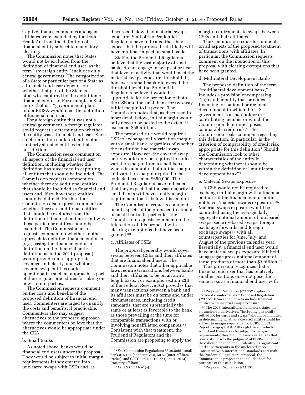Captive finance companies and agent affiliates were excluded by the Dodd-Frank Act from the definition of financial entity subject to mandatory clearing.

The Commission notes that States would not be excluded from the definition of financial end user, as the term ''sovereign entity'' includes only central governments. The categorization of a State or particular part of a State as a financial end user depends on whether that part of the State is otherwise captured by the definition of financial end user. For example, a State entity that is a ''governmental plan'' under ERISA would meet the definition of financial end user.

For a foreign entity that was not a central government, a foreign regulator could request a determination whether the entity was a financial end user. Such a determination could extend to other similarly situated entities in that jurisdiction.

The Commission seeks comment on all aspects of the financial end user definition, including whether the definition has succeeded in capturing all entities that should be included. The Commission requests comment on whether there are additional entities that should be included as financial end users and, if so, how those entities should be defined. Further, the Commission also requests comment on whether there are additional entities that should be excluded from the definition of financial end user and why those particular entities should be excluded. The Commission also requests comment on whether another approach to defining financial end user (*e.g.,* basing the financial end user definition on the financial entity definition as in the 2011 proposal) would provide more appropriate coverage and clarity, and whether covered swap entities could operationalize such an approach as part of their regular procedures for taking on new counterparties.

The Commission requests comment on the costs and benefits of the proposed definition of financial end user. Commenters are urged to quantify the costs and benefits, if practicable. Commenters also may suggest alternatives to the proposed approach where the commenters believe that the alternatives would be appropriate under the CEA.

#### b. Small Banks

As noted above, banks would be financial end users under the proposal. They would be subject to initial margin requirements if they entered into uncleared swaps with CSEs and, as

discussed below, had material swaps exposure. Staff of the Prudential Regulators have indicated that they expect that the proposed rule likely will have minimal impact on small banks.

Staff of the Prudential Regulators believe that the vast majority of small banks do not engage in swaps at or near that level of activity that would meet the material swaps exposure threshold. If, however, a small bank did exceed the threshold level, the Prudential Regulators believe it would be appropriate for the protection of both the CSE and the small bank for two-way initial margin to be posted. The Commission notes that, as discussed in more detail below, initial margin would only need to be posted to the extent it exceeded \$65 million.

The proposed rule would require a CSE to exchange daily variation margin with a small bank, regardless of whether the institution had material swap exposure. However, the covered swap entity would only be required to collect variation margin from a small bank when the amount of both initial margin and variation margin required to be collected exceeded \$650,000. The Prudential Regulators have indicated that they expect that the vast majority of small banks will have a daily margin requirement that is below this amount.

The Commission requests comment on all aspects of the proposed treatment of small banks. In particular, the Commission requests comment on the interaction of this proposal with clearing exemptions that have been granted.33

#### c. Affiliates of CSEs

The proposal generally would cover swaps between CSEs and their affiliates that are financial end users. The Commission notes that other applicable laws require transactions between banks and their affiliates to be on an arm's length basis. For example, section 23B of the Federal Reserve Act provides that many transactions between a bank and its affiliates must be on terms and under circumstances, including credit standards, that are substantially the same or at least as favorable to the bank as those prevailing at the time for comparable transactions with or involving nonaffiliated companies.34 Consistent with that treatment, the Prudential Regulators and the Commission are proposing to apply the

34 12 U.S.C. 371c–1(a).

margin requirements to swaps between CSEs and their affiliates.

The Commission requests comment on all aspects of the proposed treatment of transactions with affiliates. In particular, the Commission requests comment on the interaction of this proposal with clearing exemptions that have been granted.

#### d. Multilateral Development Banks

The proposed definition of the term ''multilateral development bank,'' includes a provision encompassing ''[a]ny other entity that provides financing for national or regional development in which the U.S. government is a shareholder or contributing member or which the Commission determines poses comparable credit risk.'' The Commission seeks comment regarding this definition. In particular, is the criterion of comparability of credit risk appropriate for this definition? Should the Commission look to other characteristics of the entity in determining whether it should be within the definition of ''multilateral development bank''?

# e. Material Swaps Exposure

A CSE would not be required to exchange initial margin with a financial end user if the financial end user did not have ''material swaps exposure.'' 35 Material swaps exposure would be computed using the average daily aggregate notional amount of uncleared swaps, security-based swaps, foreign exchange forwards, and foreign exchange swaps<sup>36</sup> with all counterparties for June, July, and August of the previous calendar year. Essentially, a financial end user would have material swaps exposure if it held an aggregate gross notional amount of these products of more than \$3 billion.<sup>37</sup>

This provision recognizes that a financial end user that has relatively smaller positions does not pose the same risks as a financial end user with

36The 2013 international framework states that all uncleared derivatives, ''including physically settled FX forwards and swaps'' should be included in determining whether a covered entity should be subject to margin requirements. BCBS/IOSCO Report Paragraph 8.8. Although these products would not themselves be subject to margin requirements, they are uncleared derivatives that pose risks. It was the judgment of BCBS/IOSCO that they should be included in identifying significant market participants in the uncleared space. Consistent with international standards and with the Prudential Regulators' proposal, the Commission is proposing to include them for purposes of this calculation.

<sup>37</sup> Proposed Regulation § 23.151.

<sup>33</sup>*See* Commission Regulations §§ 50.50(d)(small banks), 50.51 (cooperatives), 50.52 (inter-affiliate trades), and CFTC Ltr. No. 13–22 (June 4, 2013) (treasury affiliates).

<sup>35</sup>Proposed Regulation § 23.152 applies to ''covered counterparties.'' Proposed Regulation § 23.151 defines that term to include financial entities with material swaps exposure.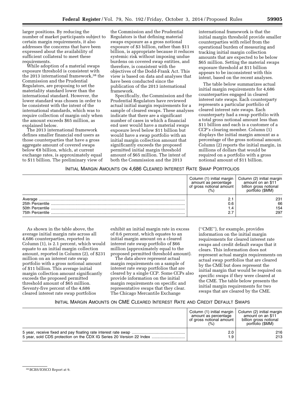larger positions. By reducing the number of market participants subject to certain margin requirements, it also addresses the concerns that have been expressed about the availability of sufficient collateral to meet these requirements.

While adoption of a material swaps exposure threshold is consistent with the 2013 international framework,38 the Commission and the Prudential Regulators, are proposing to set the materiality standard lower than the international standard. However, the lower standard was chosen in order to be consistent with the intent of the international standards, which was to require collection of margin only when the amount exceeds \$65 million, as explained below.

The 2013 international framework defines smaller financial end users as those counterparties that have a gross aggregate amount of covered swaps below  $\epsilon$ 8 billion, which, at current exchange rates, is approximately equal to \$11 billion. The preliminary view of

the Commission and the Prudential Regulators is that defining material swaps exposure as a gross notional exposure of \$3 billion, rather than \$11 billion, is appropriate because it reduces systemic risk without imposing undue burdens on covered swap entities, and therefore, is consistent with the objectives of the Dodd-Frank Act. This view is based on data and analyses that have been conducted since the publication of the 2013 international framework.

Specifically, the Commission and the Prudential Regulators have reviewed actual initial margin requirements for a sample of cleared swaps. These analyses indicate that there are a significant number of cases in which a financial end user would have a material swaps exposure level below \$11 billion but would have a swap portfolio with an initial margin collection amount that significantly exceeds the proposed permitted initial margin threshold amount of \$65 million. The intent of both the Commission and the 2013

international framework is that the initial margin threshold provide smaller counterparties with relief from the operational burden of measuring and tracking initial margin collection amounts that are expected to be below \$65 million. Setting the material swaps exposure threshold at \$11 billion appears to be inconsistent with this intent, based on the recent analyses.

The table below summarizes actual initial margin requirements for 4,686 counterparties engaged in cleared interest rate swaps. Each counterparty represents a particular portfolio of cleared interest rate swaps. Each counterparty had a swap portfolio with a total gross notional amount less than \$11 billion and each is a customer of a CCP's clearing member. Column (1) displays the initial margin amount as a percentage of the gross notional amount. Column (2) reports the initial margin, in millions of dollars that would be required on a portfolio with a gross notional amount of \$11 billion.

# INITIAL MARGIN AMOUNTS ON 4,686 CLEARED INTEREST RATE SWAP PORTFOLIOS

|                 | Column (1) initial margin<br>amount as percentage<br>of gross notional amount | Column (2) initial margin<br>amount on an \$11<br>billion gross notional<br>portfolio (\$MM) |
|-----------------|-------------------------------------------------------------------------------|----------------------------------------------------------------------------------------------|
| Average         | 2.1<br>0.6<br>4.۱                                                             | 231<br>66<br>154                                                                             |
| 75th Percentile |                                                                               | 297                                                                                          |

As shown in the table above, the average initial margin rate across all 4,686 counterparties, reported in Column (1), is 2.1 percent, which would equate to an initial margin collection amount, reported in Column (2), of \$231 million on an interest rate swap portfolio with a gross notional amount of \$11 billion. This average initial margin collection amount significantly exceeds the proposed permitted threshold amount of \$65 million. Seventy-five percent of the 4,686 cleared interest rate swap portfolios

exhibit an initial margin rate in excess of 0.6 percent, which equates to an initial margin amount on a cleared interest rate swap portfolio of \$66 million (approximately equal to the proposed permitted threshold amount).

The data above represent actual margin requirements on a sample of interest rate swap portfolios that are cleared by a single CCP. Some CCPs also provide information on the initial margin requirements on specific and representative swaps that they clear. The Chicago Mercantile Exchange

(''CME''), for example, provides information on the initial margin requirements for cleared interest rate swaps and credit default swaps that it clears. This information does not represent actual margin requirements on actual swap portfolios that are cleared by the CME but does represent the initial margin that would be required on specific swaps if they were cleared at the CME. The table below presents the initial margin requirements for two swaps that are cleared by the CME.

# INITIAL MARGIN AMOUNTS ON CME CLEARED INTEREST RATE AND CREDIT DEFAULT SWAPS

| Column (1) initial margin<br>amount as percentage<br>of gross notional amount<br>(% ) | Column (2) initial margin<br>amount on an \$11<br>billion gross notional<br>portfolio (\$MM) |
|---------------------------------------------------------------------------------------|----------------------------------------------------------------------------------------------|
| 2.0                                                                                   | 216                                                                                          |
| 1.9                                                                                   | 213                                                                                          |

<sup>38</sup>BCBS/IOSCO Report at 9.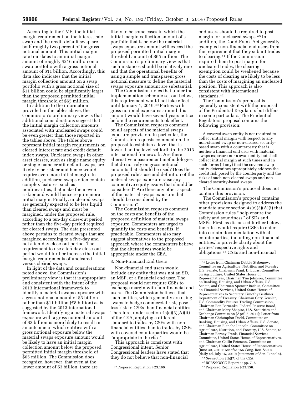According to the CME, the initial margin requirement on the interest rate swap and the credit default swap are both roughly two percent of the gross notional amount. This initial margin rate translates to an initial margin amount of roughly \$216 million on a swap portfolio with a gross notional amount of \$11 billion. Accordingly, this data also indicates that the initial margin collection amount on a swap portfolio with a gross notional size of \$11 billion could be significantly larger than the proposed permitted initial margin threshold of \$65 million.

In addition to the information provided in the tables above, the Commission's preliminary view is that additional considerations suggest that the initial margin collection amounts associated with uncleared swaps could be even greater than those reported in the tables above. The tables above represent initial margin requirements on cleared interest rate and credit default index swaps. Uncleared swaps in other asset classes, such as single name equity or single name credit default swaps, are likely to be riskier and hence would require even more initial margin. In addition, uncleared swaps often contain complex features, such as nonlinearities, that make them even riskier and would hence require more initial margin. Finally, uncleared swaps are generally expected to be less liquid than cleared swaps and must be margined, under the proposed rule, according to a ten-day close-out period rather than the five-day period required for cleared swaps. The data presented above pertains to cleared swaps that are margined according to a five-day and not a ten-day close-out period. The requirement to use a ten-day close-out period would further increase the initial margin requirements of uncleared versus cleared swaps.

In light of the data and considerations noted above, the Commission's preliminary view is that it is appropriate and consistent with the intent of the 2013 international framework to identify a material swaps exposure with a gross notional amount of \$3 billion rather than \$11 billion ( $\epsilon$ 8 billion) as is suggested by the 2013 international framework. Identifying a material swaps exposure with a gross notional amount of \$3 billion is more likely to result in an outcome in which entities with a gross notional exposure below the material swaps exposure amount would be likely to have an initial margin collection amount below the proposed permitted initial margin threshold of \$65 million. The Commission does recognize, however, that even at the lower amount of \$3 billion, there are

likely to be some cases in which the initial margin collection amount of a portfolio that is below the material swaps exposure amount will exceed the proposed permitted initial margin threshold amount of \$65 million. The Commission's preliminary view is that such instances should be relatively rare and that the operational benefits of using a simple and transparent gross notional measure to define the material swaps exposure amount are substantial.

The Commission notes that under the implementation schedule set out below, this requirement would not take effect until January 1, 2019.39 Parties with gross notional exposures around this amount would have several years notice before the requirements took effect.

The Commission requests comment on all aspects of the material swaps exposure provision. In particular, the Commission requests comment on the proposal to establish a level that is lower than the level set forth in the 2013 international framework. Are there alternative measurement methodologies that do not rely on gross notional amounts that should be used? Does the proposed rule's use and definition of the material swaps exposure raise any competitive equity issues that should be considered? Are there any other aspects of the material swaps exposure that should be considered by the Commission?

The Commission requests comment on the costs and benefits of the proposed definition of material swaps exposure. Commenters are urged to quantify the costs and benefits, if practicable. Commenters also may suggest alternatives to the proposed approach where the commenters believe that the alternatives would be appropriate under the CEA.

#### 3. Non-Financial End Users

Non-financial end users would include any entity that was not an SD, an MSP, or a financial end user. The proposal would not require CSEs to exchange margin with non-financial end users. The Commission believes that such entities, which generally are using swaps to hedge commercial risk, pose less risk to CSEs than financial entities. Therefore, under section 4s(e)(3)(A)(ii) of the CEA, applying a different standard to trades by CSEs with nonfinancial entities than to trades by CSEs with covered counterparties would be ''appropriate to the risk.''

This approach is consistent with Congressional intent. Senior Congressional leaders have stated that they do not believe that non-financial

end users should be required to post margin for uncleared swaps.40 In addition, the Dodd-Frank Act generally exempted non-financial end users from the requirement that they submit trades to clearing.41 If the Commission required them to post margin for uncleared trades, the clearing exemption could be weakened because the costs of clearing are likely to be less than the costs of margining an uncleared position. This approach is also consistent with international standards.42

The Commission's proposal is generally consistent with the proposal of the Prudential Regulators but differs in some particulars. The Prudential Regulators' proposal contains the following provision:

A covered swap entity is not required to collect initial margin with respect to any non-cleared swap or non-cleared securitybased swap with a counterparty that is neither a financial end user with material swaps exposure nor a swap entity but shall collect initial margin at such times and in such forms (if any) that the covered swap entity determines appropriately address the credit risk posed by the counterparty and the risks of such non-cleared swaps and noncleared security-based swaps.

The Commission's proposal does not contain this provision.

The Commission's proposal contains other provisions designed to address the mandate under section  $4s(e)(3)(A)(i)$  that Commission rules ''help ensure the safety and soundness'' of SDs and MSPs. First, as discussed further below, the rules would require CSEs to enter into certain documentation with all counterparties, including non-financial entities, to provide clarity about the parties' respective rights and obligations.43 CSEs and non-financial

<sup>39</sup>Proposed Regulation § 23.160.

<sup>40</sup>Letter from Chairman Debbie Stabenow, Committee on Agriculture, Nutrition and Forestry, U.S. Senate, Chairman Frank D. Lucas, Committee on Agriculture, United States House of Representatives, Chairman Tim Johnson, Committee on Banking, Housing, and Urban Affairs, U.S. Senate, and Chairman Spencer Bachus, Committee on Financial Services, United States House of Representatives to Secretary Timothy Geithner, Department of Treasury, Chairman Gary Gensler, U.S. Commodity Futures Trading Commission, Chairman Ben Bernanke, Federal Reserve Board, and Chairman Mary Shapiro, U.S. Securities and Exchange Commission (April 6, 2011); Letter from Chairman Christopher Dodd, Committee on Banking, Housing, and Urban Affairs, U.S. Senate, and Chairman Blanche Lincoln, Committee on Agriculture, Nutrition, and Forestry, U.S. Senate, to Chairman Barney Frank, Financial Services Committee, United States House of Representatives, and Chairman Collin Peterson, Committee on Agriculture, United States House of Representatives (June 30, 2010); *see also* 156 Cong. Rec. S5904 (daily ed. July 15, 2010) (statement of Sen. Lincoln).

<sup>41</sup>*See* section 2(h)(7) of the CEA.

<sup>42</sup>BCBS/IOSCO Report at pp. 7–8.

<sup>43</sup>Proposed Regulation § 23.158.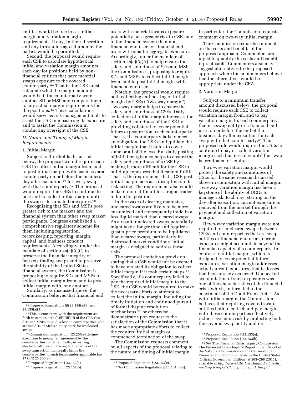entities would be free to set initial margin and variation margin requirements, if any, in their discretion

and any thresholds agreed upon by the parties would be permitted. Second, the proposal would require each CSE to calculate hypothetical initial and variation margin amounts each day for positions held by nonfinancial entities that have material swaps exposure to the covered counterparty.44 That is, the CSE must calculate what the margin amounts would be if the counterparty were another SD or MSP and compare them to any actual margin requirements for the positions.45 These calculations would serve as risk management tools to assist the CSE in measuring its exposure and to assist the Commission in conducting oversight of the CSE.

# *D. Nature and Timing of Margin Requirements*

# 1. Initial Margin

Subject to thresholds discussed below, the proposal would require each CSE to collect initial margin from, and to post initial margin with, each covered counterparty on or before the business day after execution 46 for every swap with that counterparty.<sup>47</sup> The proposal would require the CSEs to continue to post and to collect initial margin until the swap is terminated or expires.48

Recognizing that SDs and MSPs pose greater risk to the markets and the financial system than other swap market participants, Congress established a comprehensive regulatory scheme for them including registration, recordkeeping, reporting, margin, capital, and business conduct requirements. Accordingly, under the mandate of section 4s(e)(3)(C) to preserve the financial integrity of markets trading swaps and to preserve the stability of the United States financial system, the Commission is proposing to require SDs and MSPs to collect initial margin from, and to post initial margin with, one another.

Similarly, as discussed above, the Commission believes that financial end users with material swaps exposure potentially pose greater risk to CSEs and to the financial system than nonfinancial end users or financial end users with smaller aggregate exposures. Accordingly, under the mandate of section 4s(e)(3)(A) to help ensure the safety and soundness of SDs and MSPs, the Commission is proposing to require SDs and MSPs to collect initial margin from, and to post initial margin with, financial end users.

Notably, the proposal would require both collecting and posting of initial margin by CSEs (''two-way margin''). Two-way margin helps to ensure the safety and soundness of CSEs. Daily collection of initial margin increases the safety and soundness of the CSE by providing collateral to cover potential future exposure from each counterparty. That is, if a counterparty fails to meet an obligation, the CSE can liquidate the initial margin that it holds to cover some or all of the loss. But daily posting of initial margin also helps to ensure the safety and soundness of a CSE by making it more difficult for the CSE to build up exposures that it cannot fulfill. That is, the requirement that a CSE post initial margin acts as a discipline on its risk taking. The requirement also would make it more difficult for a rogue trader to hide his positions.

In the wake of clearing mandates, uncleared swaps are likely to be more customized and consequently trade in a less liquid market than cleared swaps. As a result, uncleared swaps potentially might take a longer time and require a greater price premium to be liquidated than cleared swaps, particularly in distressed market conditions. Initial margin is designed to address these risks.

The proposal contains a provision stating that a CSE would not be deemed to have violated its obligation to collect initial margin if it took certain steps.49 Specifically, if a counterparty failed to pay the required initial margin to the CSE, the CSE would be required to make the necessary efforts to attempt to collect the initial margin, including the timely initiation and continued pursuit of formal dispute resolution mechanisms,50 or otherwise demonstrate upon request to the satisfaction of the Commission that it has made appropriate efforts to collect the required initial margin or commenced termination of the swap.

The Commission requests comment on all aspects of the proposal relating to the nature and timing of initial margin.

In particular, the Commission requests comment on two-way initial margin.

The Commission requests comment on the costs and benefits of the proposed approach. Commenters are urged to quantify the costs and benefits, if practicable. Commenters also may suggest alternatives to the proposed approach where the commenters believe that the alternatives would be appropriate under the CEA.

#### 2. Variation Margin

Subject to a minimum transfer amount discussed below, the proposal would require each CSE to collect variation margin from, and to pay variation margin to, each counterparty that is a swap entity or a financial end user, on or before the end of the business day after execution for each swap with that counterparty.51 The proposed rule would require the CSEs to continue to pay or collect variation margin each business day until the swap is terminated or expires.52

Two-way variation margin would protect the safety and soundness of CSEs for the same reasons discussed above in connection with initial margin. Two-way variation margin has been a keystone of the ability of DCOs to manage risk. Each day, starting on the day after execution, current exposure is removed from the market through the payment and collection of variation margin.

If two-way variation margin were not required for uncleared swaps between CSEs and counterparties that are swap entities or financial end users, current exposures might accumulate beyond the financial capacity of a counterparty. In contrast to initial margin, which is designed to cover potential future exposures, variation margin addresses actual current exposures, that is, losses that have already occurred. Unchecked accumulation of such exposures was one of the characteristics of the financial crisis which, in turn, led to the enactment of the Dodd-Frank Act.53 As with initial margin, the Commission believes that requiring covered swap entities both to collect and pay margin with these counterparties effectively reduces systemic risk by protecting both the covered swap entity and its

<sup>44</sup>Proposed Regulations §§ 23.154(a)(6) and  $23.155(a)(3)$ .

<sup>45</sup>This is consistent with the requirement set forth in section 4s(h)(3)(B)(iii)(II) of the CEA that SDs and MSPs must disclose to counterparties who are not SDs or MSPs a daily mark for uncleared swaps.

<sup>46</sup>Commission Regulation § 23.200(e) defines execution to mean, ''an agreement by the counterparties (whether orally, in writing, electronically, or otherwise) to the terms of the swap transaction that legally binds the counterparties to such terms under applicable law.'' 17 CFR 23.200(e).

<sup>47</sup>Proposed Regulation § 23.152(a).

<sup>48</sup>Proposed Regulation § 23.152(b).

<sup>49</sup>Proposed Regulation § 23.152(c).

<sup>50</sup>*See* Commission Regulation § 23.504(b)(4).

<sup>51</sup>Proposed Regulation § 23.153(a).

<sup>52</sup>Proposed Regulation § 23.153(b).

<sup>53</sup>*See* The Financial Crisis Inquiry Commission, The Financial Crisis Inquiry Report: Final Report of the National Commission on the Causes of the Financial and Economic Crisis in the United States (Official Government Edition) at 265–268 (2011), available at *[http://fcic-static.law.stanford.edu/cdn](http://fcic-static.law.stanford.edu/cdn_media/fcic-reports/fcic_final_report_full.pdf)*\_ *[media/fcic-reports/fcic](http://fcic-static.law.stanford.edu/cdn_media/fcic-reports/fcic_final_report_full.pdf)*\_*final*\_*report*\_*full.pdf.*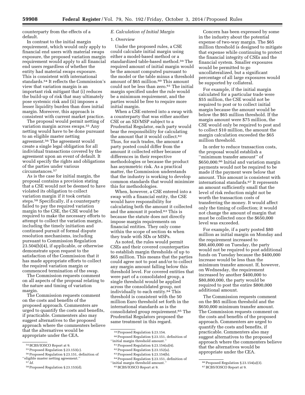counterparty from the effects of a default.

In contrast to the initial margin requirement, which would only apply to financial end users with material swaps exposure, the proposed variation margin requirement would apply to all financial end users regardless of whether the entity had material swaps exposure. This is consistent with international standards.54 It reflects the Commission's view that variation margin is an important risk mitigant that (i) reduces the build-up of risk that may ultimately pose systemic risk and (ii) imposes a lesser liquidity burden than does initial margin. Moreover, this approach is consistent with current market practice.

The proposal would permit netting of variation margin across swaps.55 Any netting would have to be done pursuant to an eligible master netting agreement.56 The agreement would create a single legal obligation for all individual transactions covered by the agreement upon an event of default. It would specify the rights and obligations of the parties under various circumstances.57

As is the case for initial margin, the proposal contains a provision stating that a CSE would not be deemed to have violated its obligation to collect variation margin if it took certain steps.58 Specifically, if a counterparty failed to pay the required variation margin to the CSE, the CSE would be required to make the necessary efforts to attempt to collect the variation margin, including the timely initiation and continued pursuit of formal dispute resolution mechanisms, including pursuant to Commission Regulation 23.504(b)(4), if applicable, or otherwise demonstrate upon request to the satisfaction of the Commission that it has made appropriate efforts to collect the required variation margin or commenced termination of the swap.

The Commission requests comment on all aspects of the proposal relating to the nature and timing of variation margin.

The Commission requests comment on the costs and benefits of the proposed approach. Commenters are urged to quantify the costs and benefits, if practicable. Commenters also may suggest alternatives to the proposed approach where the commenters believe that the alternatives would be appropriate under the CEA.

# *E. Calculation of Initial Margin*

#### 1. *Overview*

Under the proposed rules, a CSE could calculate initial margin using either a model-based method or a standardized table-based method.59 The required amount of initial margin would be the amount computed pursuant to the model or the table minus a threshold amount of \$65 million.<sup>60</sup> This amount could not be less than zero.<sup>61</sup> The initial margin specified under the rule would be a minimum requirement, and the parties would be free to require more initial margin.

When a CSE entered into a swap with a counterparty that was either another CSE or an SD/MSP subject to a Prudential Regulator, each party would bear the responsibility for calculating the amount that it would collect.<sup>62</sup> Thus, for such trades, the amount a party posted could differ from the amount it collected either because of differences in their respective methodologies or because the product has asymmetric risk. As a practical matter, the Commission understands that the industry is working to develop common standards that would minimize this for methodologies.

When, however, a CSE entered into a swap with a financial entity, the CSE would have responsibility for calculating both the amount it collected and the amount it posted.63 This is because the statute does not directly impose margin requirements on financial entities. They only come within the scope of section 4s when they trade with SDs or MSPs.

As noted, the rules would permit CSEs and their covered counterparties to establish margin thresholds of up to \$65 million. This means that the parties could agree not to post and/or to collect any margin amount falling below this threshold level. For covered entities that were part of a consolidated group, a single threshold would be applied across the consolidated group, not individually to each entity.64 This threshold is consistent with the 50 million Euro threshold set forth in the international standards as is the consolidated group requirement.65 The Prudential Regulators proposed the same treatment in this regard.

- 63Proposed Regulation § 23.154(b).
- 64Proposed Regulation § 23.151, definition of ''initial margin threshold amount.''

Concern has been expressed by some in the industry about the potential expense of two-way margin. The \$65 million threshold is designed to mitigate that expense while continuing to protect the financial integrity of CSEs and the financial system. Smaller exposures would be permitted to go uncollateralized, but a significant percentage of all large exposures would be supported by collateral.

For example, if the initial margin calculated for a particular trade were \$55 million, the CSE would not be required to post or to collect initial margin because the amount would be below the \$65 million threshold. If the margin amount were \$75 million, the CSE would only be required to post and to collect \$10 million, the amount the margin calculation exceeded the \$65 million threshold.

In order to reduce transaction costs, the proposal would establish a ''minimum transfer amount'' of \$650,000.66 Initial and variation margin payments would not be required to be made if the payment were below that amount. This amount is consistent with international standards.67 It represents an amount sufficiently small that the level of risk reduction might not be worth the transaction costs of transferring the money. It would affect only the timing of collection; it would not change the amount of margin that must be collected once the \$650,000 level was exceeded.

For example, if a party posted \$80 million as initial margin on Monday and the requirement increased to \$80,400,000 on Tuesday, the party would not be required to post additional funds on Tuesday because the \$400,000 increase would be less than the minimum transfer amount. If, however, on Wednesday, the requirement increased by another \$400,000 to \$80,800,000, the party would be required to post the entire \$800,000 additional amount.

The Commission requests comment on the \$65 million threshold and the \$650,000 minimum transfer amount. The Commission requests comment on the costs and benefits of the proposed approach. Commenters are urged to quantify the costs and benefits, if practicable. Commenters also may suggest alternatives to the proposed approach where the commenters believe that the alternatives would be appropriate under the CEA.

<sup>54</sup> BCBS/IOSCO Report at 9.

<sup>55</sup>Proposed Regulation § 23.153(c).

<sup>56</sup>Proposed Regulation § 23.151, definition of ''eligible master netting agreement.''

<sup>57</sup> *Id.* 

<sup>58</sup>Proposed Regulation § 23.153(d).

<sup>59</sup>Proposed Regulation § 23.154.

<sup>60</sup>Proposed Regulation § 23.151, definition of ''initial margin threshold amount.''

<sup>61</sup>Proposed Regulation § 23.154(a)(4).

<sup>62</sup>Proposed Regulation § 23.152(a).

<sup>65</sup>BCBS/IOSCO Report at 9.

<sup>66</sup>Proposed Regulation § 23.154(a)(3).

<sup>67</sup>BCBS/IOSCO Report at 9.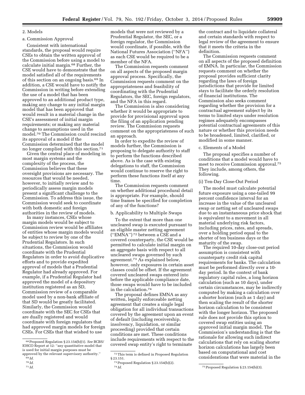# 2. Models

# a. Commission Approval

Consistent with international standards, the proposal would require CSEs to obtain the written approval of the Commission before using a model to calculate initial margin.68 Further, the CSE would have to demonstrate that the model satisfied all of the requirements of this section on an ongoing basis.69 In addition, a CSE would have to notify the Commission in writing before extending the use of a model that has been approved to an additional product type, making any change to any initial margin model that has been approved that would result in a material change in the CSE's assessment of initial margin requirements; or making any material change to assumptions used in the model.70 The Commission could rescind its approval of a model if the Commission determined that the model no longer complied with this section.71

Given the central place of modeling in most margin systems and the complexity of the process, the Commission believes that these oversight provisions are necessary. The resources that would be needed, however, to initially review and to periodically assess margin models present a significant challenge to the Commission. To address this issue, the Commission would seek to coordinate with both domestic and foreign authorities in the review of models.

In many instances, CSEs whose margin models would be subject to Commission review would be affiliates of entities whose margin models would be subject to review by one of the Prudential Regulators. In such situations, the Commission would coordinate with the Prudential Regulators in order to avoid duplicative efforts and to provide expedited approval of models that a Prudential Regulator had already approved. For example, if a Prudential Regulator had approved the model of a depository institution registered as an SD, Commission review of a comparable model used by a non-bank affiliate of that SD would be greatly facilitated. Similarly, the Commission would coordinate with the SEC for CSEs that are dually registered and would coordinate with foreign regulators that had approved margin models for foreign CSEs. For CSEs that that wished to use

models that were not reviewed by a Prudential Regulator, the SEC, or a foreign regulator, the Commission would coordinate, if possible, with the National Futures Association (''NFA'') as each CSE would be required to be a member of the NFA.

The Commission requests comment on all aspects of the proposed margin approval process. Specifically, the Commission requests comment on the appropriateness and feasibility of coordinating with the Prudential Regulators, the SEC, foreign regulators, and the NFA in this regard.

The Commission is also considering whether it would be appropriate to provide for provisional approval upon the filing of an application pending review. The Commission requests comment on the appropriateness of such an approach.

In order to expedite the review of models further, the Commission is proposing to delegate authority to staff to perform the functions described above. As is the case with existing delegations to staff, the Commission would continue to reserve the right to perform these functions itself at any time.

The Commission requests comment on whether additional procedural detail is appropriate. For example, should time frames be specified for completion of any of the functions?

# b. Applicability to Multiple Swaps

To the extent that more than one uncleared swap is executed pursuant to an eligible master netting agreement (''EMNA'') 72 between a CSE and a covered counterparty, the CSE would be permitted to calculate initial margin on an aggregate basis with respect to all uncleared swaps governed by such agreement.73 As explained below, however, only exposures in certain asset classes could be offset. If the agreement covered uncleared swaps entered into before the applicable compliance date, those swaps would have to be included in the calculation.74

The proposal defines EMNA as any written, legally enforceable netting agreement that creates a single legal obligation for all individual transactions covered by the agreement upon an event of default (including receivership, insolvency, liquidation, or similar proceeding) provided that certain conditions are met. These conditions include requirements with respect to the covered swap entity's right to terminate

the contract and to liquidate collateral and certain standards with respect to legal review of the agreement to ensure that it meets the criteria in the definition.

The Commission requests comment on all aspects of the proposed definition of EMNA. In particular, the Commission requests comment on whether the proposal provides sufficient clarity regarding the laws of foreign jurisdictions that provide for limited stays to facilitate the orderly resolution of financial institutions. The Commission also seeks comment regarding whether the provision for a contractual agreement subject by its terms to limited stays under resolution regimes adequately encompasses potential contractual agreements of this nature or whether this provision needs to be broadened, limited, clarified, or modified in some manner.

# c. Elements of a Model

The proposal specifies a number of conditions that a model would have to meet to receive Commission approval.75 They include, among others, the following.

## (i) Ten-Day Close-Out Period

The model must calculate potential future exposure using a one-tailed 99 percent confidence interval for an increase in the value of the uncleared swap or netting set of uncleared swaps due to an instantaneous price shock that is equivalent to a movement in all material underlying risk factors, including prices, rates, and spreads, over a holding period equal to the shorter of ten business days or the maturity of the swap.

The required 10-day close-out period assumption is consistent with counterparty credit risk capital requirements for banks. The calculation must be performed directly over a 10 day period. In the context of bank regulatory capital rules, a long horizon calculation (such as 10 days), under certain circumstances, may be indirectly computed by making a calculation over a shorter horizon (such as 1 day) and then scaling the result of the shorter horizon calculation to be consistent with the longer horizon. The proposed rule does not provide this option to covered swap entities using an approved initial margin model. The Commission's understanding is that the rationale for allowing such indirect calculations that rely on scaling shorter horizon calculations has largely been based on computational and cost considerations that were material in the

<sup>68</sup>Proposed Regulation § 23.154(b)(1). *See* BCBS/ IOSCO Report at 12: ''any quantitative model that is used for initial margin purposes must be approved by the relevant supervisory authority.''

<sup>69</sup> *Id.* 

<sup>70</sup> *Id.* 

<sup>71</sup> *Id.* 

<sup>72</sup>This term is defined in Proposed Regulation § 23.151.

<sup>73</sup>Proposed Regulation § 23.154(b)(2).

<sup>74</sup> *Id.* 75Proposed Regulation § 23.154(b)(3).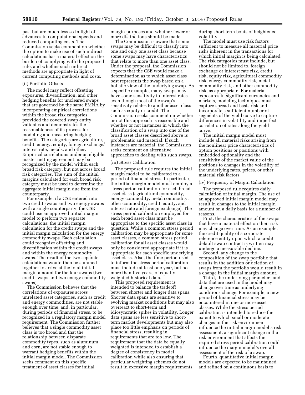past but are much less so in light of advances in computational speeds and reduced computing costs. The Commission seeks comment on whether the option to make use of such indirect calculations has a material effect on the burden of complying with the proposed rule, and whether such indirect methods are appropriate in light of current computing methods and costs.

#### (ii) Portfolio Offsets

The model may reflect offsetting exposures, diversification, and other hedging benefits for uncleared swaps that are governed by the same EMNA by incorporating empirical correlations within the broad risk categories, provided the covered swap entity validates and demonstrates the reasonableness of its process for modeling and measuring hedging benefits. The categories are agriculture, credit, energy, equity, foreign exchange/ interest rate, metals, and other. Empirical correlations under an eligible master netting agreement may be recognized by the model within each broad risk category, but not across broad risk categories. The sum of the initial margins calculated for each broad risk category must be used to determine the aggregate initial margin due from the counterparty.

For example, if a CSE entered into two credit swaps and two energy swaps with a single counterparty, the CSE could use an approved initial margin model to perform two separate calculations: the initial margin calculation for the credit swaps and the initial margin calculation for the energy commodity swaps. Each calculation could recognize offsetting and diversification within the credit swaps and within the energy commodity swaps. The result of the two separate calculations would then be summed together to arrive at the total initial margin amount for the four swaps (two credit swaps and two energy commodity swaps).

The Commission believes that the correlations of exposures across unrelated asset categories, such as credit and energy commodities, are not stable enough over time, and, in particular, during periods of financial stress, to be recognized in a regulatory margin model requirement. The Commission further believes that a single commodity asset class is too broad and that the relationship between disparate commodity types, such as aluminum and corn, are not stable enough to warrant hedging benefits within the initial margin model. The Commission seeks comment on this specific treatment of asset classes for initial

margin purposes and whether fewer or more distinctions should be made.

The Commission is aware that some swaps may be difficult to classify into one and only one asset class because some swaps may have characteristics that relate to more than one asset class. Under the proposal, the Commission expects that the CSE would make a determination as to which asset class best represents the swap based on a holistic view of the underlying swap. As a specific example, many swaps may have some sensitivity to interest rates even though most of the swap's sensitivity relates to another asset class such as equity or credit. The Commission seeks comment on whether or not this approach is reasonable and whether or not instances in which the classification of a swap into one of the broad asset classes described above is problematic and material. If such instances are material, the Commission seeks comment on alternative approaches to dealing with such swaps.

#### (iii) Stress Calibration

The proposed rule requires the initial margin model to be calibrated to a period of financial stress. In particular, the initial margin model must employ a stress period calibration for each broad asset class (agricultural commodity, energy commodity, metal commodity, other commodity, credit, equity, and interest rate and foreign exchange). The stress period calibration employed for each broad asset class must be appropriate to the specific asset class in question. While a common stress period calibration may be appropriate for some asset classes, a common stress period calibration for all asset classes would only be considered appropriate if it is appropriate for each specific underlying asset class. Also, the time period used to inform the stress period calibration must include at least one year, but no more than five years, of equallyweighted historical data.

This proposed requirement is intended to balance the tradeoff between shorter and longer data spans. Shorter data spans are sensitive to evolving market conditions but may also overreact to short-term and idiosyncratic spikes in volatility. Longer data spans are less sensitive to shortterm market developments but may also place too little emphasis on periods of financial stress, resulting in requirements that are too low. The requirement that the data be equally weighted is intended to establish a degree of consistency in model calibration while also ensuring that particular weighting schemes do not result in excessive margin requirements

during short-term bouts of heightened volatility.

The model must use risk factors sufficient to measure all material price risks inherent in the transactions for which initial margin is being calculated. The risk categories must include, but should not be limited to, foreign exchange or interest rate risk, credit risk, equity risk, agricultural commodity risk, energy commodity risk, metal commodity risk, and other commodity risk, as appropriate. For material exposures in significant currencies and markets, modeling techniques must capture spread and basis risk and incorporate a sufficient number of segments of the yield curve to capture differences in volatility and imperfect correlation of rates along the yield curve.

The initial margin model must include all material risks arising from the nonlinear price characteristics of option positions or positions with embedded optionality and the sensitivity of the market value of the positions to changes in the volatility of the underlying rates, prices, or other material risk factors.

#### (iv) Frequency of Margin Calculation

The proposed rule requires daily calculation of initial margin. The use of an approved initial margin model may result in changes to the initial margin amount on a daily basis for a number of reasons.

First, the characteristics of the swaps that have a material effect on their risk may change over time. As an example, the credit quality of a corporate reference entity upon which a credit default swap contract is written may undergo a measurable decline.

Second, any change to the composition of the swap portfolio that results in the addition or deletion of swaps from the portfolio would result in a change in the initial margin amount.

Third, the underlying parameters and data that are used in the model may change over time as underlying conditions change. For example, a new period of financial stress may be encountered in one or more asset classes. While the stress period calibration is intended to reduce the extent to which small or moderate changes in the risk environment influence the initial margin model's risk assessment, a significant change in the risk environment that affects the required stress period calibration could influence the margin model's overall assessment of the risk of a swap.

Fourth, quantitative initial margin models are expected to be maintained and refined on a continuous basis to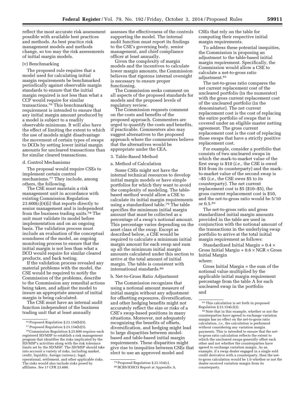reflect the most accurate risk assessment possible with available best practices and methods. As best practice risk management models and methods change, so too may the risk assessments of initial margin models.

#### (v) Benchmarking

The proposed rule requires that a model used for calculating initial margin requirements be benchmarked periodically against observable margin standards to ensure that the initial margin required is not less than what a CCP would require for similar transactions.76 This benchmarking requirement is intended to ensure that any initial margin amount produced by a model is subject to a readily observable minimum. It will also have the effect of limiting the extent to which the use of models might disadvantage the movement of certain types of swaps to DCOs by setting lower initial margin amounts for uncleared transactions than for similar cleared transactions.

# d. Control Mechanisms

The proposal would require CSEs to implement certain control mechanisms.77 They include, among others, the following.

The CSE must maintain a risk management unit in accordance with existing Commission Regulation 23.600(c)(4)(i) that reports directly to senior management and is independent from the business trading units.78 The unit must validate its model before implementation and on an ongoing basis. The validation process must include an evaluation of the conceptual soundness of the model, an ongoing monitoring process to ensure that the initial margin is not less than what a DCO would require for similar cleared products, and back testing.

If the validation process revealed any material problems with the model, the CSE would be required to notify the Commission of the problems, describe to the Commission any remedial actions being taken, and adjust the model to insure an appropriate amount of initial margin is being calculated.

The CSE must have an internal audit function independent of the business trading unit that at least annually

assesses the effectiveness of the controls supporting the model. The internal audit function must report its findings to the CSE's governing body, senior management, and chief compliance officer at least annually.

Given the complexity of margin models and the incentives to calculate lower margin amounts, the Commission believes that rigorous internal oversight is necessary to ensure proper functioning.

The Commission seeks comment on all aspects of the proposed standards for models and the proposed levels of regulatory review.

The Commission requests comment on the costs and benefits of the proposed approach. Commenters are urged to quantify the costs and benefits, if practicable. Commenters also may suggest alternatives to the proposed approach where the commenters believe that the alternatives would be appropriate under the CEA.

## 3. Table-Based Method

a. Method of Calculation

Some CSEs might not have the internal technical resources to develop initial margin models or have simple portfolios for which they want to avoid the complexity of modeling. The tablebased method would allow a CSE to calculate its initial margin requirements using a standardized table.<sup>79</sup> The table specifies the minimum initial margin amount that must be collected as a percentage of a swap's notional amount. This percentage varies depending on the asset class of the swap. Except as described below, a CSE would be required to calculate a minimum initial margin amount for each swap and sum up all the minimum initial margin amounts calculated under this section to arrive at the total amount of initial margin. The table is consistent with international standards.80

# b. Net-to-Gross Ratio Adjustment

The Commission recognizes that using a notional amount measure of initial margin without any adjustment for offsetting exposures, diversification, and other hedging benefits might not accurately reflect the size or risks of a CSE's swap-based positions in many situations. Moreover, not adequately recognizing the benefits of offsets, diversification, and hedging might lead to large disparities between modelbased and table-based initial margin requirements. These disparities might give rise to inequities between CSEs that elect to use an approved model and

CSEs that rely on the table for computing their respective initial margin requirements.

To address these potential inequities, the Commission is proposing an adjustment to the table-based initial margin requirement. Specifically, the Commission would allow a CSE to calculate a net-to-gross ratio adjustment.81

The net-to-gross ratio compares the net current replacement cost of the uncleared portfolio (in the numerator) with the gross current replacement cost of the uncleared portfolio (in the denominator). The net current replacement cost is the cost of replacing the entire portfolio of swaps that is covered under an eligible master netting agreement. The gross current replacement cost is the cost of replacing those swaps that have a strictly positive replacement cost.

For example, consider a portfolio that consists of two uncleared swaps in which the mark-to-market value of the first swap is \$10 (*i.e.,* the CSE is owed \$10 from its counterparty) and the markto-market value of the second swap is –\$5 (*i.e.,* the CSE owes \$5 to its counterparty). The net current replacement cost is \$5 (\$10–\$5), the gross current replacement cost is \$10, and the net-to-gross ratio would be 5/10 or 0.5.82

The net-to-gross ratio and gross standardized initial margin amounts provided in the table are used in conjunction with the notional amount of the transactions in the underlying swap portfolio to arrive at the total initial margin requirement as follows:

Standardized Initial Margin =  $0.4 \times$ Gross Initial Margin  $+0.6 \times NGR \times Gross$ Initial Margin where:

Gross Initial Margin = the sum of the notional value multiplied by the applicable initial margin requirement percentage from the table A for each uncleared swap in the portfolio and

<sup>76</sup>Proposed Regulation § 23.154(b)(5).

<sup>77</sup>Proposed Regulation § 23.154(b)(5).

<sup>78</sup>Commission Regulation § 23.600 requires each registered SD/MSP to establish a risk management program that identifies the risks implicated by the SD/MSP's activities along with the risk tolerance limits set by the SD/MSP. The SD/MSP should take into account a variety of risks, including market, credit, liquidity, foreign currency, legal, operational, settlement, and other applicable risks. The risks would also include risks posed by affiliates. *See* 17 CFR 23.600.

<sup>79</sup>Proposed Regulation § 23.154(c).

<sup>80</sup>BCBS/IOSCO Report at Appendix A.

<sup>81</sup>This calculation is set forth in proposed Regulation § 23.154(c)(2).

<sup>82</sup>Note that in this example, whether or not the counterparties have agreed to exchange variation margin has no effect on the net-to-gross ratio calculation, *i.e.,* the calculation is performed without considering any variation margin payments. This is intended to ensure that the netto-gross ratio calculation reflects the extent to which the uncleared swaps generally offset each other and not whether the counterparties have agreed to exchange variation margin. As an example, if a swap dealer engaged in a single sold credit derivative with a counterparty, then the netto-gross calculation would be 1.0 whether or not the dealer received variation margin from its counterparty.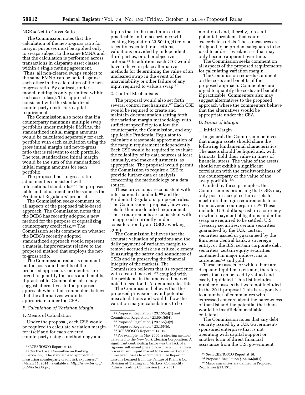#### NGR = Net-to-Gross Ratio

The Commission notes that the calculation of the net-to-gross ratio for margin purposes must be applied only to swaps subject to the same EMNA and that the calculation is performed across transactions in disparate asset classes within a single netting agreement. (Thus, all non-cleared swaps subject to the same EMNA can be netted against each other in the calculation of the netto-gross ratio. By contrast, under a model, netting is only permitted within each asset class). This approach is consistent with the standardized counterparty credit risk capital requirements.

The Commission also notes that if a counterparty maintains multiple swap portfolios under multiple EMNAs, the standardized initial margin amounts would be calculated separately for each portfolio with each calculation using the gross initial margin and net-to-gross ratio that is relevant to each portfolio. The total standardized initial margin would be the sum of the standardized initial margin amounts for each portfolio.

The proposed net-to-gross ratio adjustment is consistent with international standards.83 The proposed table and adjustment are the same as the Prudential Regulators' proposal.

The Commission seeks comment on all aspects of the proposed table-based approach. The Commission notes that the BCBS has recently adopted a new method for the purpose of capitalizing counterparty credit risk.84 The Commission seeks comment on whether the BCBS's recently adopted standardized approach would represent a material improvement relative to the proposed method that employs the netto-gross ratio.

The Commission requests comment on the costs and benefits of the proposed approach. Commenters are urged to quantify the costs and benefits, if practicable. Commenters also may suggest alternatives to the proposed approach where the commenters believe that the alternatives would be appropriate under the CEA.

#### *F. Calculation of Variation Margin*

#### 1. Means of Calculation

Under the proposal, each CSE would be required to calculate variation margin for itself and for each covered counterparty using a methodology and

inputs that to the maximum extent practicable and in accordance with existing Regulation 23.504(b)(4) rely on recently-executed transactions, valuations provided by independent third parties, or other objective criteria.85 In addition, each CSE would have to have in place alternative methods for determining the value of an uncleared swap in the event of the unavailability or other failure of any input required to value a swap.86

# 2. Control Mechanisms

The proposal would also set forth several control mechanisms.87 Each CSE would be required to create and maintain documentation setting forth the variation margin methodology with sufficient specificity to allow the counterparty, the Commission, and any applicable Prudential Regulator to calculate a reasonable approximation of the margin requirement independently. Each CSE would be required to evaluate the reliability of its data sources at least annually, and make adjustments, as appropriate. The proposal would permit the Commission to require a CSE to provide further data or analysis concerning the methodology or a data source.

These provisions are consistent with international standards 88 and the Prudential Regulators' proposed rules. The Commission's proposal, however, sets forth more detailed requirements. These requirements are consistent with an approach currently under consideration by an IOSCO working group.

The Commission believes that the accurate valuation of positions and the daily payment of variation margin to remove accrued risk is a critical element in assuring the safety and soundness of CSEs and in preserving the financial integrity of the markets. The Commission believes that its experience with cleared markets<sup>89</sup> coupled with the problems in the uncleared markets noted in section II.A. demonstrates this.

The Commission believes that the proposed provisions avoid potential miscalculations and would allow the variation margin calculations to be

85Proposed Regulation § 23.155(a)(1) and Commission Regulation § 23.504(b)(4).

- 86Proposed Regulation § 23.155(a)(2).
- <sup>87</sup> Proposed Regulation § 23.155(b).

89For example, in May 2000, a clearing member defaulted to the New York Clearing Corporation. A significant contributing factor was the lack of a rigorous settlement price procedure which allowed prices in an illiquid market to be mismarked and unrealized losses to accumulate. *See* Report on Lessons Learned from the Failure of Klein & Co, Division of Trading and Markets, Commodity Futures Trading Commission (July 2001).

monitored and, thereby, forestall potential problems that could exacerbate a crisis. These measures are designed to be prudent safeguards to be used to address weaknesses that may only become apparent over time.

The Commission seeks comment on all aspects of the proposed requirements for calculating variation margin.

The Commission requests comment on the costs and benefits of the proposed approach. Commenters are urged to quantify the costs and benefits, if practicable. Commenters also may suggest alternatives to the proposed approach where the commenters believe that the alternatives would be appropriate under the CEA.

#### *G. Forms of Margin*

#### 1. Initial Margin

In general, the Commission believes that margin assets should share the following fundamental characteristics. The assets should be liquid and, with haircuts, hold their value in times of financial stress. The value of the assets should not exhibit a significant correlation with the creditworthiness of the counterparty or the value of the swap portfolio.90

Guided by these principles, the Commission is proposing that CSEs may only post or accept certain assets to meet initial margin requirements to or from covered counterparties.91 These include: U.S. dollars; cash in a currency in which payment obligations under the swap are required to be settled; U.S. Treasury securities; certain securities guaranteed by the U.S.; certain securities issued or guaranteed by the European Central bank, a sovereign entity, or the BIS; certain corporate debt securities; certain equity securities contained in major indices; major currencies, 92 and gold.

These are assets for which there are deep and liquid markets and, therefore, assets that can be readily valued and easily liquidated. This list includes a number of assets that were not included in the 2011 proposal. This is responsive to a number of commenters who expressed concern about the narrowness of that list and the potential that there would be insufficient available collateral.

The Commission notes that any debt security issued by a U.S. Governmentsponsored enterprise that is not operating with capital support or another form of direct financial assistance from the U.S. government

<sup>83</sup>BCBS/IOSCO Report at 13.

<sup>84</sup>*See* the Basel Committee on Banking Supervision, ''The standardized approach for measuring counterparty credit risk exposures,'' (March 31, 2014), available at *[http://www.bis.org/](http://www.bis.org/publ/bcbs279.pdf) [publ/bcbs279.pdf.](http://www.bis.org/publ/bcbs279.pdf)* 

<sup>88</sup>BCBS/IOSCO Report at 14–15.

<sup>90</sup>*See* BCBS/IOSCO Report at 16.

<sup>91</sup>Proposed Regulation § 23.156(a)(1).

<sup>92</sup>Major currencies are defined in Proposed Regulation § 23.151.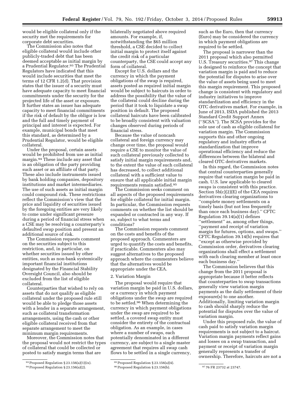would be eligible collateral only if the security met the requirements for corporate debt securities.

The Commission also notes that eligible collateral would include other publicly-traded debt that has been deemed acceptable as initial margin by a Prudential Regulator.<sup>93</sup> The Prudential Regulators have indicated that this would include securities that meet the terms of 12 CFR 1.2(d). That provision states that the issuer of a security must have adequate capacity to meet financial commitments under the security for the projected life of the asset or exposure. It further states an issuer has adequate capacity to meet financial commitments if the risk of default by the obligor is low and the full and timely payment of principal and interest is expected. For example, municipal bonds that meet this standard, as determined by a Prudential Regulator, would be eligible collateral.

Under the proposal, certain assets would be prohibited from use as initial margin.94 These include any asset that is an obligation of the party providing such asset or an affiliate of that party. These also include instruments issued by bank holding companies, depository institutions and market intermediaries. The use of such assets as initial margin could compound risk. These restrictions reflect the Commission's view that the price and liquidity of securities issued by the foregoing entities are very likely to come under significant pressure during a period of financial stress when a CSE may be resolving a counterparty's defaulted swap position and present an additional source of risk.

The Commission requests comment on the securities subject to this restriction, and, in particular, on whether securities issued by other entities, such as non-bank systemically important financial institutions designated by the Financial Stability Oversight Council, also should be excluded from the list of eligible collateral.

Counterparties that wished to rely on assets that do not qualify as eligible collateral under the proposed rule still would be able to pledge those assets with a lender in a separate arrangement, such as collateral transformation arrangements, using the cash or other eligible collateral received from that separate arrangement to meet the minimum margin requirements.

Moreover, the Commission notes that the proposal would not restrict the types of collateral that could be collected or posted to satisfy margin terms that are

bilaterally negotiated above required amounts. For example, if, notwithstanding the \$65 million threshold, a CSE decided to collect initial margin to protect itself against the credit risk of a particular counterparty, the CSE could accept any form of collateral.

Except for U.S. dollars and the currency in which the payment obligations of the swap is required, assets posted as required initial margin would be subject to haircuts in order to address the possibility that the value of the collateral could decline during the period that it took to liquidate a swap position in default. The proposed collateral haircuts have been calibrated to be broadly consistent with valuation changes observed during periods of financial stress.

Because the value of noncash collateral and foreign currency may change over time, the proposal would require a CSE to monitor the value of such collateral previously collected to satisfy initial margin requirements and, to the extent the value of such collateral has decreased, to collect additional collateral with a sufficient value to ensure that all applicable initial margin requirements remain satisfied.95

The Commission seeks comment on all aspects of the proposed requirements for eligible collateral for initial margin. In particular, the Commission requests comments on whether the list should be expanded or contracted in any way. If so, subject to what terms and conditions?

The Commission requests comment on the costs and benefits of the proposed approach. Commenters are urged to quantify the costs and benefits, if practicable. Commenters also may suggest alternatives to the proposed approach where the commenters believe that the alternatives would be appropriate under the CEA.

#### 2. Variation Margin

The proposal would require that variation margin be paid in U.S. dollars, or a currency in which payment obligations under the swap are required to be settled.96 When determining the currency in which payment obligations under the swap are required to be settled, a covered swap entity must consider the entirety of the contractual obligation. As an example, in cases where a number of swaps, each potentially denominated in a different currency, are subject to a single master agreement that requires all swap cash flows to be settled in a single currency,

such as the Euro, then that currency (Euro) may be considered the currency in which payment obligations are required to be settled.

The proposal is narrower than the 2011 proposal which also permitted U.S. Treasury securities.97 This change is designed to reinforce the concept that variation margin is paid and to reduce the potential for disputes to arise over the value of assets being used to meet this margin requirement. This proposed change is consistent with regulatory and industry initiatives to improve standardization and efficiency in the OTC derivatives market. For example, in June of 2013, ISDA published the 2013 Standard Credit Support Annex (''SCSA''). The SCSA provides for the sole use of cash as eligible collateral for variation margin. The Commission supports this and other ongoing regulatory and industry efforts at standardization that improve operational efficiency and reduce the differences between the bilateral and cleared OTC derivatives markets.

In this regard, the Commission notes that central counterparties generally require that variation margin be paid in cash. U.S. law applicable to cleared swaps is consistent with this practice. Section 5b(c)(2)(E) of the CEA requires derivatives clearing organizations to ''complete money settlements on a timely basis (but not less frequently than once each business day).'' CFTC Regulation 39.14(a)(1) defines ''settlement'' as, among other things, ''payment and receipt of variation margin for futures, options, and swaps.'' CFTC Regulation 39.14(b) requires that ''except as otherwise provided by Commission order, derivatives clearing organizations shall effect a settlement with each clearing member at least once each business day.''

The Commission believes that this change from the 2011 proposal is appropriate because it better reflects that counterparties to swap transactions generally view variation margin payments as the daily settlement of their exposure(s) to one another. Additionally, limiting variation margin to cash should sharply reduce the potential for disputes over the value of variation margin.

Under this proposed rule, the value of cash paid to satisfy variation margin requirements is not subject to a haircut. Variation margin payments reflect gains and losses on a swap transaction, and payment or receipt of variation margin generally represents a transfer of ownership. Therefore, haircuts are not a

<sup>93</sup>Proposed Regulation § 23.156(a)(1)(ix).

<sup>94</sup>Proposed Regulation § 23.156(a)(2).

<sup>95</sup>Proposed Regulation § 23.156(a)(4). 96 Proposed Regulation § 23.156(b). 97 76 FR 23732 at 23747.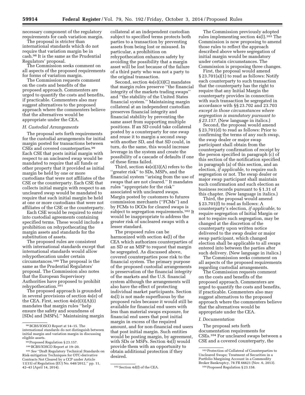necessary component of the regulatory requirements for cash variation margin.

The proposal is stricter than international standards which do not require that variation margin be in cash.98 It is the same as the Prudential Regulators' proposal.

The Commission seeks comment on all aspects of the proposed requirements for forms of variation margin.

The Commission requests comment on the costs and benefits of the proposed approach. Commenters are urged to quantify the costs and benefits, if practicable. Commenters also may suggest alternatives to the proposed approach where the commenters believe that the alternatives would be appropriate under the CEA.

#### *H. Custodial Arrangements*

The proposal sets forth requirements for the custodial arrangements for initial margin posted for transactions between CSEs and covered counterparties.99 Each CSE that posts initial margin with respect to an uncleared swap would be mandated to require that all funds or other property that it provided as initial margin be held by one or more custodians that were not affiliates of the CSE or the counterparty. Each CSE that collects initial margin with respect to an uncleared swap would be mandated to require that such initial margin be held at one or more custodians that were not affiliates of the CSE or the counterparty.

Each CSE would be required to enter into custodial agreements containing specified terms. These would include a prohibition on rehypothecating the margin assets and standards for the substitution of assets.

The proposed rules are consistent with international standards except that international standards would allow rehypothecation under certain circumstances.100 The proposal is the same as the Prudential Regulators' proposal. The Commission also notes that the European Supervisory Authorities have proposed to prohibit rehypothecation.101

The proposed approach is grounded in several provisions of section 4s(e) of the CEA. First, section  $4s(e)(3)(A)(i)$ mandates that margin rules ''help ensure the safety and soundness of [SDs] and [MSPs].'' Maintaining margin

collateral at an independent custodian subject to specified terms protects both parties to a transaction by preventing assets from being lost or misused. In particular, a prohibition on rehypothecation enhances safety by avoiding the possibility that a margin asset will be lost because of the failure of a third party who was not a party to the original transaction.

Second, section 4s(e)(3)(C) mandates that margin rules preserve ''the financial integrity of the markets trading swaps'' and ''the stability of the United States financial system.'' Maintaining margin collateral at an independent custodian preserves financial integrity and financial stability by preventing the same asset from supporting multiple positions. If an SD could take collateral posted by a counterparty for one swap and reuse it to margin a second swap with another SD, and that SD could, in turn, do the same, this would increase leverage in the system and create the possibility of a cascade of defaults if one of these firms failed.

Third, section 4s(e)(3)(A) refers to the ''greater risk'' to SDs, MSPs, and the financial system ''arising from the use of swaps that are not cleared.'' It mandates rules ''appropriate for the risk'' associated with uncleared swaps. Margin posted by customers to futures commission merchants (''FCMs'') and by FCMs to DCOs for cleared swaps is subject to segregation requirements.<sup>102</sup> It would be inappropriate to address the greater risk of uncleared swaps with a lesser standard.

The proposed rules can be harmonized with section 4s(l) of the CEA which authorizes counterparties of an SD or an MSP to request that margin be segregated. As discussed above, covered counterparties pose risk to the financial system. The primary purpose of the proposed custodial arrangements is preservation of the financial integrity of the markets and the U.S. financial system although the arrangements will also have the effect of protecting individual market participants. Section 4s(l) is not made superfluous by the proposed rules because it would still be available for financial end users with less than material swaps exposure, for financial end users that post initial margin in excess of the required amount, and for non-financial end users that post initial margin. Such entities would be posting margin, by agreement, with SDs or MSPs. Section 4s(l) would provide them with an opportunity to obtain additional protection if they desired.

The Commission previously adopted rules implementing section 4s(l).103 The Commission is now proposing to amend those rules to reflect the approach described above where segregation of initial margin would be mandatory under certain circumstances. The Commission is proposing three changes.

First, the proposal would amend § 23.701(a)(1) to read as follows: Notify each counterparty to such transaction that the counterparty has the right to require that any Initial Margin the counterparty provides in connection with such transaction be segregated in accordance with §§ 23.702 and 23.703 *except in those circumstances where segregation is mandatory pursuant to § 23.157.* (New language in italics.)

Second, the proposal would amend § 23.701(d) to read as follows: Prior to confirming the terms of any such swap, the swap dealer or major swap participant shall obtain from the counterparty confirmation of receipt by the person specified in paragraph (c) of this section of the notification specified in paragraph (a) of this section, and an election, *if applicable,* to require such segregation or not. The swap dealer or major swap participant shall maintain such confirmation and such election as business records pursuant to § 1.31 of this chapter. (New language in italics.)

Third, the proposal would amend § 23.701(f) to read as follows: A counterparty's election, *if applicable,* to require segregation of Initial Margin or not to require such segregation, may be changed at the discretion of the counterparty upon written notice delivered to the swap dealer or major swap participant, which changed election shall be applicable to all swaps entered into between the parties after such delivery. (New language in italics.)

The Commission seeks comment on all aspects of the proposed requirements regarding custodial arrangements.

The Commission requests comment on the costs and benefits of the proposed approach. Commenters are urged to quantify the costs and benefits, if practicable. Commenters also may suggest alternatives to the proposed approach where the commenters believe that the alternatives would be appropriate under the CEA.

#### *I. Documentation*

The proposal sets forth documentation requirements for CSEs.104 For uncleared swaps between a CSE and a covered counterparty, the

<sup>98</sup>BCBS/IOSCO Report at 14–15. The international standards do not distinguish between initial margin and variation margin in discussing eligible assets.

<sup>99</sup>Proposed Regulation § 23.157.

<sup>100</sup>BCBS/IOSCO Report at 19–20.

<sup>101</sup>*See* ''Draft Regulatory Technical Standards on Risk-mitigation Techniques for OTC-derivative Contracts Not Cleared by a CCP under Article 11(15) of Regulation (EU) No. 648/2012,'' pp. 11,

 $102$  Section 4d(f) of the CEA.

<sup>103</sup>Protection of Collateral of Counterparties to Uncleared Swaps; Treatment of Securities in a Portfolio Margining Account in a Commodity Broker Bankruptcy, 78 FR 66621 (Nov. 6, 2013).

<sup>104</sup>Proposed Regulation § 23.158.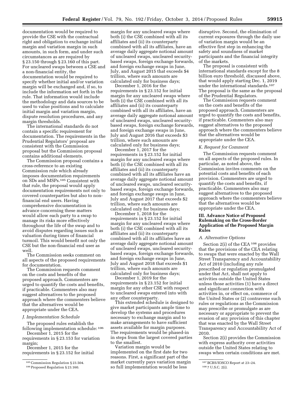documentation would be required to provide the CSE with the contractual right and obligation to exchange initial margin and variation margin in such amounts, in such form, and under such circumstances as are required by § 23.150 through § 23.160 of this part. For uncleared swaps between a CSE and a non-financial entity, the documentation would be required to specify whether initial and/or variation margin will be exchanged and, if so, to include the information set forth in the rule. That information would include the methodology and data sources to be used to value positions and to calculate initial margin and variation margin, dispute resolution procedures, and any margin thresholds.

The international standards do not contain a specific requirement for documentation. The requirements in the Prudential Regulators' proposal are consistent with the Commission proposal but the Commission proposal contains additional elements.

The Commission proposal contains a cross-reference to an existing Commission rule which already imposes documentation requirements on SDs and MSPs.105 Consistent with that rule, the proposal would apply documentation requirements not only to covered counterparties but also to nonfinancial end users. Having comprehensive documentation in advance concerning these matters would allow each party to a swap to manage its risks more effectively throughout the life of the swap and to avoid disputes regarding issues such as valuation during times of financial turmoil. This would benefit not only the CSE but the non-financial end user as well.

The Commission seeks comment on all aspects of the proposed requirements for documentation.

The Commission requests comment on the costs and benefits of the proposed approach. Commenters are urged to quantify the costs and benefits, if practicable. Commenters also may suggest alternatives to the proposed approach where the commenters believe that the alternatives would be appropriate under the CEA.

#### *J. Implementation Schedule*

The proposed rules establish the following implementation schedule: 106

December 1, 2015 for the requirements in § 23.153 for variation margin;

December 1, 2015 for the requirements in § 23.152 for initial

margin for any uncleared swaps where both (i) the CSE combined with all its affiliates and (ii) its counterparty combined with all its affiliates, have an average daily aggregate notional amount of uncleared swaps, uncleared securitybased swaps, foreign exchange forwards, and foreign exchange swaps in June, July, and August 2015 that exceeds \$4 trillion, where such amounts are calculated only for business days;

December 1, 2016 for the requirements in § 23.152 for initial margin for any uncleared swaps where both (i) the CSE combined with all its affiliates and (ii) its counterparty combined with all its affiliates, have an average daily aggregate notional amount of uncleared swaps, uncleared securitybased swaps, foreign exchange forwards, and foreign exchange swaps in June, July and August 2016 that exceeds \$3 trillion, where such amounts are calculated only for business days;

December 1, 2017 for the requirements in § 23.152 for initial margin for any uncleared swaps where both (i) the CSE combined with all its affiliates and (ii) its counterparty combined with all its affiliates have an average daily aggregate notional amount of uncleared swaps, uncleared securitybased swaps, foreign exchange forwards, and foreign exchange swaps in June, July and August 2017 that exceeds \$2 trillion, where such amounts are calculated only for business days;

December 1, 2018 for the requirements in § 23.152 for initial margin for any uncleared swaps where both (i) the CSE combined with all its affiliates and (ii) its counterparty combined with all its affiliates have an average daily aggregate notional amount of uncleared swaps, uncleared securitybased swaps, foreign exchange forwards, and foreign exchange swaps in June, July and August 2018 that exceeds \$1 trillion, where such amounts are calculated only for business days;

December 1, 2019 for the requirements in § 23.152 for initial margin for any other CSE with respect to uncleared swaps entered into with any other counterparty.

This extended schedule is designed to give market participants ample time to develop the systems and procedures necessary to exchange margin and to make arrangements to have sufficient assets available for margin purposes. The requirements would be phased-in in steps from the largest covered parties to the smallest.

Variation margin would be implemented on the first date for two reasons. First, a significant part of the market currently pays variation margin so full implementation would be less

disruptive. Second, the elimination of current exposures through the daily use of variation margin would be an effective first step in enhancing the safety and soundness of market participants and the financial integrity of the markets.

The proposal is consistent with international standards except for the 8 billion euro threshold, discussed above, that would apply starting Dec. 1, 2019 under the international standards.107 The proposal is the same as the proposal of the Prudential Regulators.

The Commission requests comment on the costs and benefits of the proposed approach. Commenters are urged to quantify the costs and benefits, if practicable. Commenters also may suggest alternatives to the proposed approach where the commenters believe that the alternatives would be appropriate under the CEA.

# *K. Request for Comment*

The Commission requests comment on all aspects of the proposed rules. In particular, as noted above, the Commission invites comments on the potential costs and benefits of each provision. Commenters are urged to quantify the costs and benefits, if practicable. Commenters also may suggest alternatives to the proposed approach where the commenters believe that the alternatives would be appropriate under the CEA.

# **III. Advance Notice of Proposed Rulemaking on the Cross-Border Application of the Proposed Margin Rules**

# *A. Alternative Options*

Section 2(i) of the CEA 108 provides that the provisions of the CEA relating to swaps that were enacted by the Wall Street Transparency and Accountability Act of 2010 (including any rule prescribed or regulation promulgated under that Act, shall not apply to activities outside the United States unless those activities (1) have a direct and significant connection with activities in, or effect on, commerce of the United States or (2) contravene such rules or regulations as the Commission may prescribe or promulgate as are necessary or appropriate to prevent the evasion of any provision of this chapter that was enacted by the Wall Street Transparency and Accountability Act of 2010.

Section 2(i) provides the Commission with express authority over activities outside the United States relating to swaps when certain conditions are met.

<sup>105</sup>Commission Regulation § 23.504.

<sup>106</sup>Proposed Regulation § 23.160.

<sup>107</sup>BCBS/IOSCO Report at 23–24.

<sup>108</sup> 7 U.S.C. 2(i).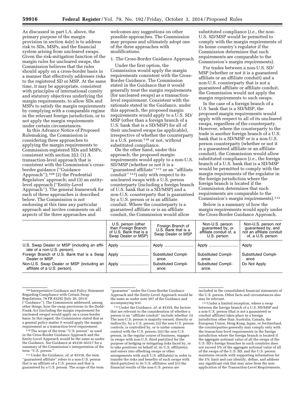As discussed in part I.A. above, the primary purpose of the margin provision in section 4s(e) is to address risk to SDs, MSPs, and the financial system arising from uncleared swaps. Given the risk-mitigation function of the margin rules for uncleared swaps, the Commission believes that the rules should apply on a cross-border basis in a manner that effectively addresses risks to the registered SD or MSP. At the same time, it may be appropriate, consistent with principles of international comity and statutory objectives underlying the margin requirements, to allow SDs and MSPs to satisfy the margin requirements by complying with a comparable regime in the relevant foreign jurisdiction, or to not apply the margin requirements under certain circumstances.

In this Advance Notice of Proposed Rulemaking, the Commission is considering three approaches to applying the margin requirements to Commission-registered SDs and MSPs, consistent with section 2(i): (1) A transaction-level approach that is consistent with the Commission's crossborder guidance (''Guidance Approach''); 109 (2) the Prudential Regulators' approach; and (3) an entitylevel approach (''Entity-Level Approach''). The general framework for each of these approaches is described below. The Commission is not endorsing at this time any particular approach and invites comments on all aspects of the three approaches and

welcomes any suggestions on other possible approaches. The Commission may propose and ultimately adopt one of the three approaches with modifications.

1. The Cross-Border Guidance Approach

Under the first option, the Commission would apply the margin requirements consistent with the Cross-Border Guidance. The Commission stated in the Guidance that it would generally treat the margin requirements (for uncleared swaps) as a transactionlevel requirement. Consistent with the rationale stated in the Guidance, under this approach, the proposed margin requirements would apply to a U.S. SD/ MSP (other than a foreign branch of a U.S. bank that is a SD/MSP) for all of their uncleared swaps (as applicable), irrespective of whether the counterparty is a  $\overline{U}$ .S. person  $110$  or not, without substituted compliance.

On the other hand, under this approach, the proposed margin requirements would apply to a non-U.S. SD/MSP (whether or not it is a ''guaranteed affiliate'' 111 or an ''affiliate conduit'' 112) only with respect to its uncleared swaps with a U.S. person counterparty (including a foreign branch of U.S. bank that is a SD/MSP) and a non-U.S. counterparty that is guaranteed by a U.S. person or is an affiliate conduit. Where the counterparty is a guaranteed affiliate or is an affiliate conduit, the Commission would allow

substituted compliance (*i.e.,* the non-U.S. SD/MSP would be permitted to comply with the margin requirements of its home country's regulator if the Commission determines that such requirements are comparable to the Commission's margin requirements).

For trades between a non-U.S. SD/ MSP (whether or not it is a guaranteed affiliate or an affiliate conduit) and a non-U.S. counterparty that is not a guaranteed affiliate or affiliate conduit, the Commission would not apply the margin requirements to such swaps.

In the case of a foreign branch of a U.S. bank that is a SD/MSP, the proposed margin requirements would apply with respect to all of its uncleared swaps, regardless of the counterparty. However, where the counterparty to the trade is another foreign branch of a U.S. bank that is a SD/MSP or is a non-U.S. person counterparty (whether or not it is a guaranteed affiliate or an affiliate conduit), the Commission would allow substituted compliance (*i.e.,* the foreign branch of a U.S. bank that is a SD/MSP would be permitted to comply with the margin requirements of the regulator in the foreign jurisdiction where the foreign branch is located if the Commission determines that such requirements are comparable to the Commission's margin requirements).113

Below is a summary of how the margin requirements would apply under the Cross-Border Guidance Approach.

|                                                                             | U.S. person (other<br>than Foreign Branch<br>of U.S. Bank that is a<br>Swap Dealer or MSP) | Foreign Branch of<br>U.S. Bank that is a<br>Swap Dealer or MSP | Non-U.S. person<br>quaranteed by, or<br>affiliate conduit of, a<br>U.S. person | Non-U.S. person not<br>quaranteed by, and<br>not an affiliate conduit<br>of, a U.S. person |
|-----------------------------------------------------------------------------|--------------------------------------------------------------------------------------------|----------------------------------------------------------------|--------------------------------------------------------------------------------|--------------------------------------------------------------------------------------------|
| U.S. Swap Dealer or MSP (including an affil-<br>iate of a non-U.S. person). |                                                                                            |                                                                |                                                                                | Apply                                                                                      |
| Foreign Branch of U.S. Bank that is a Swap<br>Dealer or MSP.                | Apply                                                                                      | <b>Substituted Compli-</b><br>ance.                            | <b>Substituted Compli-</b><br>ance.                                            | <b>Substituted Compli-</b><br>ance                                                         |
| Non-U.S. Swap Dealer or MSP (including an<br>affiliate of a U.S. person).   | Apply                                                                                      | <b>Substituted Compli-</b><br>ance.                            | <b>Substituted Compli-</b><br>ance.                                            | Do Not Apply                                                                               |

109 Interpretative Guidance and Policy Statement Regarding Compliance with Certain Swap Regulations, 78 FR 45292 (July 26, 2013) (''Guidance''). The Commission addressed, among other things, how the swap provisions in the Dodd-Frank Act (including the margin requirement for uncleared swaps) would apply on a cross-border basis. In this regard, the Commission stated that as a general policy matter it would apply the margin requirement as a transaction-level requirement.

110The scope of the term ''U.S. person'' as used in the Cross-Border Guidance Approach and the Entity-Level Approach would be the same as under the Guidance. *See* Guidance at 45316–45317 for a summary of the Commission's interpretation of the term ''U.S. person.''

111Under the Guidance, *id.* at 45318, the term ''guaranteed affiliate'' refers to a non-U.S. person that is an affiliate of a U.S. person and that is guaranteed by a U.S. person. The scope of the term ''guarantee'' under the Cross-Border Guidance Approach and the Entity-Level Approach would be the same as under note 267 of the Guidance and accompanying text.

112Under the Guidance, *id.* at 45359, the factors that are relevant to the consideration of whether a person is an ''affiliate conduit'' include whether: (i) The non-U.S. person is majority-owned, directly or indirectly, by a U.S. person; (ii) the non-U.S. person controls, is controlled by, or is under common control with the U.S. person; (iii) the non-U.S. person, in the regular course of business, engages in swaps with non-U.S. third party(ies) for the purpose of hedging or mitigating risks faced by, or to take positions on behalf of, its U.S. affiliate(s), and enters into offsetting swaps or other arrangements with such U.S. affiliate(s) in order to transfer the risks and benefits of such swaps with third-party(ies) to its U.S. affiliates; and (iv) the financial results of the non-U.S. person are

included in the consolidated financial statements of the U.S. person. Other facts and circumstances also may be relevant.

<sup>113</sup> Under a limited exception, where a swap between the foreign branch of a U.S. SD/MSP and a non-U.S. person (that is not a guaranteed or conduit affiliate) takes place in a foreign jurisdiction other than Australia, Canada, the European Union, Hong Kong, Japan, or Switzerland, the counterparties generally may comply only with the transaction-level requirements in the foreign jurisdiction where the foreign branch is located if the aggregate notional value of all the swaps of the U.S. SD's foreign branches in such countries does not exceed 5% of the aggregate notional value of all of the swaps of the U.S. SD, and the U.S. person maintains records with supporting information for the 5% limit and can identify, define, and address any significant risk that may arise from the nonapplication of the Transaction-Level Requirements.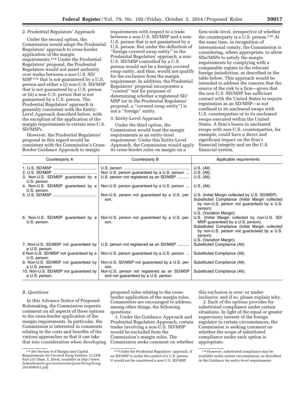# 2. Prudential Regulators' Approach

Under the second option, the Commission would adopt the Prudential Regulators' approach to cross-border application of the margin requirements.114 Under the Prudential Regulators' proposal, the Prudential Regulators would not assert authority over trades between a non-U.S. SD/ MSP<sup>115</sup> that is not guaranteed by a U.S. person and either a (i) non-U.S. SD/MSP that is not guaranteed by a U.S. person or (ii) a non-U.S. person that is not guaranteed by a U.S. person. The Prudential Regulators' approach is generally consistent with the Entity-Level Approach described below, with the exception of the application of the margin requirements to certain non-U.S. SD/MSPs.

However, the Prudential Regulators' proposal in this regard would be consistent with the Commission's Cross-Border Guidance Approach to margin

requirements with respect to a trade between a non-U.S. SD/MSP and a non-U.S. person that is not guaranteed by a U.S. person. But under the definition of ''foreign covered swap entity'' in the Prudential Regulators' approach, a non-U.S. SD/MSP controlled by a U.S. person would not be a foreign covered swap entity, and thus, would not qualify for the exclusion from the margin requirement. In addition, the Prudential Regulators' proposal incorporates a ''control'' test for purposes of determining whether a registered SD/ MSP (or in the Prudential Regulators' proposal, a ''covered swap entity'') is not a ''foreign'' entity.

# 3. Entity-Level Approach

Under the third option, the Commission would treat the margin requirements as an entity-level requirement. Under this Entity-Level Approach, the Commission would apply its cross-border rules on margin on a

firm-wide level, irrespective of whether the counterparty is a U.S. person.116 At the same time, in recognition of international comity, the Commission is considering, where appropriate, to allow SDs/MSPs to satisfy the margin requirements by complying with a comparable regime in the relevant foreign jurisdiction, as described in the table below. This approach would be intended to address the concern that the source of the risk to a firm—given that the non-U.S. SD/MSP has sufficient contact with the United States to require registration as an SD/MSP—is not confined to its uncleared swaps with U.S. counterparties or to its uncleared swaps executed within the United States. A firm's losses in uncleared swaps with non-U.S. counterparties, for example, could have a direct and significant impact on the firm's financial integrity and on the U.S. financial system.

| Counterparty A                                          | Counterparty B                                                                      | Applicable requirements                                                                                                                                                                                                        |
|---------------------------------------------------------|-------------------------------------------------------------------------------------|--------------------------------------------------------------------------------------------------------------------------------------------------------------------------------------------------------------------------------|
|                                                         | Non U.S. person guaranteed by a U.S. person                                         | U.S. (All).<br>$U.S.$ (All).                                                                                                                                                                                                   |
| 3. Non-U.S. SD/MSP guaranteed by a<br>U.S. person.      | U.S. person not registered as an SD/MSP                                             | U.S. (All).                                                                                                                                                                                                                    |
| 4. Non-U.S. SD/MSP guaranteed by a<br>U.S. person.      | Non-U.S. person guaranteed by a U.S. person                                         | U.S. (All).                                                                                                                                                                                                                    |
|                                                         | Non-U.S. person not guaranteed by a U.S. per-<br>son.                               | U.S. (Initial Margin collected by U.S. SD/MSP).<br>Substituted Compliance (Initial Margin collected<br>by non-U.S. person not guaranteed by a U.S.<br>person).<br>U.S. (Variation Margin).                                     |
| 6. Non-U.S. SD/MSP guaranteed by a<br>U.S. person.      | Non-U.S. person not guaranteed by a U.S. per-<br>son.                               | U.S. (Initial Margin collected by non-U.S. SD/<br>MSP guaranteed by a U.S. person).<br>Substituted Compliance (Initial Margin collected<br>by non-U.S. person not guaranteed by a U.S.<br>person).<br>U.S. (Variation Margin). |
| 7. Non-U.S. SD/MSP not guaranteed by<br>a U.S. person.  | U.S. person not registered as an SD/MSP                                             | Substituted Compliance (All).                                                                                                                                                                                                  |
| 8 Non-U.S. SD/MSP not guaranteed by a<br>U.S. person.   | Non-U.S. person guaranteed by a U.S. person                                         | Substituted Compliance (All).                                                                                                                                                                                                  |
| 9. Non-U.S. SD/MSP not guaranteed by<br>a U.S. person.  | Non-U.S. SD/MSP not guaranteed by a U.S. per-<br>son.                               | Substituted Compliance (All).                                                                                                                                                                                                  |
| 10. Non-U.S. SD/MSP not guaranteed by<br>a U.S. person. | Non-U.S. person not registered as an SD/MSP<br>and not guaranteed by a U.S. person. | Substituted Compliance (All).                                                                                                                                                                                                  |

### *B. Questions*

In this Advance Notice of Proposed Rulemaking, the Commission requests comment on all aspects of these options to the cross-border application of the margin requirements. In particular, the Commission is interested in comments relating to the costs and benefits of the various approaches so that it can take that into consideration when developing proposed rules relating to the crossborder application of the margin rules. Commenters are encouraged to address, among other things, the following questions:

1. Under the Guidance Approach and Prudential Regulators Approach, certain trades involving a non-U.S. SD/MSP would be excluded from the Commission's margin rules. The Commission seeks comment on whether this exclusion is over- or under-

inclusive, and if so, please explain why. 2. Each of the options provides for substituted compliance under certain situations. In light of the equal or greater supervisory interest of the foreign regulator in certain circumstances, the Commission is seeking comment on whether the scope of substituted compliance under each option is appropriate.

<sup>114</sup>*See* Section 9 of Margin and Capital Requirements for Covered Swap Entities, 12 CFR Part 237 (Sept. 3, 2014), *available at [http://www.](http://www.federalreserve.gov/newsevents/press/bcreg/bcreg20140903c1.pdf) [federalreserve.gov/newsevents/press/bcreg/bcreg](http://www.federalreserve.gov/newsevents/press/bcreg/bcreg20140903c1.pdf) [20140903c1.pdf.](http://www.federalreserve.gov/newsevents/press/bcreg/bcreg20140903c1.pdf)* 

<sup>115</sup>Under the Prudential Regulators' approach, if an SD/MSP is under the control of a U.S. person, it would not be considered a non-U.S. SD/MSP.

<sup>116</sup>However, substituted compliance may be available under certain circumstances, as described in the Guidance for entity-level requirements.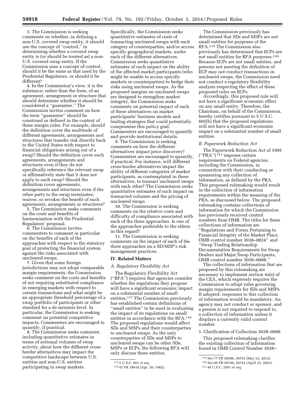3. The Commission is seeking comments on whether, in defining a non-U.S. covered swap entity, it should use the concept of ''control,'' in determining whether a covered swap entity is (or should be treated as) a non-U.S. covered swap entity. If the Commission uses a concept of control, should it be the same as that used by the Prudential Regulators, or should it be different?

4. In the Commission's view, it is the substance, rather than the form, of an agreement, arrangement or structure that should determine whether it should be considered a ''guarantee.'' The Commission invites comment on how the term ''guarantee'' should be construed or defined in the context of these margin rules. For example, should the definition cover the multitude of different agreements, arrangements and structures that transfer risk directly back to the United States with respect to financial obligations arising out of a swap? Should the definition cover such agreements, arrangements and structures even if they do not specifically reference the relevant swap or affirmatively state that it does not apply to such swap? Should the definition cover agreements, arrangements and structures even if the other party to the swap terminates, waives, or revokes the benefit of such agreements, arrangements or structures?

5. The Commission seeks comments on the costs and benefits of harmonization with the Prudential Regulators' proposal.

6. The Commission invites commenters to comment in particular on the benefits of each of the approaches with respect to the statutory goal of protecting the financial system against the risks associated with uncleared swaps.

7. Given that some foreign jurisdictions may not adopt comparable margin requirements, the Commission seeks comment on the costs and benefits of not requiring substituted compliance in emerging markets with respect to certain transactions and what might be an appropriate threshold percentage of a swap portfolio of participants or other standard for a de minimis level. In particular, the Commission is seeking comment on potential competitive impacts. Commenters are encouraged to quantify, if practical.

8. The Commission seeks comment, including quantitative estimates in terms of notional volumes of swap activity, about how the different crossborder alternatives may impact the competitive landscape between U.S. entities and non-U.S. entities participating in swap markets.

Specifically, the Commission seeks quantitative estimates of costs of transacting uncleared swaps with each category of counterparties, and/or access specific geographical markets, under each of the different alternatives. Commission seeks quantitative estimates of such impact on the ability of the affected market participants (who might be unable to access specific markets or counterparties) to hedge their risks using uncleared swaps. As the proposed margins on uncleared swaps are designed to strengthen market integrity, the Commission seeks comments on potential impact of each of these alternatives on market participants' business models and trading strategies that could potentially compromise this policy goal. Commenters are encouraged to quantify and provide institutional details.

9. The Commission is seeking comments on how the different alternatives impact price discovery? Commenters are encouraged to quantify, if practical. For instance, will different cross-border alternatives impact the ability of different categories of market participants, as contemplated in these alternatives, to transact uncleared swaps with each other? The Commission seeks quantitative estimates of such impact on transacted volumes and the pricing of uncleared swaps.

10. The Commission is seeking comments on the relative costs and difficulty of compliance associated with each of the three approaches. Is one of the approaches preferable to the others in this regard?

11. The Commission is seeking comments on the impact of each of the three approaches on a SD/MSP's risk management practices.

#### **IV. Related Matters**

# *A. Regulatory Flexibility Act*

The Regulatory Flexibility Act (''RFA'') requires that agencies consider whether the regulations they propose will have a significant economic impact on a substantial number of small entities.117 The Commission previously has established certain definitions of ''small entities'' to be used in evaluating the impact of its regulations on small entities in accordance with the RFA.118 The proposed regulations would affect SDs and MSPs and their counterparties to uncleared swaps. As the only counterparties of SDs and MSPs to uncleared swaps can be other SDs, MSPs or ECPs, the following RFA will only discuss these entities.

The Commission previously has determined that SDs and MSPs are not small entities for purposes of the RFA.119 The Commission also previously has determined that ECPs are not small entities for RFA purposes.120 Because ECPs are not small entities, and persons not meeting the definition of ECP may not conduct transactions in uncleared swaps, the Commission need not conduct a regulatory flexibility analysis respecting the effect of these proposed rules on ECPs.

Accordingly, this proposed rule will not have a significant economic effect on any small entity. Therefore, the Chairman, on behalf of the Commission, hereby certifies pursuant to 5 U.S.C. 605(b) that the proposed regulations will not have a significant economic impact on a substantial number of small entities.

#### *B. Paperwork Reduction Act*

The Paperwork Reduction Act of 1995 (''PRA'') 121 imposes certain requirements on Federal agencies, including the Commission, in connection with their conducting or sponsoring any collection of information, as defined by the PRA. This proposed rulemaking would result in the collection of information requirements within the meaning of the PRA, as discussed below. The proposed rulemaking contains collections of information for which the Commission has previously received control numbers from OMB. The titles for these collections of information are ''Regulations and Forms Pertaining to Financial Integrity of the Market Place, OMB control number 3038–0024'' and ''Swap Trading Relationship Documentation Requirements for Swap Dealers and Major Swap Participants, OMB control number 3038–0088.''

The collections of information that are proposed by this rulemaking are necessary to implement section 4s(e) of the CEA, which expressly requires the Commission to adopt rules governing margin requirements for SDs and MSPs. If adopted, responses to this collection of information would be mandatory. An agency may not conduct or sponsor, and a person is not required to respond to, a collection of information unless it displays a currently valid control number.

1. Clarification of Collection 3038–0088

This proposed rulemaking clarifies the existing collection of information found in OMB Control Number 3038–

<sup>117</sup> 5 U.S.C. 601 *et seq.* 

<sup>118</sup> 47 FR 18618 (Apr. 30, 1982).

<sup>119</sup>*See* 77 FR 30596, 30701 (May 23, 2012). 120*See* 66 FR 20740, 20743 (April 25, 2001). 121 44 U.S.C. 3501 *et seq.*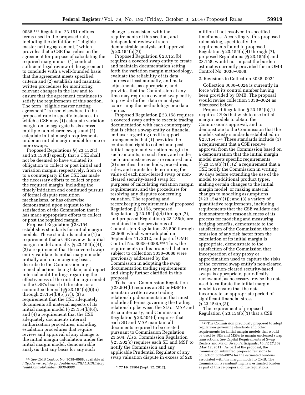0088.122 Regulation 23.151 defines terms used in the proposed rule, including the definition of ''eligible master netting agreement,'' which provides that a CSE that relies on the agreement for purpose of calculating the required margin must (1) conduct sufficient legal review of the agreement to conclude with a well-founded basis that the agreement meets specified criteria and (2) establish and maintain written procedures for monitoring relevant changes in the law and to ensure that the agreement continues to satisfy the requirements of this section. The term ''eligible master netting agreement'' is used elsewhere in the proposed rule to specify instances in which a CSE may (1) calculate variation margin on an aggregate basis across multiple non-cleared swaps and (2) calculate initial margin requirements under an initial margin model for one or more swaps.

Proposed Regulations §§ 23.152(c) and 23.153(d) specify that a CSE shall not be deemed to have violated its obligation to collect or post initial and variation margin, respectively, from or to a counterparty if the CSE has made the necessary efforts to collect or post the required margin, including the timely initiation and continued pursuit of formal dispute resolution mechanisms, or has otherwise demonstrated upon request to the satisfaction of the Commission that it has made appropriate efforts to collect or post the required margin.

Proposed Regulation § 23.154 establishes standards for initial margin models. These standards include (1) a requirement that a CSE review its initial margin model annually  $(\S 23.154(b)(4));$ (2) a requirement that the covered swap entity validate its initial margin model initially and on an ongoing basis, describe to the Commission any remedial actions being taken, and report internal audit findings regarding the effectiveness of the initial margin model to the CSE's board of directors or a committee thereof (§§ 23.154(b)(5)(ii) through 23.154(b)(5)(iv)); (3) a requirement that the CSE adequately documents all material aspects of its initial margin model  $(S 23.154(b)(6));$ and (4) a requirement that the CSE adequately documents internal authorization procedures, including escalation procedures that require review and approval of any change to the initial margin calculation under the initial margin model, demonstrable analysis that any basis for any such

change is consistent with the requirements of this section, and independent review of such demonstrable analysis and approval  $(S 23.154(b)(7)).$ 

Proposed Regulation § 23.155(b) requires a covered swap entity to create and maintain documentation setting forth the variation margin methodology, evaluate the reliability of its data sources at least annually, and make adjustments, as appropriate, and provides that the Commission at any time may require a covered swap entity to provide further data or analysis concerning the methodology or a data source.

Proposed Regulation § 23.158 requires a covered swap entity to execute trading documentation with each counterparty that is either a swap entity or financial end user regarding credit support arrangements that (1) provides the contractual right to collect and post initial margin and variation margin in such amounts, in such form, and under such circumstances as are required; and (2) specifies the methods, procedures, rules, and inputs for determining the value of each non-cleared swap or noncleared security-based swap for purposes of calculating variation margin requirements, and the procedures for resolving any disputes concerning valuation. The reporting and recordkeeping requirements of proposed Regulation § 23.158, proposed Regulations § 23.154(b)(4) through (7), and proposed Regulation § 23.155(b) are contained in the provisions of Commission Regulations 23.500 through 23.506, which were adopted on September 11, 2012, and part of OMB Control No. 3038–0088.123 Thus, the requirements in this proposal that are subject to collection 3038–0088 were previously addressed by the Commission in adopting the swap documentation trading requirements and simply further clarified in this proposal.

To be sure, Commission Regulation § 23.504(b) requires an SD or MSP to maintain written swap trading relationship documentation that must include all terms governing the trading relationship between the SD or MSP and its counterparty, and Commission Regulation § 23.504(d) requires that each SD and MSP maintain all documents required to be created pursuant to Commission Regulation 23.504. Also, Commission Regulation § 23.502(c) requires each SD and MSP to notify the Commission and any applicable Prudential Regulator of any swap valuation dispute in excess of \$20

million if not resolved in specified timeframes. Accordingly, this proposed rulemaking, specifically the requirements found in proposed Regulation § 23.154(b)( $\hat{4}$ ) through (7), proposed Regulations §§ 23.155(b) and 23.158, would not impact the burden estimates currently provided for in OMB Control No. 3038–0088.

#### 2. Revisions to Collection 3038–0024

Collection 3038–0024 is currently in force with its control number having been provided by OMB. The proposal would revise collection 3038–0024 as discussed below.

Proposed Regulation § 23.154(b)(1) requires CSEs that wish to use initial margin models to obtain the Commission's approval, and to demonstrate to the Commission that the models satisfy standards established in § 23.154.124 These standards include (1) a requirement that a CSE receive approval from the Commission based on a demonstration that the initial margin model meets specific requirements  $(\S 23.154(b)(1)); (2)$  a requirement that a CSE notify the Commission in writing 60 days before extending the use of the model to additional product types, making certain changes to the initial margin model, or making material changes to modeling assumptions (§ 23.154(b)(1)); and (3) a variety of quantitative requirements, including requirements that the CSE validate and demonstrate the reasonableness of its process for modeling and measuring hedging benefits, demonstrate to the satisfaction of the Commission that the omission of any risk factor from the calculation of its initial margin is appropriate, demonstrate to the satisfaction of the Commission that incorporation of any proxy or approximation used to capture the risks of the covered swap entity's non-cleared swaps or non-cleared security-based swaps is appropriate, periodically review and, as necessary, revise the data used to calibrate the initial margin model to ensure that the data incorporate an appropriate period of significant financial stress (§ 23.154(b)(3)).

The requirement of proposed Regulation  $\S 23.154(b)(1)$  that a CSE

<sup>122</sup>*See* OMB Control No. 3038–0088, available at *[http://www.reginfo.gov/public/do/PRAOMBHistory](http://www.reginfo.gov/public/do/PRAOMBHistory?ombControlNumber=3038-0088) [?ombControlNumber=3038-0088.](http://www.reginfo.gov/public/do/PRAOMBHistory?ombControlNumber=3038-0088)* 123 77 FR 55904 (Sept. 12, 2012).

<sup>124</sup>The Commission previously proposed to adopt regulations governing standards and other requirements for initial margin models that would be used by SDs and MSPs to margin uncleared swap transactions. *See* Capital Requirements of Swap Dealers and Major Swap Participants, 76 FR 27,802 (May 12, 2011). As part of the proposal, the Commission submitted proposed revisions to collection 3038–0024 for the estimated burdens associated with the margin model to OMB. The Commission is resubmitting new estimated burden as part of this re-proposal of the regulations.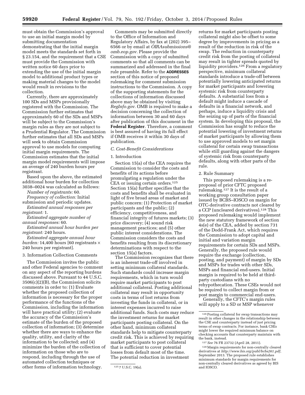must obtain the Commission's approval to use an initial margin model by submitting documentation demonstrating that the initial margin model meets the standards set forth in § 23.154, and the requirement that a CSE must provide the Commission with written notice 60 days prior to extending the use of the initial margin model to additional product types or making material changes to the model would result in revisions to the collection.

Currently, there are approximately 100 SDs and MSPs provisionally registered with the Commission. The Commission further estimates that approximately 60 of the SDs and MSPs will be subject to the Commission's margin rules as they are not subject to a Prudential Regulator. The Commission further estimates that all SDs and MSPs will seek to obtain Commission approval to use models for computing initial margin requirements. The Commission estimates that the initial margin model requirements will impose an average of 240 burden hours per registrant.

Based upon the above, the estimated additional hour burden for collection 3038–0024 was calculated as follows:

*Number of registrants:* 60.

*Frequency of collection:* Initial submission and periodic updates.

*Estimated annual responses per registrant:* 1.

*Estimated aggregate number of annual responses:* 60.

*Estimated annual hour burden per registrant:* 240 hours.

*Estimated aggregate annual hour burden:* 14,400 hours [60 registrants × 240 hours per registrant].

#### 3. Information Collection Comments

The Commission invites the public and other Federal agencies to comment on any aspect of the reporting burdens discussed above. Pursuant to 44 U.S.C. 3506(c)(2)(B), the Commission solicits comments in order to: (1) Evaluate whether the proposed collection of information is necessary for the proper performance of the functions of the Commission, including the information will have practical utility; (2) evaluate the accuracy of the Commission's estimate of the burden of the proposed collection of information; (3) determine whether there are ways to enhance the quality, utility, and clarity of the information to be collected; and (4) minimize the burden of the collection of information on those who are to respond, including through the use of automated collection techniques or other forms of information technology.

Comments may be submitted directly to the Office of Information and Regulatory Affairs, by fax at (202) 395– 6566 or by email at *[OIRAsubmissions@](mailto:OIRAsubmissions@omb.eop.gov) [omb.eop.gov.](mailto:OIRAsubmissions@omb.eop.gov)* Please provide the Commission with a copy of submitted comments so that all comments can be summarized and addressed in the final rule preamble. Refer to the **ADDRESSES** section of this notice of proposed rulemaking for comment submission instructions to the Commission. A copy of the supporting statements for the collections of information discussed above may be obtained by visiting *RegInfo.gov.* OMB is required to make a decision concerning the collection of information between 30 and 60 days after publication of this document in the **Federal Register**. Therefore, a comment is best assured of having its full effect if OMB receives it within 30 days of publication.

# *C. Cost-Benefit Considerations*

#### 1. Introduction

Section 15(a) of the CEA requires the Commission to consider the costs and benefits of its actions before promulgating a regulation under the CEA or issuing certain orders.<sup>125</sup> Section 15(a) further specifies that the costs and benefits shall be evaluated in light of five broad areas of market and public concern: (1) Protection of market participants and the public; (2) efficiency, competitiveness, and financial integrity of futures markets; (3) price discovery; (4) sound risk management practices; and (5) other public interest considerations. The Commission considers the costs and benefits resulting from its discretionary determinations with respect to the section 15(a) factors.

The Commission recognizes that there is an inherent trade-off involved in setting minimum collateral standards. Such standards could increase margin requirements, which in turn would require market participants to post additional collateral. Posting additional collateral may result in opportunity costs in terms of lost returns from investing the funds in collateral, or in interest expenses incurred to raise additional funds. Such costs may reduce the investment returns for market participants posting collateral. On the other hand, minimum collateral standards help to mitigate counterparty credit risk. This is achieved by requiring market participants to post collateral that is sufficient to cover potential losses from default most of the time. The potential reduction in investment

returns for market participants posting collateral might also be offset to some degree by improvements in pricing as a result of the reduction in risk of the swap. The reduction in counterparty credit risk from the posting of collateral may result in tighter spreads quoted by liquidity providers.126 From a regulatory perspective, minimum collateral standards introduce a trade-off between potentially lowering anticipated returns for market participants and lowering systemic risk from counterparty defaults. A substantial loss from a default might induce a cascade of defaults in a financial network, and perhaps, induce a liquidity crisis and the seizing up of parts of the financial system. In developing this proposal, the Commission has sought to reduce the potential lowering of investment returns of market participants by allowing them to use approved models to set margin collateral for certain swap transactions while still guarding against the dangers of systemic risk from counterparty defaults, along with other parts of the rule.

# 2. Rule Summary

This proposed rulemaking is a reproposal of prior CFTC proposed rulemaking.127 It is the result of a working group consultation paper issued by BCBS–IOSCO on margin for OTC-derivative contracts not cleared by a CCP (uncleared derivatives).128 This proposed rulemaking would implement the new statutory framework of section 4s(e) of the CEA, added by section 731 of the Dodd-Frank Act, which requires the Commission to adopt capital and initial and variation margin requirements for certain SDs and MSPs. Generally, the proposed rule would require the exchange (collection, posting, and payment) of margin by SDs and MSPs for trades with other SDs, MSPs and financial end-users. Initial margin is required to be held at thirdparty custodians with no rehypothecation. These CSEs would not be required to collect margin from or post margin to commercial end-users.

Generally, the CFTC's margin rules will apply to a SD or MSP whenever

<sup>125</sup> 7 U.S.C. 19(a).

<sup>&</sup>lt;sup>126</sup> Posting collateral for swap transactions may result in other changes in the relationship between the CSE and counterparty instead of just pricing terms of swap contracts. For instance, bank CSEs might lower the required minimum balance on checking accounts that counterparty maintain with the bank, instead.

<sup>127</sup>*See* 76 FR 23732 (April 28, 2011).

<sup>128</sup>Margin requirements for non-centrally cleared derivatives at *[http://www.bis.org/publ/bcbs261.pdf,](http://www.bis.org/publ/bcbs261.pdf)*  September 2013. The proposed rule establishes minimum standards for margin requirements for non-centrally cleared derivatives as agreed by BIS and IOSCO.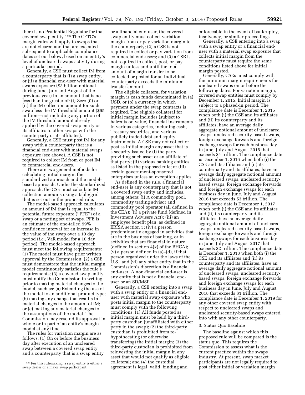there is no Prudential Regulator for that covered swap entity.129 The CFTC's margin rules will apply to swaps that are not cleared and that are executed subsequent to applicable compliance dates set out below, based on an entity's level of uncleared swaps activity during a particular period.

Generally, a CSE must collect IM from a counterparty that is (i) a swap entity, or (ii) a financial end-user with material swaps exposure (\$3 billion notional during June, July and August of the previous year) in an amount that is no less than the greater of: (i) Zero (0) or (ii) the IM collection amount for such swap less the IM threshold amount (\$65 million—not including any portion of the IM threshold amount already applied by the covered swap entity or its affiliates to other swaps with the counterparty or its affiliates).

Generally, a CSE must post IM for any swap with a counterparty that is a financial end-user with material swaps exposure (see above). A CSE is not required to collect IM from or post IM to commercial end-users.

There are two general methods for calculating initial margin, the standardized approach and the modelbased approach. Under the standardized approach, the CSE must calculate IM collection amounts using a table/grid that is set out in the proposed rule.

The model-based approach calculates an amount of IM that is equal to the potential future exposure (''PFE'') of a swap or a netting set of swaps. PFE is an estimate of the one-tailed 99% confidence interval for an increase in the value of the swap over a 10 day period (*i.e.,* VaR model for a 10 day period). The model-based approach must meet the following requirements: (1) The model must have prior written approval by the Commission; (2) a CSE must demonstrate that the initial margin model continuously satisfies the rule's requirements; (3) a covered swap entity must notify the Commission in writing prior to making material changes to the model, such as: (a) Extending the use of the model to an additional product type; (b) making any change that results in material changes to the amount of IM; or (c) making any material changes to the assumptions of the model. The Commission may rescind its approval in whole or in part of an entity's margin model at any time.

The rules for variation margin are as follows: (1) On or before the business day after execution of an uncleared swap between a covered swap entity and a counterparty that is a swap entity or a financial end user, the covered swap entity must collect variation margin from or pay variation margin to the counterparty; (2) a CSE is not required to collect or pay variation from commercial end-users; and (3) a CSE is not required to collect, post, or pay margin unless and until the total amount of margin transfer to be collected or posted for an individual counterparty exceeds the minimum transfer amount.

The eligible collateral for variation margin is cash funds denominated in (a) USD, or (b) a currency in which payment under the swap contracts is required. The eligible collateral for initial margin includes (subject to haircuts on value) financial instruments in various categories, including cash, Treasury securities, and various publicly traded debt and equity instruments. A CSE may not collect or post as initial margin any asset that is a security issued by (i) the party providing such asset or an affiliate of that party; (ii) various banking entities as listed in the proposed rule; or (iii) certain government-sponsored enterprises unless an exception applies.

As defined in the rule, a financial end-user is any counterparty that is not a covered swap entity and includes, among others: (i) A commodity pool, commodity trading advisor and commodity pool operator (all defined in the CEA); (ii) a private fund (defined in Investment Advisers Act); (iii) an employee benefit plan, as defined in ERISA section 3; (iv) a person predominantly engaged in activities that are in the business of banking, or in activities that are financial in nature (defined in section 4(k) of the BHCA); (v) a person defined in (a)–(d), if that person organized under the laws of the U.S.; and (vi) any other entity that in the Commission's discretion is a financial end-user. A non-financial end-user is any entity that is not a financial enduser or an SD/MSP.

Generally, a CSE entering into a swap with a swap entity or a financial enduser with material swap exposure who posts initial margin to the counterparty must comply with the following conditions: (1) All funds posted as initial margin must be held by a thirdparty custodian (unaffiliated with either party in the swap); (2) the third-party custodian is prohibited from rehypothecating (or otherwise transferring) the initial margin; (3) the third-party custodian is prohibited from reinvesting the initial margin in any asset that would not qualify as eligible collateral; and (4) the custodial agreement is legal, valid, binding and

enforceable in the event of bankruptcy, insolvency, or similar proceedings.

Generally, a CSE entering into a swap with a swap entity or a financial enduser with a material swap exposure that collects initial margin from the counterparty must require the same conditions listed above for initial margin posted.

Generally, CSEs must comply with the minimum margin requirements for uncleared swaps on or before the following dates. For variation margin, covered swap entities must comply by December 1, 2015. Initial margin is subject to a phased-in period. The compliance date is December 1, 2015 when both (i) the CSE and its affiliates and (ii) its counterparty and its affiliates, have an average daily aggregate notional amount of uncleared swaps, uncleared security-based swaps, foreign exchange forwards and foreign exchange swaps for each business day in June, July and August 2015 that exceeds \$4 trillion. The compliance date is December 1, 2016 when both (i) the CSE and its affiliates and (ii) its counterparty and its affiliates, have an average daily aggregate notional amount of uncleared swaps, uncleared securitybased swaps, foreign exchange forwards and foreign exchange swaps for each business day in June, July and August 2016 that exceeds \$3 trillion. The compliance date is December 1, 2017 when both (i) the CSE and its affiliates and (ii) its counterparty and its affiliates, have an average daily aggregate notional amount of uncleared swaps, uncleared security-based swaps, foreign exchange forwards and foreign exchange swaps for each business day in June, July and August 2017 that exceeds \$2 trillion. The compliance date is December 1, 2018 when both (i) the CSE and its affiliates and (ii) its counterparty and its affiliates, have an average daily aggregate notional amount of uncleared swaps, uncleared securitybased swaps, foreign exchange forwards and foreign exchange swaps for each business day in June, July and August 2018 that exceeds \$1 trillion. The compliance date is December 1, 2019 for any other covered swap entity with respect to uncleared swaps and uncleared security-based swaps entered into with any other counterparty.

#### 3. Status Quo Baseline

The baseline against which this proposed rule will be compared is the status quo. This requires the Commission to assess what is the current practice within the swaps industry. At present, swap market participants are not legally required to post either initial or variation margin

<sup>129</sup>For this rulemaking, a swap entity is either a swap dealer or a major swap participant.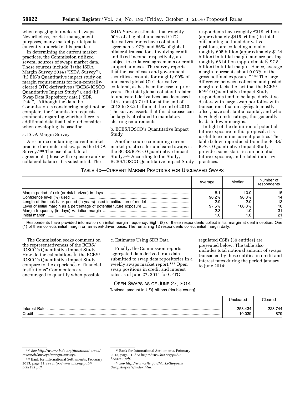when engaging in uncleared swaps. Nevertheless, for risk management purposes, many market participants currently undertake this practice.

In determining the current market practices, the Commission utilized several sources of swaps market data. These sources include (i) the ISDA Margin Survey 2014 (''ISDA Survey''), (ii) BIS's Quantitative impact study on margin requirements for non-centrallycleared OTC derivatives (''BCBS/IOSCO Quantitative Impact Study''), and (iii) Swap Data Repository data (''SDR Data''). Although the data the Commission is considering might not be complete, the Commission requests comments regarding whether there is additional data that it should consider when developing its baseline.

#### a. ISDA Margin Survey

A resource containing current market practice for uncleared swaps is the ISDA Survey.130 The use of collateral agreements (those with exposure and/or collateral balances) is substantial. The

ISDA Survey estimates that roughly 90% of all global uncleared OTC derivatives trades have collateral agreements. 97% and 86% of global bilateral transactions involving credit and fixed income, respectively, are subject to collateral agreements or credit support annexes. The survey reports that the use of cash and government securities accounts for roughly 90% of uncleared global OTC derivative collateral, as has been the case in prior years. The total global collateral related to uncleared derivatives has decreased 14% from \$3.7 trillion at the end of 2012 to \$3.2 trillion at the end of 2013. The survey asserts that this decrease can be largely attributed to mandatory clearing requirements.

b. BCBS/IOSCO's Quantitative Impact Study

Another source containing current market practices for uncleared swaps is the BCBS/IOSCO Quantitative Impact Study.131 According to the Study, BCBS/IOSCO Quantitative Impact Study

respondents have roughly  $\epsilon$ 319 trillion (approximately \$415 trillion) in total outstanding notional derivative positions, are collecting a total of roughly  $E95$  billion (approximately \$124 billion) in initial margin and are posting roughly  $\epsilon$ 6 billion (approximately \$7.8 billion) in initial margin. Hence, average margin represents about 0.03% of the gross notional exposure.'' 132 The large difference between collected and posted margin reflects the fact that the BCBS/ IOSCO Quantitative Impact Study respondents tend to be large derivative dealers with large swap portfolios with transactions that on aggregate mostly offset, have substantial capital, and who have high credit ratings, this generally leads to lower margins.

In light of the definition of potential future exposure in this proposal, it is useful to examine current practice. The table below, reproduced from the BCBS/ IOSCO Quantitative Impact Study provides some statistics on potential future exposure, and related industry practices.

# TABLE 4b—CURRENT MARGIN PRACTICES FOR UNCLEARED SWAPS

|                | Average | Median | Number of<br>respondents |
|----------------|---------|--------|--------------------------|
|                | 8.      | 10.0   | 15                       |
|                | 96.2%   | 96.3%  | 14                       |
|                | 2.9     | 2.0    | 13                       |
|                | 97.5%   | 100.0% | 10                       |
|                | 2.3     |        | 31                       |
| Initial margin | 0. ا    |        | 21                       |

Respondents have provided information on initial margin frequency. Eight (8) of these respondents collect initial margin at deal inception. One (1) of them collects initial margin on an event-driven basis. The remaining 12 respondents collect initial margin daily.

The Commission seeks comment on the representativeness of the BCBS/ IOSCO's Quantitative Impact Study. How do the calculations in the BCBS/ IOSCO's Quantitative Impact Study compare to the experience of financial institutions? Commenters are encouraged to quantify when possible.

#### c. Estimates Using SDR Data

Finally, the Commission reports aggregated data derived from data submitted to swap data repositories in a weekly swaps market report.133 Open swap positions in credit and interest rates as of June 27, 2014 for CFTC

regulated CSEs (59 entities) are presented below. The table also includes total notional amount of swaps transacted by these entities in credit and interest rates during the period January to June 2014:

# OPEN SWAPS AS OF JUNE 27, 2014 [Notional amount in US\$ billions (double count)]

|                                 | Uncleared         | $\cap$ leared  |
|---------------------------------|-------------------|----------------|
| <b>Interest Rates</b><br>Credit | 253,434<br>10,039 | 223.744<br>879 |

<sup>130</sup>*See [http://www2.isda.org/functional-areas/](http://www2.isda.org/functional-areas/research/surveys/margin-surveys) [research/surveys/margin-surveys](http://www2.isda.org/functional-areas/research/surveys/margin-surveys)*.

<sup>131</sup>Bank for International Settlements, February 2013, page 31, *see [http://www.bis.org/publ/](http://www.bis.org/publ/bcbs242.pdf) [bcbs242.pdf](http://www.bis.org/publ/bcbs242.pdf)*.

<sup>132</sup>Bank for International Settlements, February 2013, page 31. *See [http://www.bis.org/publ/](http://www.bis.org/publ/bcbs242.pdf) [bcbs242.pdf](http://www.bis.org/publ/bcbs242.pdf)*.

<sup>133</sup>*See [http://www.cftc.gov/MarketReports/](http://www.cftc.gov/MarketReports/SwapsReports/index.htm) [SwapsReports/index.htm](http://www.cftc.gov/MarketReports/SwapsReports/index.htm)*.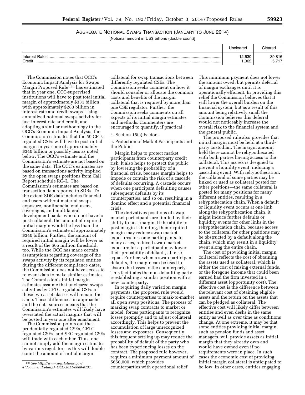# AGGREGATE NOTIONAL SWAPS TRANSACTION (JANUARY TO JUNE 2014) [Notional amount in US\$ billions (double count)]

|                          | Uncleared      | Cleared       |
|--------------------------|----------------|---------------|
| Interest Rates<br>Credit | 12,630<br>.362 | 39.816<br>--- |

The Commission notes that OCC's Economic Impact Analysis for Swaps Margin Proposed Rule<sup>134</sup> has estimated that in year one, OCC-supervised institutions will have to post total initial margin of approximately \$331 billion with approximately \$283 billion in interest rate and credit swaps. Using annualized notional swaps activity for just interest rate and credit, and adopting a similar methodology to the OCC's Economic Impact Analysis, the Commission estimates that the 59 CFTC regulated CSEs will have to post initial margin in year one of approximately \$340 billion or possibly less as noted below. The OCC's estimate and the Commission's estimate are not based on the same data. The OCC's estimates are based on transactions activity implied by the open swaps positions from Call Report schedule RC–L. The Commission's estimates are based on transaction data reported to SDRs. To the extent SDR data includes financial end users without material swaps exposure, nonfinancial end users, sovereigns, and multilateral development banks who do not have to post collateral, the amount of required initial margin would be less than the Commission's estimate of approximately \$340 billion. Further, the amount of required initial margin will be lower as a result of the \$65 million threshold, too. While the OCC has made certain assumptions regarding coverage of the swaps activity by its regulated entities during the different compliance dates, the Commission does not have access to relevant data to make similar estimates. The Commission's initial margin estimates assume that uncleared swaps activities by CFTC regulated CSEs in these two asset classes will remain the same. These differences in approaches and the data sources means that the Commission's estimates will likely have overstated the actual margins that will be posted in year one after enactment.

The Commission points out that prudentially regulated CSEs, CFTC regulated CSEs, and SEC regulated CSEs will trade with each other. Thus, one cannot simply add the margin estimates by various regulators as this will double count the amount of initial margin

collateral for swap transactions between differently regulated CSEs. The Commission seeks comment on how it should consider or allocate the common costs and benefits of the margin collateral that is required by more than one CSE regulator. Further, the Commission seeks comments on all aspects of its initial margin estimates and methods. Commenters are encouraged to quantify, if practical.

# 4. Section 15(a) Factors

a. Protection of Market Participants and the Public

Margin helps to protect market participants from counterparty credit risk. It also helps to protect the public by lowering the probability of a financial crisis, because margin helps to impede or contain the risk of a cascade of defaults occurring. A cascade occurs when one participant defaulting causes subsequent defaults by its counterparties, and so on, resulting in a domino effect and a potential financial crisis.

The derivatives positions of swap market participants are limited by their ability to post margin. If the ability to post margin is binding, then required margin may reduce swap market exposures for some participants. In many cases, reduced swap market exposure for a participant may lower their probability of default, all else equal. Further, when a swap participant defaults, the margin can be used to absorb the losses to the counterparty. This facilitates the non-defaulting party reestablishing a similar position with a new counterparty.

In requiring daily variation margin payments, the proposed rule would require counterparties to mark-to-market all open swap positions. The process of marking swap contracts to market or model, forces participants to recognize losses promptly and to adjust collateral accordingly. This helps to prevent the accumulation of large unrecognized losses and exposures. Consequently, this frequent settling up may reduce the probability of default of the party who has been experiencing losses on the contract. The proposed rule however, requires a minimum payment amount of \$650,000, which provides counterparties with operational relief.

This minimum payment does not lower the amount owed, but permits deferral of margin exchanges until it is operationally efficient. In providing this relief the Commission believes that it will lower the overall burden on the financial system, but as a result of this amount being relatively small the Commission believes this deferral would not noticeably increase the overall risk to the financial system and the general public.

The proposed rule also provides that initial margin must be held at a thirdparty custodian. The margin amount held there cannot be rehypothecated with both parties having access to the collateral. This access is designed to prevent a liquidity event, inducing a cascading event. With rehypothecation, the collateral of some parties may be linked or used as collateral posted for other positions—the same collateral is posted for many positions for many different entities, resulting in a rehypothecation chain. When a default or liquidity event occurs at one link along the rehypothecation chain, it might induce further defaults or liquidity events for other links in the rehypothecation chain, because access to the collateral for other positions may be obstructed by a default along the chain, which may result in a liquidity event along the entire chain.

The cost of providing initial margin collateral reflects the cost of obtaining the assets used as collateral, which is either the cost of raising external funds, or the foregone income that could been earned had the firm invested in a different asset (opportunity cost). The effective cost is the difference between the relevant cost of obtaining eligible assets and the return on the assets that can be pledged as collateral. The effective cost will likely differ between entities and even desks in the same entity as well as over time as conditions change. At one extreme, it may be that some entities providing initial margin, such as pension funds and asset managers, will provide assets as initial margin that they already own and would have owned even if no requirements were in place. In such cases the economic cost of providing initial margin collateral is anticipated to be low. In other cases, entities engaging

<sup>134</sup>*See [http://www.regulations.gov/](http://www.regulations.gov/#!documentDetail;D=OCC-2011-0008-0131) [#!documentDetail;D=OCC-2011-0008-0131](http://www.regulations.gov/#!documentDetail;D=OCC-2011-0008-0131)*.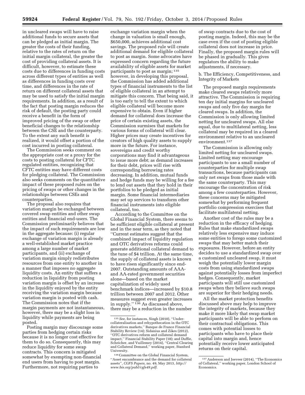in uncleared swaps will have to raise additional funds to secure assets that can be pledged as initial margin. The greater the costs of their funding, relative to the rates of return on the initial margin collateral, the greater the cost of providing collateral assets. It is difficult, however, to estimate these costs due to differences in funding costs across different types of entities as well as differences in funding costs over time, and differences in the rate of return on different collateral assets that may be used to satisfy the initial margin requirements. In addition, as a result of the fact that posting margin reduces the risk of default, the posting party could receive a benefit in the form of improved pricing of the swap or other beneficial changes to the relationship between the CSE and the counterparty. To the extent any such benefit is realized, it would offset a portion of the cost incurred in posting collateral.

The Commission seeks comment on the appropriate cost or a proxy for the costs to posting collateral for CFTC regulated entities, recognizing that CFTC entities may have different costs for pledging collateral. The Commission also seeks comments on the quantitative impact of these proposed rules on the pricing of swaps or other changes in the relationships between CSEs and counterparties.

The proposal also requires that variation margin be exchanged between covered swap entities and other swap entities and financial end-users. The Commission preliminarily believes that the impact of such requirements are low in the aggregate because: (i) regular exchange of variation margin is already a well-established market practice among a large number of market participants, and (ii) exchange of variation margin simply redistributes resources from one entity to another in a manner that imposes no aggregate liquidity costs. An entity that suffers a reduction in liquidity from posting variation margin is offset by an increase in the liquidity enjoyed by the entity receiving the variation margin because variation margin is posted with cash. The Commission notes that if the margin payments are not instantaneous, however, there may be a slight loss in liquidity while payments are being posted.

Posting margin may discourage some parties from hedging certain risks because it is no longer cost effective for them to do so. Consequently, this may reduce liquidity for some swap contracts. This concern is mitigated somewhat by exempting non-financial end users from having to post margin. Furthermore, not requiring parties to

exchange variation margin when the change in valuation is small enough, \$650,000, achieves additional cost savings. The proposed rule will create additional demand for eligible collateral to post as margin. Some advocates have expressed concern regarding the future availability of eligible assets for market participants to post as margin; 135 however, in developing this proposal, the Commission has added additional types of financial instruments to the list of eligible collateral in an attempt to mitigate this concern. That being said, it is too early to tell the extent to which eligible collateral will become more expensive to obtain. Even if higher demand for collateral does increase the price of certain existing assets, the Commission surmises that markets for various forms of collateral will clear. Higher prices may create incentives for creators of high quality assets to supply more in the future. For instance, sovereigns and credit worthy corporations may find it advantageous to issue more debt; as demand increases for their debt, prices will rise with corresponding borrowing rates decreasing. In addition, mutual funds and hedge funds may be willing for a fee to lend out assets that they hold in their portfolios to be pledged as initial margin. Some financial intermediaries may set up services to transform other financial instruments into eligible collateral, too.

According to the Committee on the Global Financial System, there seems to be sufficient eligible collateral at present and in the near term, as they noted that ''Current estimates suggest that the combined impact of liquidity regulation and OTC derivatives reforms could generate additional collateral demand to the tune of \$4 trillion. At the same time, the supply of collateral assets is known to have risen significantly since end-2007. Outstanding amounts of AAAand AA-rated government securities alone—based on the market capitalization of widely used benchmark indices—increased by \$10.8 trillion between 2007 and 2012. Other measures suggest even greater increases in supply.'' 136 As discussed above, there may be a reduction in the number

of swap contracts due to the cost of posting margin. Indeed, this may be the case even if the cost of posting eligible collateral does not increase in price. Finally, the proposed margin rules will be phased in gradually. This gives regulators the ability to make adjustments, if necessary.

b. The Efficiency, Competitiveness, and Integrity of Markets

The proposed margin requirements make cleared swaps relatively more attractive. The Commission is requiring ten day initial margins for uncleared swaps and only five day margin for cleared swaps. In addition, the Commission is only allowing limited netting for uncleared swaps. All else equal, due to multilateral netting, less collateral may be required in a cleared environment relative to an uncleared environment.137

The Commission is allowing only limited netting for uncleared swaps. Limited netting may encourage participants to use a small number of counterparties for multiple swap transactions, because participants can only net swaps from those made with the same counterparty. This may encourage the concentration of risk among a few counterparties. However, these concerns may be mitigated somewhat by performing frequent portfolio compression exercises that facilitate multilateral netting.

Another cost of the rules may be a reduction in the efficacy of hedging. Rules that make standardized swaps relatively less expensive may induce some entities to forego some customized swaps that may better match their exposures. However, before an entity decides to use a standardized swap over a customized uncleared swap, it must weigh the potentially lower margin costs from using standardized swaps against potentially losses from imperfect hedges. Consequently, market participants will still use customized swaps when they believe such swaps are superior for their hedging needs.

All the market protection benefits discussed above may help to improve the integrity of markets, because they make it more likely that swap market participants will be able to perform on their contractual obligations. This comes with potential losses to participants who have to place their capital into margin and, hence potentially receive lower anticipated returns on their capital.

<sup>135</sup>*See,* for instances, Singh (2010), ''Undercollateralisation and rehypothecation in the OTC derivatives markets,'' Banque de France Financial Stability Review (14); Sidanius and Zikes (2012), ''OTC derivatives reform and collateral demand impact,'' Financial Stability Paper (18); and Duffie, Scheicher, and Vuillemey (2014), ''Central Clearing and Collateral Demand,'' working paper, Stanford University.

<sup>136</sup>Committee on the Global Financial System, ''Asset encumbrance and the demand for collateral assets'', *CGFS Papers,* no. 49, May 2013, *[http://](http://www.bis.org/publ/cgfs49.pdf) [www.bis.org/publ/cgfs49.pdf](http://www.bis.org/publ/cgfs49.pdf)*.

<sup>137</sup>Anderson and Joeveer (2014), ''The Economics of Collateral,'' working paper, London School of Economics.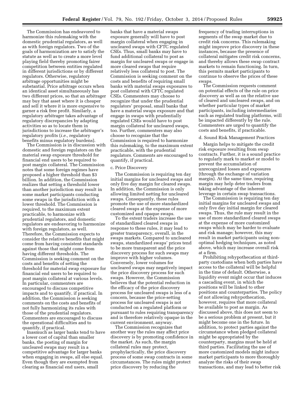The Commission has endeavored to harmonize this rulemaking with the domestic prudential regulators, as well as with foreign regulators. Two of the goals of harmonization are to satisfy the statute as well as to create a more level playing field thereby promoting fairer competition between entities regulated in different jurisdictions or by different regulators. Otherwise, regulatory arbitrage opportunities might be substantial. Price arbitrage occurs when an identical asset simultaneously has two different prices, so that an arbitrager may buy that asset where it is cheaper and sell it where it is more expensive to garner a risk free profit. Similarly, a regulatory arbitrager takes advantage of regulatory discrepancies by adapting activities so as to locate them in jurisdictions to increase the arbitrager's regulatory profits (*i.e.,* regulatory benefits minus regulatory burdens).

The Commission is in discussion with domestic and foreign regulators on the material swap exposure threshold for financial end users to be required to post margin collateral. The Commission notes that some foreign regimes have proposed a higher threshold than \$3 billion. In addition, the Commission realizes that setting a threshold lower than another jurisdiction may result in some market participants conducting some swaps in the jurisdiction with a lower threshold. The Commission is required, to the maximum extent practicable, to harmonize with prudential regulators, and domestic regulators are endeavoring to harmonize with foreign regulators, as well. Therefore, the Commission expects to consider the relative benefits that might come from having consistent standards against those that might come from having different thresholds. The Commission is seeking comment on the costs and benefits of setting the threshold for material swap exposure for financial end users to be required to post margin collateral at various levels. In particular, commenters are encouraged to discuss competitive impacts and to quantify, if practical. In addition, the Commission is seeking comments on the costs and benefits of not fully harmonizing its rules with those of the prudential regulators. Commenters are encouraged to discuss the operational difficulties and to quantify, if practical.

Inasmuch as larger banks tend to have a lower cost of capital than smaller banks, the posting of margin for uncleared swaps may result in a competitive advantage for larger banks when engaging in swaps, all else equal. Even though they are exempted from clearing as financial end users, small

banks that have a material swaps exposure generally will have to post margin collateral when engaging in uncleared swaps with CFTC regulated CSEs. Thus, small banks may have to fund additional collateral to post as margin for uncleared swaps or engage in more cleared swaps that require relatively less collateral to post. The Commission is seeking comment on the costs and benefits of requiring small banks with material swaps exposures to post collateral with CFTC regulated CSEs. Commenters may choose to recognize that under the prudential regulators' proposal, small banks that have a material swaps exposure and that engage in swaps with prudentially regulated CSEs would have to post margin collateral for uncleared swaps, too. Further, commenters may also choose to recognize that the Commission is required to harmonize this rulemaking, to the maximum extent practicable, with the prudential regulators. Comments are encouraged to quantify, if practical.

# c. Price Discovery

The Commission is requiring ten day initial margins for uncleared swaps and only five day margin for cleared swaps. In addition, the Commission is only allowing limited netting for uncleared swaps. Consequently, these rules promote the use of more standardized cleared swaps at the expense of more customized and opaque swaps.

To the extent traders increase the use of standardized cleared swaps in response to these rules, it may lead to greater transparency, overall, in the swaps markets. Compared to uncleared swaps, standardized swaps' prices tend to be more transparent and the price discovery process for such swaps may improve with higher volumes. Conversely, lower volumes for uncleared swaps may negatively impact the price discovery process for such swaps. However, the Commission believes that the potential reduction in the efficacy of the price discovery process for uncleared swaps is less of a concern, because the price-setting process for uncleared swaps is not conducted on a regulated platform or pursuant to rules requiring transparency and is therefore relatively opaque in the current environment, anyway.

The Commission recognizes that another way the rules may affect price discovery is by promoting confidence in the market. As such, the margin collateral rules may protect, prophylactically, the price discovery process of some swap contracts in some circumstances. The rules might protect price discovery by reducing the

frequency of trading interruptions in segments of the swap market due to credit risk concerns. This rulemaking might improve price discovery in these instances, because the presence of collateral mitigates credit risk concerns, and thereby allows these swap contract markets to remain functioning. In turn, this permits market participants to continue to observe the prices of these swaps.

The Commission requests comment on potential effects of the rule on price discovery as well as on the relative use of cleared and uncleared swaps, and on whether particular types of market participants, including intermediaries such as regulated trading platforms, will be impacted differently by the rule. Commenters are urged to quantify the costs and benefits, if practicable.

#### d. Sound Risk Management Practices

Margin helps to mitigate the credit risk exposure resulting from swap contracts. Further, it is a sound practice to regularly mark to market or model to prevent the accumulation of unrecognized losses and exposures (through the exchange of variation margin). At the same time, requiring margin may help deter traders from taking advantage of the inherent leverage in certain swap transactions.

The Commission is requiring ten day initial margins for uncleared swaps and only five day initial margin for cleared swaps. Thus, the rule may result in the use of more standardized cleared swaps at the expense of more customized swaps which may be harder to evaluate and risk manage; however, this may result in market participants using nonoptimal hedging techniques, as noted above, which may increase overall risk at a firm.

Prohibiting rehypothecation at thirdparty custodians when both parties have access to the collateral will be helpful in the time of default. Otherwise, a liquidity event might occur that induces a cascading event, in which the positions will be linked to other positions and counterparties. The policy of not allowing rehypothecation, however, requires that more collateral be available to post as margin. As discussed above, this does not seem to be a serious problem at present, but it might become one in the future. In addition, to protect parties against the circumstance when pledged collateral might be appropriated by the counterparty, margins must be held at third parties. Facilitating the use of more customized models might induce market participants to more thoroughly analyze the risks of their swap transactions, and may lead to better risk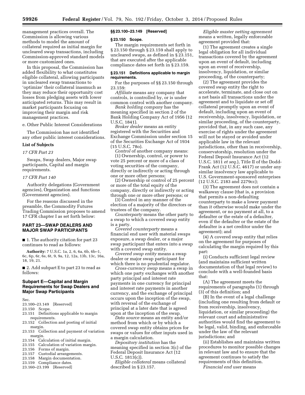management practices overall. The Commission is allowing various methods to model the amount of collateral required as initial margin for uncleared swap transactions, including Commission-approved standard models or more customized ones.

In this proposal, the Commission has added flexibility to what constitutes eligible collateral, allowing participants in uncleared swap transactions to 'optimize' their collateral inasmuch as they may reduce their opportunity cost losses from pledging assets with lower anticipated returns. This may result in market participants focusing on improving their margin and risk management practices.

e. Other Public Interest Considerations

The Commission has not identified any other public interest considerations.

#### **List of Subjects**

# *17 CFR Part 23*

Swaps, Swap dealers, Major swap participants, Capital and margin requirements.

#### *17 CFR Part 140*

Authority delegations (Government agencies), Organization and functions (Government agencies).

For the reasons discussed in the preamble, the Commodity Futures Trading Commission proposes to amend 17 CFR chapter I as set forth below:

# **PART 23—SWAP DEALERS AND MAJOR SWAP PARTICIPANTS**

■ 1. The authority citation for part 23 continues to read as follows:

**Authority:** 7 U.S.C. 1a, 2, 6, 6a, 6b, 6b–1, 6c, 6p, 6r, 6s, 6t, 9, 9a, 12, 12a, 13b, 13c, 16a, 18, 19, 21.

■ 2. Add subpart E to part 23 to read as follows:

# **Subpart E—Capital and Margin Requirements for Swap Dealers and Major Swap Participants**

Sec.

- 23.100–23.149 [Reserved]
- 23.150 Scope.<br>23.151 Definit Definitions applicable to margin
- requirements. 23.152 Collection and posting of initial margin.
- 23.153 Collection and payment of variation
- margin.<br>23.154 Cal 23.154 Calculation of initial margin.<br>23.155 Calculation of variation marg
- 23.155 Calculation of variation margin.<br>23.156 Forms of margin.
- 23.156 Forms of margin.<br>23.157 Custodial arrange
- 23.157 Custodial arrangements.<br>23.158 Margin documentation.
- Margin documentation.
- 23.159 Compliance dates.
- 23.160–23.199 [Reserved]

# **§§ 23.100–23.149 [Reserved]**

#### **§ 23.150 Scope.**

The margin requirements set forth in § 23.150 through § 23.159 shall apply to uncleared swaps, as defined in § 23.151, that are executed after the applicable compliance dates set forth in § 23.159.

#### **§ 23.151 Definitions applicable to margin requirements.**

For the purposes of §§ 23.150 through 23.159:

*Affiliate* means any company that controls, is controlled by, or is under common control with another company.

*Bank holding company* has the meaning specified in section 2 of the Bank Holding Company Act of 1956 (12 U.S.C. 1841).

*Broker dealer* means an entity registered with the Securities and Exchange Commission under section 15 of the Securities Exchange Act of 1934 (15 U.S.C. 78o).

*Control* of another company means: (1) Ownership, control, or power to vote 25 percent or more of a class of voting securities of the company, directly or indirectly or acting through one or more other persons;

(2) Ownership or control of 25 percent or more of the total equity of the company, directly or indirectly or acting through one or more other persons; or

(3) Control in any manner of the election of a majority of the directors or trustees of the company.

*Counterparty* means the other party to a swap to which a covered swap entity is a party.

*Covered counterparty* means a financial end user with material swaps exposure, a swap dealer, or a major swap participant that enters into a swap with a covered swap entity.

*Covered swap entity* means a swap dealer or major swap participant for which there is no prudential regulator.

*Cross-currency swap* means a swap in which one party exchanges with another party principal and interest rate payments in one currency for principal and interest rate payments in another currency, and the exchange of principal occurs upon the inception of the swap, with reversal of the exchange of principal at a later date that is agreed upon at the inception of the swap.

*Data source* means an entity and/or method from which or by which a covered swap entity obtains prices for swaps or values for other inputs used in a margin calculation.

*Depository institution* has the meaning specified in section 3(c) of the Federal Deposit Insurance Act (12 U.S.C. 1813(c)).

*Eligible collateral* means collateral described in § 23.157.

*Eligible master netting agreement*  means a written, legally enforceable agreement provided that:

(1) The agreement creates a single legal obligation for all individual transactions covered by the agreement upon an event of default, including upon an event of receivership, insolvency, liquidation, or similar proceeding, of the counterparty;

(2) The agreement provides the covered swap entity the right to accelerate, terminate, and close out on a net basis all transactions under the agreement and to liquidate or set off collateral promptly upon an event of default, including upon an event of receivership, insolvency, liquidation, or similar proceeding, of the counterparty, provided that, in any such case, any exercise of rights under the agreement will not be stayed or avoided under applicable law in the relevant jurisdictions, other than in receivership, conservatorship, resolution under the Federal Deposit Insurance Act (12 U.S.C. 1811 *et seq.*), Title II of the Dodd-Frank Act (12 U.S.C. 4617) or under any similar insolvency law applicable to U.S. Government-sponsored enterprises (12 U.S.C. 2183 and 2279cc);

(3) The agreement does not contain a walkaway clause (that is, a provision that permits a non-defaulting counterparty to make a lower payment than it otherwise would make under the agreement, or no payment at all, to a defaulter or the estate of a defaulter, even if the defaulter or the estate of the defaulter is a net creditor under the agreement); and

(4) A covered swap entity that relies on the agreement for purposes of calculating the margin required by this part:

(i) Conducts sufficient legal review (and maintains sufficient written documentation of that legal review) to conclude with a well-founded basis that:

(A) The agreement meets the requirements of paragraphs (1) through (3) of this definition; and

(B) In the event of a legal challenge (including one resulting from default or from receivership, insolvency, liquidation, or similar proceeding) the relevant court and administrative authorities would find the agreement to be legal, valid, binding, and enforceable under the law of the relevant jurisdictions; and

(ii) Establishes and maintains written procedures to monitor possible changes in relevant law and to ensure that the agreement continues to satisfy the requirements of this definition.

*Financial end user* means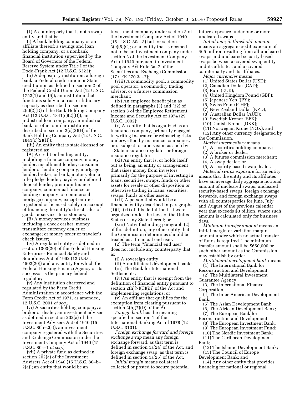(1) A counterparty that is not a swap entity and that is:

(i) A bank holding company or an affiliate thereof; a savings and loan holding company; or a nonbank financial institution supervised by the Board of Governors of the Federal Reserve System under Title I of the Dodd-Frank Act (12 U.S.C. 5323);

(ii) A depository institution; a foreign bank; a Federal credit union or State credit union as defined in section 2 of the Federal Credit Union Act (12 U.S.C. 1752(1) and (6)); an institution that functions solely in a trust or fiduciary capacity as described in section 2(c)(2)(D) of the Bank Holding Company Act (12 U.S.C. 1841(c)(2)(D)); an industrial loan company, an industrial bank, or other similar institution described in section 2(c)(2)(H) of the Bank Holding Company Act (12 U.S.C.  $1841(c)(2)(H));$ 

(iii) An entity that is state-licensed or registered as:

(A) A credit or lending entity, including a finance company; money lender; installment lender; consumer lender or lending company; mortgage lender, broker, or bank; motor vehicle title pledge lender; payday or deferred deposit lender; premium finance company; commercial finance or lending company; or commercial mortgage company; except entities registered or licensed solely on account of financing the entity's direct sales of goods or services to customers;

(B) A money services business, including a check casher; money transmitter; currency dealer or exchange; or money order or traveler's check issuer;

(iv) A regulated entity as defined in section 1303(20) of the Federal Housing Enterprises Financial Safety and Soundness Act of 1992 (12 U.S.C. 4502(20)) and any entity for which the Federal Housing Finance Agency or its successor is the primary federal regulator;

(v) Any institution chartered and regulated by the Farm Credit Administration in accordance with the Farm Credit Act of 1971, as amended, 12 U.S.C. 2001 *et seq.;* 

(vi) A securities holding company; a broker or dealer; an investment adviser as defined in section 202(a) of the Investment Advisers Act of 1940 (15 U.S.C. 80b–2(a)); an investment company registered with the Securities and Exchange Commission under the Investment Company Act of 1940 (15 U.S.C. 80a–1 *et seq.*).

(vii) A private fund as defined in section 202(a) of the Investment Advisers Act of 1940 (15 U.S.C. 80–b– 2(a)); an entity that would be an

investment company under section 3 of the Investment Company Act of 1940 (15 U.S.C. 80a–3) but for section 3(c)(5)(C); or an entity that is deemed not to be an investment company under section 3 of the Investment Company Act of 1940 pursuant to Investment Company Act Rule 3a–7 of the Securities and Exchange Commission (17 CFR 270.3a–7);

(viii) A commodity pool, a commodity pool operator, a commodity trading advisor, or a futures commission merchant;

(ix) An employee benefit plan as defined in paragraphs (3) and (32) of section 3 of the Employee Retirement Income and Security Act of 1974 (29 U.S.C. 1002);

(x) An entity that is organized as an insurance company, primarily engaged in writing insurance or reinsuring risks underwritten by insurance companies, or is subject to supervision as such by a State insurance regulator or foreign insurance regulator;

(xi) An entity that is, or holds itself out as being, an entity or arrangement that raises money from investors primarily for the purpose of investing in loans, securities, swaps, funds or other assets for resale or other disposition or otherwise trading in loans, securities, swaps, funds or other assets;

(xii) A person that would be a financial entity described in paragraphs (1)(i)–(xi) of this definition if it were organized under the laws of the United States or any State thereof; or

(xiii) Notwithstanding paragraph (2) of this definition, any other entity that the Commission determines should be treated as a financial end user.

(2) The term ''financial end user'' does not include any counterparty that is:

(i) A sovereign entity;

(ii) A multilateral development bank; (iii) The Bank for International Settlements;

(iv) An entity that is exempt from the definition of financial entity pursuant to section 2(h)(7)(C)(iii) of the Act and implementing regulations; or

(v) An affiliate that qualifies for the exemption from clearing pursuant to section  $2(h)(7)(D)$  of the Act.

*Foreign bank* has the meaning specified in section 1 of the International Banking Act of 1978 (12 U.S.C. 3101).

*Foreign exchange forward and foreign exchange swap* mean any foreign exchange forward, as that term is defined in section 1a(24) of the Act, and foreign exchange swap, as that term is defined in section 1a(25) of the Act.

*Initial margin* means collateral collected or posted to secure potential future exposure under one or more uncleared swaps.

*Initial margin threshold amount*  means an aggregate credit exposure of \$65 million resulting from all uncleared swaps and uncleared security-based swaps between a covered swap entity and its affiliates, and a covered counterparty and its affiliates.

*Major currencies* means

- (1) United States Dollar (USD);
- (2) Canadian Dollar (CAD);
- (3) Euro (EUR);
- (4) United Kingdom Pound (GBP);
- (5) Japanese Yen (JPY);
- (6) Swiss Franc (CHF);
- (7) New Zealand Dollar (NZD);
- (8) Australian Dollar (AUD);
- (9) Swedish Kronor (SEK);
- (10) Danish Kroner (DKK);
- (11) Norwegian Krone (NOK); and
- (12) Any other currency designated by the Commission.
	- *Market intermediary* means
	- (1) A securities holding company;
	- (2) A broker or dealer;
	- (3) A futures commission merchant;
	- (4) A swap dealer; or
	- (5) A security-based swap dealer.

*Material swaps exposure* for an entity means that the entity and its affiliates have an average daily aggregate notional amount of uncleared swaps, uncleared security-based swaps, foreign exchange forwards, and foreign exchange swaps with all counterparties for June, July and August of the previous calendar year that exceeds \$3 billion, where such amount is calculated only for business days.

*Minimum transfer amount* means an initial margin or variation margin amount under which no actual transfer of funds is required. The minimum transfer amount shall be \$650,000 or such other amount as the Commission may establish by order.

*Multilateral development bank* means (1) The International Bank for

- Reconstruction and Development; (2) The Multilateral Investment
- Guarantee Agency;

(3) The International Finance Corporation;

(4) The Inter-American Development Bank;

- (5) The Asian Development Bank;
- (6) The African Development Bank;
- (7) The European Bank for
- Reconstruction and Development;
	- (8) The European Investment Bank;
- (9) The European Investment Fund;
- (10) The Nordic Investment Bank;
- (11) The Caribbean Development Bank;
- (12) The Islamic Development Bank;
- (13) The Council of Europe Development Bank; and

(14) Any other entity that provides financing for national or regional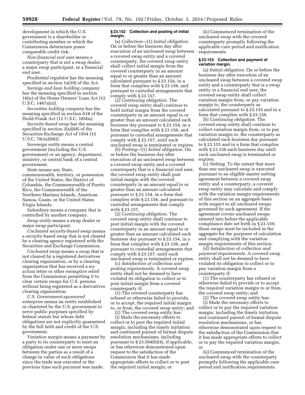development in which the U.S. government is a shareholder or contributing member or which the Commission determines poses comparable credit risk.

*Non-financial end user* means a counterparty that is not a swap dealer, a major swap participant, or a financial end user.

*Prudential regulator* has the meaning specified in section 1a(39) of the Act.

*Savings and loan holding company*  has the meaning specified in section 10(n) of the Home Owners' Loan Act (12 U.S.C. 1467a(n)).

*Securities holding company* has the meaning specified in section 618 of the Dodd-Frank Act (12 U.S.C. 1850a).

*Security-based swap* has the meaning specified in section 3(a)(68) of the Securities Exchange Act of 1934 (15 U.S.C. 78c(a)(68)).

*Sovereign entity* means a central government (including the U.S. government) or an agency, department, ministry, or central bank of a central government.

*State* means any State, commonwealth, territory, or possession of the United States, the District of Columbia, the Commonwealth of Puerto Rico, the Commonwealth of the Northern Mariana Islands, American Samoa, Guam, or the United States Virgin Islands.

*Subsidiary* means a company that is controlled by another company.

*Swap entity* means a swap dealer or major swap participant.

*Uncleared security-based swap* means a security-based swap that is not cleared by a clearing agency registered with the Securities and Exchange Commission.

*Uncleared swap* means a swap that is not cleared by a registered derivatives clearing organization, or by a clearing organization that has received a noaction letter or other exemptive relief from the Commission permitting it to clear certain swaps for U.S. persons without being registered as a derivatives clearing organization.

*U.S. Government-sponsored enterprise* means an entity established or chartered by the U.S. government to serve public purposes specified by federal statute but whose debt obligations are not explicitly guaranteed by the full faith and credit of the U.S. government.

*Variation margin* means a payment by a party to its counterparty to meet an obligation under one or more swaps between the parties as a result of a change in value of such obligations since the trade was executed or the previous time such payment was made.

#### **§ 23.152 Collection and posting of initial margin.**

(a) *Collection*—(1) *Initial obligation.*  On or before the business day after execution of an uncleared swap between a covered swap entity and a covered counterparty, the covered swap entity shall collect initial margin from the covered counterparty in an amount equal to or greater than an amount calculated pursuant to § 23.154, in a form that complies with § 23.156, and pursuant to custodial arrangements that comply with § 23.157.

(2) *Continuing obligation.* The covered swap entity shall continue to hold initial margin from the covered counterparty in an amount equal to or greater than an amount calculated each business day pursuant to § 23.154, in a form that complies with § 23.156, and pursuant to custodial arrangements that comply with § 23.157, until such uncleared swap is terminated or expires.

(b) *Posting*—(1) *Initial obligation.* On or before the business day after execution of an uncleared swap between a covered swap entity and a covered counterparty that is a financial end user, the covered swap entity shall post initial margin with the covered counterparty in an amount equal to or greater than an amount calculated pursuant to § 23.154, in a form that complies with § 23.156, and pursuant to custodial arrangements that comply with § 23.157.

(2) *Continuing obligation.* The covered swap entity shall continue to post initial margin with the covered counterparty in an amount equal to or greater than an amount calculated each business day pursuant to § 23.154, in a form that complies with § 23.156, and pursuant to custodial arrangements that comply with § 23.157, until such uncleared swap is terminated or expires.

(c) *Satisfaction of collection and posting requirements.* A covered swap entity shall not be deemed to have violated its obligation to collect or to post initial margin from a covered counterparty if:

(1) The covered counterparty has refused or otherwise failed to provide, or to accept, the required initial margin to, or from, the covered swap entity; and

(2) The covered swap entity has:

(i) Made the necessary efforts to collect or to post the required initial margin, including the timely initiation and continued pursuit of formal dispute resolution mechanisms, including pursuant to § 23.504(b)(4), if applicable, or has otherwise demonstrated upon request to the satisfaction of the Commission that it has made appropriate efforts to collect or to post the required initial margin; or

(ii) Commenced termination of the uncleared swap with the covered counterparty promptly following the applicable cure period and notification requirements.

# **§ 23.153 Collection and payment of variation margin.**

(a) *Initial obligation.* On or before the business day after execution of an uncleared swap between a covered swap entity and a counterparty that is a swap entity or a financial end user, the covered swap entity shall collect variation margin from, or pay variation margin to, the counterparty as calculated pursuant to § 23.155 and in a form that complies with § 23.156.

(b) *Continuing obligation.* The covered swap entity shall continue to collect variation margin from, or to pay variation margin to, the counterparty as calculated each business day pursuant to § 23.155 and in a form that complies with § 23.156 each business day until such uncleared swap is terminated or expires.

(c) *Netting.* To the extent that more than one uncleared swap is executed pursuant to an eligible master netting agreement between a covered swap entity and a counterparty, a covered swap entity may calculate and comply with the variation margin requirements of this section on an aggregate basis with respect to all uncleared swaps governed by such agreement. If the agreement covers uncleared swaps entered into before the applicable compliance date set forth in § 23.159, those swaps must be included in the aggregate for the purposes of calculation and complying with the variation margin requirements of this section.

(d) *Satisfaction of collection and payment requirements.* A covered swap entity shall not be deemed to have violated its obligation to collect or to pay variation margin from a counterparty if:

(1) The counterparty has refused or otherwise failed to provide or to accept the required variation margin to or from the covered swap entity; and

(2) The covered swap entity has:

(i) Made the necessary efforts to collect or to pay the required variation margin, including the timely initiation and continued pursuit of formal dispute resolution mechanisms, or has otherwise demonstrated upon request to the satisfaction of the Commission that it has made appropriate efforts to collect or to pay the required variation margin; or

(ii) Commenced termination of the uncleared swap with the counterparty promptly following the applicable cure period and notification requirements.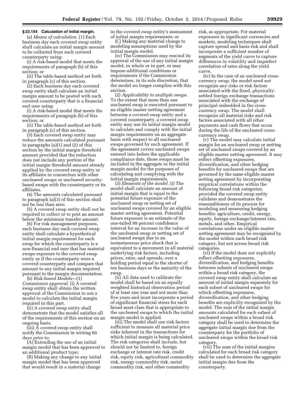# **§ 23.154 Calculation of initial margin.**

(a) *Means of calculation.* (1) Each business day each covered swap entity shall calculate an initial margin amount to be collected from each covered counterparty using:

(i) A risk-based model that meets the requirements of paragraph (b) of this section; or

(ii) The table-based method set forth in paragraph (c) of this section.

(2) Each business day each covered swap entity shall calculate an initial margin amount to be posted with each covered counterparty that is a financial end user using:

(i) A risk-based model that meets the requirements of paragraph (b) of this section; or

(ii) The table-based method set forth in paragraph (c) of this section.

(3) Each covered swap entity may reduce the amounts calculated pursuant to paragraphs (a)(1) and (2) of this section by the initial margin threshold amount provided that the reduction does not include any portion of the initial margin threshold amount already applied by the covered swap entity or its affiliates in connection with other uncleared swaps or uncleared securitybased swaps with the counterparty or its affiliates.

(4) The amounts calculated pursuant to paragraph (a)(3) of this section shall not be less than zero.

(5) A covered swap entity shall not be required to collect or to post an amount below the minimum transfer amount.

(6) For risk management purposes, each business day each covered swap entity shall calculate a hypothetical initial margin requirement for each swap for which the counterparty is a non-financial end user that has material swaps exposure to the covered swap entity as if the counterparty were a covered counterparty and compare that amount to any initial margin required pursuant to the margin documentation.

(b) *Risk-based Models*—(1) *Commission approval.* (i) A covered swap entity shall obtain the written approval of the Commission to use a model to calculate the initial margin required in this part.

(ii) A covered swap entity shall demonstrate that the model satisfies all of the requirements of this section on an ongoing basis.

 $(iii)$   $\overline{A}$  covered swap entity shall notify the Commission in writing 60 days prior to:

(A) Extending the use of an initial margin model that has been approved to an additional product type;

(B) Making any change to any initial margin model that has been approved that would result in a material change

in the covered swap entity's assessment of initial margin requirements; or

(C) Making any material change to modeling assumptions used by the initial margin model.

(iv) The Commission may rescind its approval of the use of any initial margin model, in whole or in part, or may impose additional conditions or requirements if the Commission determines, in its sole discretion, that the model no longer complies with this section.

(2) *Applicability to multiple swaps.*  To the extent that more than one uncleared swap is executed pursuant to an eligible master netting agreement between a covered swap entity and a covered counterparty, a covered swap entity may use its initial margin model to calculate and comply with the initial margin requirements on an aggregate basis with respect to all uncleared swaps governed by such agreement. If the agreement covers uncleared swaps entered into before the applicable compliance date, those swaps must be included in the aggregate in the initial margin model for the purposes of calculating and complying with the initial margin requirements.

(3) *Elements of the model.* (i) The model shall calculate an amount of initial margin that is equal to the potential future exposure of the uncleared swap or netting set of uncleared swaps covered by an eligible master netting agreement. Potential future exposure is an estimate of the one-tailed 99 percent confidence interval for an increase in the value of the uncleared swap or netting set of uncleared swaps due to an instantaneous price shock that is equivalent to a movement in all material underlying risk factors, including prices, rates, and spreads, over a holding period equal to the shorter of ten business days or the maturity of the swap.

(ii) All data used to calibrate the model shall be based on an equally weighted historical observation period of at least one year and not more than five years and must incorporate a period of significant financial stress for each broad asset class that is appropriate to the uncleared swaps to which the initial margin model is applied.

(iii) The model shall use risk factors sufficient to measure all material price risks inherent in the transactions for which initial margin is being calculated. The risk categories shall include, but should not be limited to, foreign exchange or interest rate risk, credit risk, equity risk, agricultural commodity risk, energy commodity risk, metal commodity risk, and other commodity

risk, as appropriate. For material exposures in significant currencies and markets, modeling techniques shall capture spread and basis risk and shall incorporate a sufficient number of segments of the yield curve to capture differences in volatility and imperfect correlation of rates along the yield curve.

(iv) In the case of an uncleared crosscurrency swap, the model need not recognize any risks or risk factors associated with the fixed, physicallysettled foreign exchange transactions associated with the exchange of principal embedded in the crosscurrency swap. The model shall recognize all material risks and risk factors associated with all other payments and cash flows that occur during the life of the uncleared crosscurrency swap.

(v) The model may calculate initial margin for an uncleared swap or netting set of uncleared swaps covered by an eligible master netting agreement. It may reflect offsetting exposures, diversification, and other hedging benefits for uncleared swaps that are governed by the same eligible master netting agreement by incorporating empirical correlations within the following broad risk categories, provided the covered swap entity validates and demonstrates the reasonableness of its process for modeling and measuring hedging benefits: agriculture, credit, energy, equity, foreign exchange/interest rate, metals, and other. Empirical correlations under an eligible master netting agreement may be recognized by the model within each broad risk category, but not across broad risk categories.

(vi) If the model does not explicitly reflect offsetting exposures, diversification, and hedging benefits between subsets of uncleared swaps within a broad risk category, the covered swap entity shall calculate an amount of initial margin separately for each subset of uncleared swaps for which offsetting exposures, diversification, and other hedging benefits are explicitly recognized by the model. The sum of the initial margin amounts calculated for each subset of uncleared swaps within a broad risk category shall be used to determine the aggregate initial margin due from the counterparty for the portfolio of uncleared swaps within the broad risk category.

(vii) The sum of the initial margins calculated for each broad risk category shall be used to determine the aggregate initial margin due from the counterparty.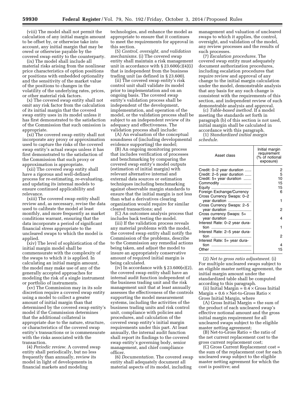(viii) The model shall not permit the calculation of any initial margin amount to be offset by, or otherwise take into account, any initial margin that may be owed or otherwise payable by the covered swap entity to the counterparty.

(ix) The model shall include all material risks arising from the nonlinear price characteristics of option positions or positions with embedded optionality and the sensitivity of the market value of the positions to changes in the volatility of the underlying rates, prices, or other material risk factors.

(x) The covered swap entity shall not omit any risk factor from the calculation of its initial margin that the covered swap entity uses in its model unless it has first demonstrated to the satisfaction of the Commission that such omission is appropriate.

(xi) The covered swap entity shall not incorporate any proxy or approximation used to capture the risks of the covered swap entity's actual swaps unless it has first demonstrated to the satisfaction of the Commission that such proxy or approximation is appropriate.

(xii) The covered swap entity shall have a rigorous and well-defined process for re-estimating, re-evaluating, and updating its internal models to ensure continued applicability and relevance.

(xiii) The covered swap entity shall review and, as necessary, revise the data used to calibrate the model at least monthly, and more frequently as market conditions warrant, ensuring that the data incorporate a period of significant financial stress appropriate to the uncleared swaps to which the model is applied.

(xiv) The level of sophistication of the initial margin model shall be commensurate with the complexity of the swaps to which it is applied. In calculating an initial margin amount, the model may make use of any of the generally accepted approaches for modeling the risk of a single instrument or portfolio of instruments.

(xv) The Commission may in its sole discretion require a covered swap entity using a model to collect a greater amount of initial margin than that determined by the covered swap entity's model if the Commission determines that the additional collateral is appropriate due to the nature, structure, or characteristics of the covered swap entity's transactions or is commensurate with the risks associated with the transaction.

(4) *Periodic review.* A covered swap entity shall periodically, but no less frequently than annually, review its model in light of developments in financial markets and modeling

technologies, and enhance the model as appropriate to ensure that it continues to meet the requirements for approval in this section.

(5) *Control, oversight, and validation mechanisms.* (i) The covered swap entity shall maintain a risk management unit in accordance with  $\S 23.600(c)(4)(i)$ that is independent from the business trading unit (as defined in § 23.600).

(ii) The covered swap entity's risk control unit shall validate its model prior to implementation and on an ongoing basis. The covered swap entity's validation process shall be independent of the development, implementation, and operation of the model, or the validation process shall be subject to an independent review of its adequacy and effectiveness. The validation process shall include:

(A) An evaluation of the conceptual soundness of (including developmental evidence supporting) the model;

(B) An ongoing monitoring process that includes verification of processes and benchmarking by comparing the covered swap entity's model outputs (estimation of initial margin) with relevant alternative internal and external data sources or estimation techniques including benchmarking against observable margin standards to ensure that the initial margin is not less than what a derivatives clearing organization would require for similar cleared transactions; and

(C) An outcomes analysis process that includes back testing the model.

(iii) If the validation process reveals any material problems with the model, the covered swap entity shall notify the Commission of the problems, describe to the Commission any remedial actions being taken, and adjust the model to insure an appropriately conservative amount of required initial margin is being calculated.

(iv) In accordance with  $\S 23.600(e)(2)$ , the covered swap entity shall have an internal audit function independent of the business trading unit and the risk management unit that at least annually assesses the effectiveness of the controls supporting the model measurement systems, including the activities of the business trading units and risk control unit, compliance with policies and procedures, and calculation of the covered swap entity's initial margin requirements under this part. At least annually, the internal audit function shall report its findings to the covered swap entity's governing body, senior management, and chief compliance officer.

(6) *Documentation.* The covered swap entity shall adequately document all material aspects of its model, including

management and valuation of uncleared swaps to which it applies, the control, oversight, and validation of the model, any review processes and the results of such processes.

(7) *Escalation procedures.* The covered swap entity must adequately document authorization procedures, including escalation procedures that require review and approval of any change to the initial margin calculation under the model, demonstrable analysis that any basis for any such change is consistent with the requirements of this section, and independent review of such demonstrable analysis and approval.

(c) *Table-based method.* If a model meeting the standards set forth in paragraph (b) of this section is not used, initial margin shall be calculated in accordance with this paragraph.

(1) *Standardized initial margin schedule.* 

| Asset class                   | Initial margin<br>requirement<br>(% of notional<br>exposure) |
|-------------------------------|--------------------------------------------------------------|
| Credit: 0-2 year duration     | 2                                                            |
| Credit: 2-5 year duration     | 5                                                            |
| Credit: 5+ year duration      | 10                                                           |
| Commodity                     | 15                                                           |
|                               | 15                                                           |
| Foreign Exchange/Currency     | 6                                                            |
| Cross Currency Swaps: 0-2     |                                                              |
| year duration                 | 1                                                            |
| Cross Currency Swaps: 2-5     |                                                              |
| year duration                 | 2                                                            |
| Cross currency Swaps: 5+      |                                                              |
| year duration                 | 4                                                            |
| Interest Rate: 0-2 year dura- |                                                              |
| tion                          |                                                              |
| Interest Rate: 2-5 year dura- |                                                              |
|                               | 2                                                            |
| Interest Rate: 5+ year dura-  |                                                              |
| tion                          |                                                              |
| Other                         |                                                              |
|                               |                                                              |

(2) *Net to gross ratio adjustment.* (i) For multiple uncleared swaps subject to an eligible master netting agreement, the initial margin amount under the standardized table shall be computed according to this paragraph.

(ii) Initial Margin =  $0.4 \times$  Gross Initial Margin +  $0.6 \times$  Net-to-Gross Ratio  $\times$ Gross Initial Margin, where

(A) Gross Initial Margin = the sum of the product of each uncleared swap's effective notional amount and the gross initial margin requirement for all uncleared swaps subject to the eligible master netting agreement;

(B) Net-to-Gross Ratio = the ratio of the net current replacement cost to the gross current replacement cost;

(C) Gross Current Replacement cost = the sum of the replacement cost for each uncleared swap subject to the eligible master netting agreement for which the cost is positive; and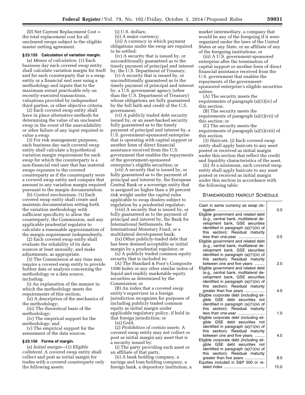(D) Net Current Replacement Cost = the total replacement cost for all uncleared swaps subject to the eligible master netting agreement.

# **§ 23.155 Calculation of variation margin.**

(a) *Means of calculation.* (1) Each business day each covered swap entity shall calculate variation margin for itself and for each counterparty that is a swap entity or a financial end user using a methodology and inputs that to the maximum extent practicable rely on recently-executed transactions, valuations provided by independent third parties, or other objective criteria.

(2) Each covered swap entity shall have in place alternative methods for determining the value of an uncleared swap in the event of the unavailability or other failure of any input required to value a swap.

(3) For risk management purposes, each business day each covered swap entity shall calculate a hypothetical variation margin requirement for each swap for which the counterparty is a non-financial end user that has material swaps exposure to the covered counterparty as if the counterparty were a covered swap entity and compare that amount to any variation margin required pursuant to the margin documentation.

(b) *Control mechanisms.* (1) Each covered swap entity shall create and maintain documentation setting forth the variation methodology with sufficient specificity to allow the counterparty, the Commission, and any applicable prudential regulator to calculate a reasonable approximation of the margin requirement independently.

(2) Each covered swap entity shall evaluate the reliability of its data sources at least annually, and make adjustments, as appropriate.

(3) The Commission at any time may require a covered swap entity to provide further data or analysis concerning the methodology or a data source, including:

(i) An explanation of the manner in which the methodology meets the requirements of this section;

(ii) A description of the mechanics of the methodology;

(iii) The theoretical basis of the methodology;

(iv) The empirical support for the methodology; and

(v) The empirical support for the assessment of the data sources.

#### **§ 23.156 Forms of margin.**

(a) *Initial margin*—(1) *Eligible collateral.* A covered swap entity shall collect and post as initial margin for trades with a covered counterparty only the following assets:

(i) U.S. dollars;

(ii) A major currency; (iii) A currency in which payment

obligations under the swap are required to be settled;

(iv) A security that is issued by, or unconditionally guaranteed as to the timely payment of principal and interest by, the U.S. Department of Treasury;

(v) A security that is issued by, or unconditionally guaranteed as to the timely payment of principal and interest by, a U.S. government agency (other than the U.S. Department of Treasury) whose obligations are fully guaranteed by the full faith and credit of the U.S. government;

(vi) A publicly traded debt security issued by, or an asset-backed security fully guaranteed as to the timely payment of principal and interest by, a U.S. government-sponsored enterprise that is operating with capital support or another form of direct financial assistance received from the U.S. government that enables the repayments of the government-sponsored enterprise's eligible securities; or

(vii) A security that is issued by, or fully guaranteed as to the payment of principal and interest by, the European Central Bank or a sovereign entity that is assigned no higher than a 20 percent risk weight under the capital rules applicable to swap dealers subject to regulation by a prudential regulator;

(viii) A security that is issued by, or fully guaranteed as to the payment of principal and interest by, the Bank for International Settlements, the International Monetary Fund, or a multilateral development bank;

(ix) Other publicly-traded debt that has been deemed acceptable as initial margin by a prudential regulator; or

(x) A publicly traded common equity security that is included in:

(A) The Standard & Poor's Composite 1500 Index or any other similar index of liquid and readily marketable equity securities as determined by the Commission; or

(B) An index that a covered swap entity's supervisor in a foreign jurisdiction recognizes for purposes of including publicly traded common equity as initial margin under applicable regulatory policy, if held in that foreign jurisdiction; or

(xi) Gold. (2) *Prohibition of certain assets.* A covered swap entity may not collect or post as initial margin any asset that is a security issued by:

(i) The party providing such asset or an affiliate of that party,

(ii) A bank holding company, a savings and loan holding company, a foreign bank, a depository institution, a market intermediary, a company that would be any of the foregoing if it were organized under the laws of the United States or any State, or an affiliate of any of the foregoing institutions, or

(iii) A U.S. government-sponsored enterprise after the termination of capital support or another form of direct financial assistance received from the U.S. government that enables the repayments of the governmentsponsored enterprise's eligible securities unless:

(A) The security meets the requirements of paragraph (a)(1)(iv) of this section;

(B) The security meets the requirements of paragraph (a)(1)(vii) of this section; or

(C) The security meets the requirements of paragraph (a)(1)(viii) of this section.

(3) *Haircuts.* (i) Each covered swap entity shall apply haircuts to any asset posted or received as initial margin under this section that reflect the credit and liquidity characteristics of the asset.

(ii) At a minimum, each covered swap entity shall apply haircuts to any asset posted or received as initial margin under this section in accordance with the following table:

# STANDARDIZED HAIRCUT SCHEDULE

| Cash in same currency as swap ob-<br>Eligible government and related debt<br>(e.g., central bank, multilateral de-<br>velopment bank, GSE securities<br>identified in paragraph (a)(1)(iv) of<br>this section): Residual maturity | 0.0  |
|-----------------------------------------------------------------------------------------------------------------------------------------------------------------------------------------------------------------------------------|------|
| less than one-year                                                                                                                                                                                                                | 0.5  |
| Eligible government and related debt<br>(e.g., central bank, multilateral de-<br>velopment bank, GSE securities<br>identified in paragraph (a)(1)(iv) of<br>this section): Residual maturity                                      |      |
| between one and five years                                                                                                                                                                                                        | 2.0  |
| Eligible government and related debt<br>(e.g., central bank, multilateral de-<br>velopment bank, GSE securities<br>identified in paragraph (a)(1)(iv) of<br>this section): Residual maturity                                      |      |
| greater than five years                                                                                                                                                                                                           | 4.0  |
| Eligible corporate debt (including eli-<br>gible GSE debt securities not<br>identified in paragraph (a)(1)(iv) of<br>this section): Residual maturity                                                                             |      |
| less than one-year                                                                                                                                                                                                                | 1.0  |
| Eligible corporate debt (including eli-<br>gible GSE debt securities not<br>identified in paragraph (a)(1)(iv) of<br>this section): Residual maturity                                                                             |      |
| between one and five years<br>Eligible corporate debt (including eli-<br>gible GSE debt securities not<br>identified in paragraph (a)(1)(iv) of<br>this section): Residual maturity                                               | 4.0  |
| greater than five years<br>Equities included in S&P 500 or re-                                                                                                                                                                    | 8.0  |
|                                                                                                                                                                                                                                   | 15.0 |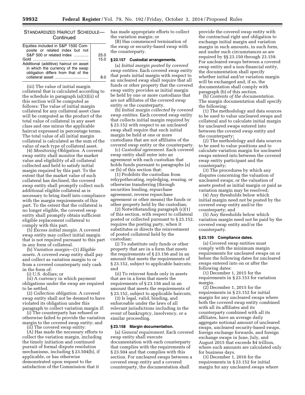# STANDARDIZED HAIRCUT SCHEDULE— **Continued**

| 25.0 |
|------|
| 15.0 |
|      |
|      |
|      |
|      |
|      |

(iii) The value of initial margin collateral that is calculated according to the schedule in paragraph (a)(3)(ii) of this section will be computed as follows: The value of initial margin collateral for any collateral asset class will be computed as the product of the total value of collateral in any asset class and one minus the applicable haircut expressed in percentage terms. The total value of all initial margin collateral is calculated as the sum of the value of each type of collateral asset.

(4) *Monitoring Obligation.* A covered swap entity shall monitor the market value and eligibility of all collateral collected and held to satisfy initial margin required by this part. To the extent that the market value of such collateral has declined, the covered swap entity shall promptly collect such additional eligible collateral as is necessary to bring itself into compliance with the margin requirements of this part. To the extent that the collateral is no longer eligible, the covered swap entity shall promptly obtain sufficient eligible replacement collateral to comply with this part.

(5) *Excess initial margin.* A covered swap entity may collect initial margin that is not required pursuant to this part in any form of collateral.

(b) *Variation margin*—(1) *Eligible assets.* A covered swap entity shall pay and collect as variation margin to or from a covered counterparty only cash in the form of:

(i) U.S. dollars; or

(ii) A currency in which payment obligations under the swap are required to be settled.

(2) *Collection obligation.* A covered swap entity shall not be deemed to have violated its obligation under this paragraph to collect variation margin if:

(i) The counterparty has refused or otherwise failed to provide the variation margin to the covered swap entity; and

(ii) The covered swap entity:

(A) Has made the necessary efforts to collect the variation margin, including the timely initiation and continued pursuit of formal dispute resolution mechanisms, including § 23.504(b), if applicable, or has otherwise demonstrated upon request to the satisfaction of the Commission that it

has made appropriate efforts to collect the variation margin; or

(B) Has commenced termination of the swap or security-based swap with the counterparty.

#### **§ 23.157 Custodial arrangements.**

(a) *Initial margin posted by covered swap entities.* Each covered swap entity that posts initial margin with respect to an uncleared swap shall require that all funds or other property that the covered swap entity provides as initial margin be held by one or more custodians that are not affiliates of the covered swap entity or the counterparty.

(b) *Initial margin collected by covered swap entities.* Each covered swap entity that collects initial margin required by § 23.152 with respect to an uncleared swap shall require that such initial margin be held at one or more custodians that are not affiliates of the covered swap entity or the counterparty.

(c) *Custodial agreement.* Each covered swap entity shall enter into an agreement with each custodian that holds funds pursuant to paragraphs (a) or (b) of this section that:

(1) Prohibits the custodian from rehypothecating, repledging, reusing, or otherwise transferring (through securities lending, repurchase agreement, reverse repurchase agreement or other means) the funds or other property held by the custodian;

(2) Notwithstanding paragraph (c)(1) of this section, with respect to collateral posted or collected pursuant to § 23.152, requires the posting party, when it substitutes or directs the reinvestment of posted collateral held by the custodian:

(i) To substitute only funds or other property that are in a form that meets the requirements of § 23.156 and in an amount that meets the requirements of § 23.152, subject to applicable haircuts; and

(ii) To reinvest funds only in assets that are in a form that meets the requirements of § 23.156 and in an amount that meets the requirements of § 23.152, subject to applicable haircuts;

(3) Is legal, valid, binding, and enforceable under the laws of all relevant jurisdictions including in the event of bankruptcy, insolvency, or a similar proceeding.

# **§ 23.158 Margin documentation.**

(a) *General requirement.* Each covered swap entity shall execute documentation with each counterparty that complies with the requirements of § 23.504 and that complies with this section. For uncleared swaps between a covered swap entity and a covered counterparty, the documentation shall

provide the covered swap entity with the contractual right and obligation to exchange initial margin and variation margin in such amounts, in such form, and under such circumstances as are required by §§ 23.150 through 23.159. For uncleared swaps between a covered swap entity and a non-financial entity, the documentation shall specify whether initial and/or variation margin will be exchanged and, if so, the documentation shall comply with paragraph (b) of this section.

(b) *Contents of the documentation.*  The margin documentation shall specify the following:

(1) The methodology and data sources to be used to value uncleared swaps and collateral and to calculate initial margin for uncleared swaps entered into between the covered swap entity and the counterparty;

(2) The methodology and data sources to be used to value positions and to calculate variation margin for uncleared swaps entered into between the covered swap entity participant and the counterparty;

(3) The procedures by which any disputes concerning the valuation of uncleared swaps, or the valuation of assets posted as initial margin or paid as variation margin may be resolved;

(4) Any thresholds below which initial margin need not be posted by the covered swap entity and/or the counterparty; and

(5) Any thresholds below which variation margin need not be paid by the covered swap entity and/or the counterparty.

#### **§ 23.159 Compliance dates.**

(a) Covered swap entities must comply with the minimum margin requirements for uncleared swaps on or before the following dates for uncleared swaps entered into on or after the following dates:

(1) December 1, 2015 for the requirements in § 23.153 for variation margin.

(2) December 1, 2015 for the requirements in § 23.152 for initial margin for any uncleared swaps where both the covered swap entity combined with all its affiliates and its counterparty combined with all its affiliates, have an average daily aggregate notional amount of uncleared swaps, uncleared security-based swaps, foreign exchange forwards, and foreign exchange swaps in June, July, and August 2015 that exceeds \$4 trillion, where such amounts are calculated only for business days.

(3) December 1, 2016 for the requirements in § 23.152 for initial margin for any uncleared swaps where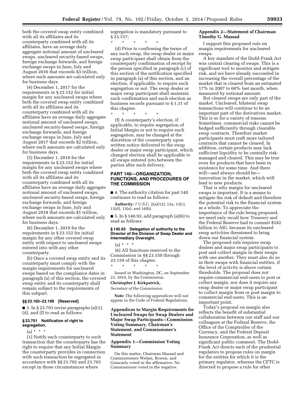both the covered swap entity combined with all its affiliates and its counterparty combined with all its affiliates, have an average daily aggregate notional amount of uncleared swaps, uncleared security-based swaps, foreign exchange forwards, and foreign exchange swaps in June, July and August 2016 that exceeds \$3 trillion, where such amounts are calculated only for business days.

(4) December 1, 2017 for the requirements in § 23.152 for initial margin for any uncleared swaps where both the covered swap entity combined with all its affiliates and its counterparty combined with all its affiliates have an average daily aggregate notional amount of uncleared swaps, uncleared security-based swaps, foreign exchange forwards, and foreign exchange swaps in June, July and August 2017 that exceeds \$2 trillion, where such amounts are calculated only for business days.

(5) December 1, 2018 for the requirements in § 23.152 for initial margin for any uncleared swaps where both the covered swap entity combined with all its affiliates and its counterparty combined with all its affiliates have an average daily aggregate notional amount of uncleared swaps, uncleared security-based swaps, foreign exchange forwards, and foreign exchange swaps in June, July and August 2018 that exceeds \$1 trillion, where such amounts are calculated only for business days.

(6) December 1, 2019 for the requirements in § 23.152 for initial margin for any other covered swap entity with respect to uncleared swaps entered into with any other counterparty.

(b) Once a covered swap entity and its counterparty must comply with the margin requirements for uncleared swaps based on the compliance dates in paragraph (a) of this section, the covered swap entity and its counterparty shall remain subject to the requirements of this subpart.

# **§§ 23.160–23.199 [Reserved]**

■ 3. In § 23.701 revise paragraphs  $(a)(1)$ , (d), and (f) to read as follows:

# **§ 23.701 Notification of right to segregation.**

 $(a) * * * *$ 

(1) Notify each counterparty to such transaction that the counterparty has the right to require that any Initial Margin the counterparty provides in connection with such transaction be segregated in accordance with §§ 23.702 and 23.703 except in those circumstances where

segregation is mandatory pursuant to § 23.157;

\* \* \* \* \*

(d) Prior to confirming the terms of any such swap, the swap dealer or major swap participant shall obtain from the counterparty confirmation of receipt by the person specified in paragraph (c) of this section of the notification specified in paragraph (a) of this section, and an election, if applicable, to require such segregation or not. The swap dealer or major swap participant shall maintain such confirmation and such election as business records pursuant to § 1.31 of this chapter.

\* \* \* \* \*

(f) A counterparty's election, if applicable, to require segregation of Initial Margin or not to require such segregation, may be changed at the discretion of the counterparty upon written notice delivered to the swap dealer or major swap participant, which changed election shall be applicable to all swaps entered into between the parties after such delivery.

# **PART 140—ORGANIZATION, FUNCTIONS, AND PROCEDURES OF THE COMMISSION**

■ 4. The authority citation for part 140 continues to read as follows:

**Authority:** 7 U.S.C. 2(a)(12), 12a, 13(c), 13(d), 13(e), and 16(b).

■ 5. In § 140.93, add paragraph (a)(6) to read as follows:

# **§ 140.93 Delegation of authority to the Director of the Division of Swap Dealer and Intermediary Oversight.**

 $(a) * * * *$ (6) All functions reserved to the Commission in §§ 23.150 through 23.159 of this chapter. \* \* \* \* \*

Issued in Washington, DC, on September 23, 2014, by the Commission.

#### **Christopher J. Kirkpatrick,**

*Secretary of the Commission.* 

**Note:** The following appendices will not appear in the Code of Federal Regulations.

# **Appendices to Margin Requirements for Uncleared Swaps for Swap Dealers and Major Swap Participants—Commission Voting Summary, Chairman's Statement, and Commissioner's Statement**

# **Appendix 1—Commission Voting Summary**

On this matter, Chairman Massad and Commissioners Wetjen, Bowen, and Giancarlo voted in the affirmative. No Commissioner voted in the negative.

# **Appendix 2—Statement of Chairman Timothy G. Massad**

I support this proposed rule on margin requirements for uncleared swaps.

A key mandate of the Dodd-Frank Act was central clearing of swaps. This is a significant tool to monitor and mitigate risk, and we have already succeeded in increasing the overall percentage of the market that is cleared from an estimated 17% in 2007 to 60% last month, when measured by notional amount.

But cleared swaps are only part of the market. Uncleared, bilateral swap transactions will continue to be an important part of the derivatives market. This is so for a variety of reasons. Sometimes, commercial risks cannot be hedged sufficiently through clearable swap contracts. Therefore market participants must craft more tailored contracts that cannot be cleared. In addition, certain products may lack sufficient liquidity to be centrally riskmanaged and cleared. This may be true even for products that have been in existence for some time. And there will—and always should be innovation in the market, which will lead to new products.

That is why margin for uncleared swaps is important. It is a means to mitigate the risk of default and therefore the potential risk to the financial system as a whole. To appreciate the importance of the rule being proposed, we need only recall how Treasury and the Federal Reserve had to commit \$182 billion to AIG, because its uncleared swap activities threatened to bring down our financial system.

The proposed rule requires swap dealers and major swap participants to post and collect margin in their swaps with one another. They must also do so in their swaps with financial entities, if the level of activity is above certain thresholds. The proposal does not require commercial end-users to post or collect margin, nor does it require any swap dealer or major swap participant to collect margin from or post margin to commercial end-users. This is an important point.

Today's proposal on margin also reflects the benefit of substantial collaboration between our staff and our colleagues at the Federal Reserve, the Office of the Comptroller of the Currency, and the Federal Deposit Insurance Corporation, as well as significant public comment. The Dodd-Frank Act directs each of the prudential regulators to propose rules on margin for the entities for which it is the primary regulator, whereas the CFTC is directed to propose a rule for other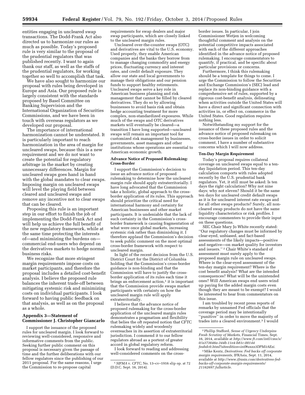entities engaging in uncleared swap transactions. The Dodd-Frank Act also directed us to harmonize our rules as much as possible. Today's proposed rule is very similar to the proposal of the prudential regulators that was published recently. I want to again thank our staff, as well as the staffs of the prudential regulators, for working together so well to accomplish that task.

We have also sought to harmonize our proposal with rules being developed in Europe and Asia. Our proposed rule is largely consistent with the standards proposed by Basel Committee on Banking Supervision and the International Organization of Securities Commissions, and we have been in touch with overseas regulators as we developed our proposal.

The importance of international harmonization cannot be understated. It is particularly important to reach harmonization in the area of margin for uncleared swaps, because this is a new requirement and we do not want to create the potential for regulatory arbitrage in the market by creating unnecessary differences. Margin for uncleared swaps goes hand in hand with the global mandates to clear swaps. Imposing margin on uncleared swaps will level the playing field between cleared and uncleared swaps and remove any incentive not to clear swaps that can be cleared.

Proposing this rule is an important step in our effort to finish the job of implementing the Dodd-Frank Act and will help us achieve the full benefit of the new regulatory framework, while at the same time protecting the interests of—and minimizing the burdens on commercial end-users who depend on the derivatives markets to hedge normal business risks.

We recognize that more stringent margin requirements impose costs on market participants, and therefore the proposal includes a detailed cost-benefit analysis. I believe the proposed rule balances the inherent trade-off between mitigating systemic risk and minimizing costs on individual participants. I look forward to having public feedback on that analysis, as well as on the proposal as a whole.

# **Appendix 3—Statement of Commissioner J. Christopher Giancarlo**

I support the issuance of the proposed rules for uncleared margin. I look forward to reviewing well-considered, responsive and informative comments from the public. Seeking further public comment on this proposal is necessary given the passage of time and the further deliberations with our fellow regulators since the publishing of our 2011 proposal. For the same reasons, I urge the Commission to re-propose capital

requirements for swap dealers and major swap participants, which are closely linked to the uncleared margin rules.

Uncleared over-the-counter swaps (OTC) and derivatives are vital to the U.S. economy. Used properly, they enable American companies and the banks they borrow from to manage changing commodity and energy prices, fluctuating currency and interest rates, and credit default exposure. They allow our state and local governments to manage their obligations and our pension funds to support healthy retirements. Uncleared swaps serve a key role in American business planning and risk management that cannot be filled by cleared derivatives. They do so by allowing businesses to avoid basis risk and obtain hedge accounting treatment for more complex, non-standardized exposures. While much of the swaps and OTC derivatives markets will eventually be cleared—a transition I have long supported—uncleared swaps will remain an important tool for customized risk management by businesses, governments, asset managers and other institutions whose operations are essential to American economic growth.

#### **Advance Notice of Proposed Rulemaking: Cross-Border**

I support the Commission's decision to issue an advance notice of proposed rulemaking to determine how the uncleared margin rule should apply extraterritorially. I have long advocated that the Commission take a holistic, global approach to the crossborder application of its rules. This approach should prioritize the critical need for international harmony and certainty for American businesses and other market participants. It is undeniable that the lack of such certainty in the Commission's crossborder framework is causing fragmentation of what were once global markets, increasing systemic risk rather than diminishing it. I therefore applaud the Commission's decision to seek public comment on the most optimal cross-border framework with respect to uncleared margin.

In light of the recent decision from the U.S. District Court for the District of Columbia holding that the Commission's cross-border guidance is non-binding and that the Commission will have to justify the crossborder application of its rules each time it brings an enforcement action, $1$  it is important that the Commission provide swaps market participants with certainty on how the uncleared margin rule will apply extraterritorially.

I believe that the advance notice of proposed rulemaking for the cross-border application of the uncleared margin rules demonstrates a pragmatism and flexibility that belies the oft repeated notion that CFTC rulemaking widely and woodenly overreaches in its assertion of extraterritorial jurisdiction. I commend it to our fellow regulators abroad as a portent of greater accord in global regulatory reform.

I look forward to reading and addressing well-considered comments on the cross-

border issues. In particular, I join Commissioner Wetjen in welcoming thoughtful comment and analysis on the potential competitive impacts associated with each of the different approaches identified in the advance notice of proposed rulemaking. I encourage commentators to quantify, if practical, and be specific about particular provisions or concerns.

Furthermore, I think this rulemaking should be a template for things to come. I urge the Commission to follow the Securities and Exchange Commission's (SEC) lead and replace its non-binding guidance with a comprehensive set of rules, supported by a rigorous cost-benefit analysis, delineating when activities outside the United States will have a direct and significant connection with activities in, or effect on, commerce in the United States. Good regulation requires nothing less.

Notwithstanding my support for the issuance of these proposed rules and the advance notice of proposed rulemaking on cross-border issues in order to solicit comment, I have a number of substantive concerns which I will now address.

#### **Ten-Day Margin Requirement**

Today's proposal requires collateral coverage on uncleared swaps equal to a tenday liquidation period. This ten-day calculation comports with rules adopted recently by the U.S. prudential bank regulators. Yet, it still must be asked: Is ten days the right calculation? Why not nine days; why not eleven? Should it be the same ten days for uncleared credit default swaps as it is for uncleared interest rate swaps and for all other swaps products? Surely, all noncleared swap products do not have the same liquidity characteristics or risk profiles. I encourage commenters to provide their input on these questions.

SEC Chair Mary Jo White recently stated: ''Our regulatory changes must be informed by clear-eyed, unbiased, and fact-based assessments of the likely impacts—positive and negative—on market quality for investors and issuers.'' 2 Chair White's standard of assessment must surely apply to the proposed margin rule on uncleared swaps. Where is the clear-eyed assessment of the ten-day margin requirement? Where is the cost benefit analysis? What are the intended consequences? What will be the unintended ones? Will American swaps end users wind up paying for the added margin costs even though they are meant to be exempt? I would be interested to hear from commentators on this issue.

I am troubled by recent press reports of remarks by unnamed Fed officials that the coverage period may be intentionally ''punitive'' in order to move the majority of trades into a cleared environment.3 I would

<sup>1</sup>*SIFMA* v. *CFTC,* No. 13–cv–1916 slip op. at 72 (D.D.C. Sept. 16, 2014).

<sup>2</sup>Phillip Stafford, *Sense of Urgency Underpins Fresh Scrutiny of Markets,* Financial Times, Sept. 16, 2014, available at *[http://www.ft.com/intl/cms/s/](http://www.ft.com/intl/cms/s/0/a373646a-344b-11e4-b81c-00144feabdc0.html?siteedition=intl#axzz3DPM3AEzi) [0/a373646a-344b-11e4-b81c-00144](http://www.ft.com/intl/cms/s/0/a373646a-344b-11e4-b81c-00144feabdc0.html?siteedition=intl#axzz3DPM3AEzi) [feabdc0.html?siteedition=intl#axzz3DPM3AEzi.](http://www.ft.com/intl/cms/s/0/a373646a-344b-11e4-b81c-00144feabdc0.html?siteedition=intl#axzz3DPM3AEzi)* 

<sup>3</sup>Mike Kentz, *Derivatives: Fed backs off corporate margin requirements,* IFRAsia, Sept. 11, 2014, available at *[http://www.ifrasia.com/derivatives-fed](http://www.ifrasia.com/derivatives-fed-backs-off-corporate-margin-requirements/21162697.fullarticle)[backs-off-corporate-margin-requirements/](http://www.ifrasia.com/derivatives-fed-backs-off-corporate-margin-requirements/21162697.fullarticle) [21162697.fullarticle.](http://www.ifrasia.com/derivatives-fed-backs-off-corporate-margin-requirements/21162697.fullarticle)*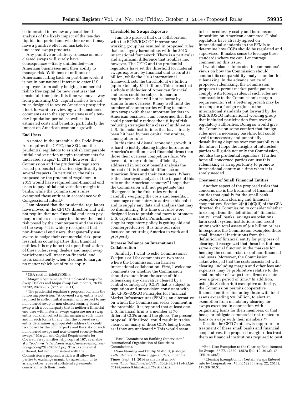be interested to review any considered analysis of the likely impact of the ten-day liquidation period and whether or not it may have a punitive effect on markets for uncleared swaps products.

Any punitive or arbitrary squeeze on noncleared swaps will surely have consequences—likely unintended—for American businesses and their ability to manage risk. With tens of millions of Americans falling back on part-time work, it is not in our national interest to deter U.S. employers from safely hedging commercial risk to free capital for new ventures that create full-time jobs. It is time we move away from punishing U.S. capital markets toward rules designed to revive American prosperity. I look forward to reviewing well-considered comments as to the appropriateness of a tenday liquidation period, as well as its estimated costs and benefits, particularly the impact on American economic growth.

#### **End Users**

As noted in the preamble, the Dodd-Frank Act requires the CFTC, the SEC, and the prudential regulators to establish comparable initial and variation margin requirements for uncleared swaps.4 In 2011, however, the Commission and the prudential regulators issued proposals that varied significantly in several respects. In particular, the rules proposed by the prudential regulators in 2011 would have required non-financial end users to pay initial and variation margin to banks, while the Commission's rules exempted these entities in accordance with Congressional intent.5

I am pleased that the prudential regulators have moved in the CFTC's direction and will not require that non-financial end users pay margin unless necessary to address the credit risk posed by the counterparty and the risks of the swap.6 It is widely recognized that non-financial end users, that generally use swaps to hedge their commercial risk, pose less risk as counterparties than financial entities. It is my hope that upon finalization of these rules, swap dealers and major swap participants will treat non-financial end users consistently when it comes to margin, no matter which set of rules apply.

<sup>6</sup>The prudential regulator's proposal contains the following provision: ''A covered swap entity is not required to collect initial margin with respect to any non-cleared swap or non-cleared security-based swap with a counterparty that is neither a financial end user with material swaps exposure nor a swap entity but shall collect initial margin at such times and in such forms (if any) that the covered swap entity determines appropriately address the credit risk posed by the counterparty and the risks of such non-cleared swaps and non-cleared security-based swaps.'' Margin and Capital Requirements for Covered Swap Entities, slip copy at 167, available at *[http://www.federalreserve.gov/newsevents/press/](http://www.federalreserve.gov/newsevents/press/bcreg/bcreg20140903c1.pdf) [bcreg/bcreg20140903c1.pdf.](http://www.federalreserve.gov/newsevents/press/bcreg/bcreg20140903c1.pdf)* This is somewhat different, but not inconsistent with the Commission's proposal, which will allow the parties to exchange margin by agreement, or to arrange other types of collateral agreements consistent with their needs.

#### **Threshold for Swaps Exposure**

I am also pleased that our collaboration with the BCBS/IOSCO<sup>7</sup> international working group has resulted in proposed rules that are largely harmonious with the 2013 international framework. There is a particular and significant difference that troubles me, however. The CFTC and the prudential regulators have set the threshold for material swaps exposure by financial end users at \$3 billion, while the 2013 international framework sets the threshold at  $\epsilon$ 8 billion (approximately \$11 billion). This means that a whole middle-tier of American financial end users could be subject to margin requirements that will not be borne by similar firms overseas. It may well limit the number of counterparties willing to enter into swaps with these important lenders to American business. I am concerned that this could potentially reduce the utility of risk reducing strategies for a class of middle-tier, U.S. financial institutions that have already been hit hard by new capital constraints, among other rules.

In this time of dismal economic growth, it is hard to justify placing higher burdens on America's medium-sized financial firms than those their overseas competitors face. We have not, in my opinion, sufficiently addressed in our cost benefit analysis the impact of this threshold difference on American firms and their customers. Where is the clear-eyed analysis of the impact of this rule on the American economy? I hope that the Commission will not perpetuate this divergence in the final rules without carefully weighing the costs and benefits. I encourage commenters to address this point and to supply any data and analysis that may be illuminating. It is time our rules were designed less to punish and more to promote U.S. capital markets. Punishment as a singular regulatory policy is getting old and counterproductive. It is time our rules focused on returning America to work and prosperity.

#### **Increase Reliance on International Collaboration**

Similarly, I want to echo Commissioner Wetjen's call for comments on two areas where the Commission can harness international collaboration. First, I welcome comments on whether the Commission should exclude from the scope of this rulemaking any derivative cleared by a central counterparty (CCP) that is subject to regulation and supervision consistent with the CPSS–IOSCO Principles for Financial Market Infrastructures (PFMIs), an alternative on which the Commission seeks comment in the preamble. It is reported that at least one U.S. financial firm is a member at 70 different CCPs around the globe. The present proposal, if finalized, could result in trades cleared on many of these CCPs being treated as if they are uncleared.8 This would seem

to be a needlessly costly and burdensome imposition on American commerce. Global regulators have already agreed on international standards in the PFMIs to determine how CCPs should be regulated and supervised. It makes sense to leverage these standards where we can. I encourage comment on this issue.

I would also be interested in commenters' views on how the Commission should conduct its comparability analysis under this rulemaking. In the advance notice of proposed rulemaking, the Commission proposes to permit market participants to comply with foreign rules, if such rules are comparable to the Commission's margin requirements. Yet, a better approach may be to compare a foreign regime to the international standards put forward by the BCBS/IOSCO international working group that included participation from over 20 regulatory authorities. Doing so would give the Commission some comfort that foreign rules meet a necessary baseline, but could avoid unnecessary and potentially destabilizing disputes over comparability in the future. I hope the insights of interested parties will guide not only the Commission, but also the prudential regulators. I further hope all concerned parties can use this rulemaking as an opportunity to promote international comity at a time when it is sorely needed.

#### **Treatment of Small Financial Entities**

Another aspect of the proposed rules that concerns me is the treatment of financial entities that qualify for the small bank exemption from clearing and financial cooperatives. Section 2(h)(7)(C)(ii) of the CEA directed the Commission to consider whether to exempt from the definition of ''financial entity'' small banks, savings associations, farm credit system institutions and credit unions with total assets of \$10 billion or less. In response, the Commission exempted these small financial institutions from the definition of financial entity for purposes of clearing. It recognized that these institutions serve a crucial function in the markets for hedging the commercial risk of non-financial end users. Moreover, the Commission acknowledged that the costs associated with clearing, including margin and other fees and expenses, may be prohibitive relative to the small number of swaps these firms execute over a given period of time.9 In addition, using its Section 4(c) exemptive authority, the Commission permits cooperative financial entities, including those with total assets exceeding \$10 billion, to elect an exemption from mandatory clearing for swaps executed in connection with originating loans for their members, or that hedge or mitigate commercial risk related to loans or swaps with their members.10

Despite the CFTC's otherwise appropriate treatment of these small banks and financial cooperatives, the proposed margin rules treat them as financial institutions required to post

<sup>4</sup>CEA section 4s(e)(3)(D)(ii).

<sup>5</sup>Margin Requirements for Uncleared Swaps for Swap Dealers and Major Swap Participants, 76 FR 23732, 23736–37 (Apr. 28, 2011).

<sup>7</sup>Basel Committee on Banking Supervision/ International Organization of Securities Commissions.

<sup>8</sup>Sam Fleming and Phillip Stafford, *JPMorgan Tells Clearers to Build Bigger Buffers,* Financial Times, Sept. 11, 2014 available at *[http://](http://www.ft.com/intl/cms/s/0/48aa6b02-38f9-11e4-9526-00144feabdc0.html#axzz3DPM3AEzi) [www.ft.com/intl/cms/s/0/48aa6b02-38f9-11e4-9526-](http://www.ft.com/intl/cms/s/0/48aa6b02-38f9-11e4-9526-00144feabdc0.html#axzz3DPM3AEzi) [00144feabdc0.html#axzz3DPM3AEzi.](http://www.ft.com/intl/cms/s/0/48aa6b02-38f9-11e4-9526-00144feabdc0.html#axzz3DPM3AEzi)* 

<sup>9</sup>End-User Exception to the Clearing Requirement for Swaps, 77 FR 42560, 42578 (Jul. 19, 2012); 17 CFR 50.50(d).

<sup>10</sup>Clearing Exemption for Certain Swaps Entered into by Cooperatives, 78 FR 52286 (Aug. 22, 2013); 17 CFR 50.51.